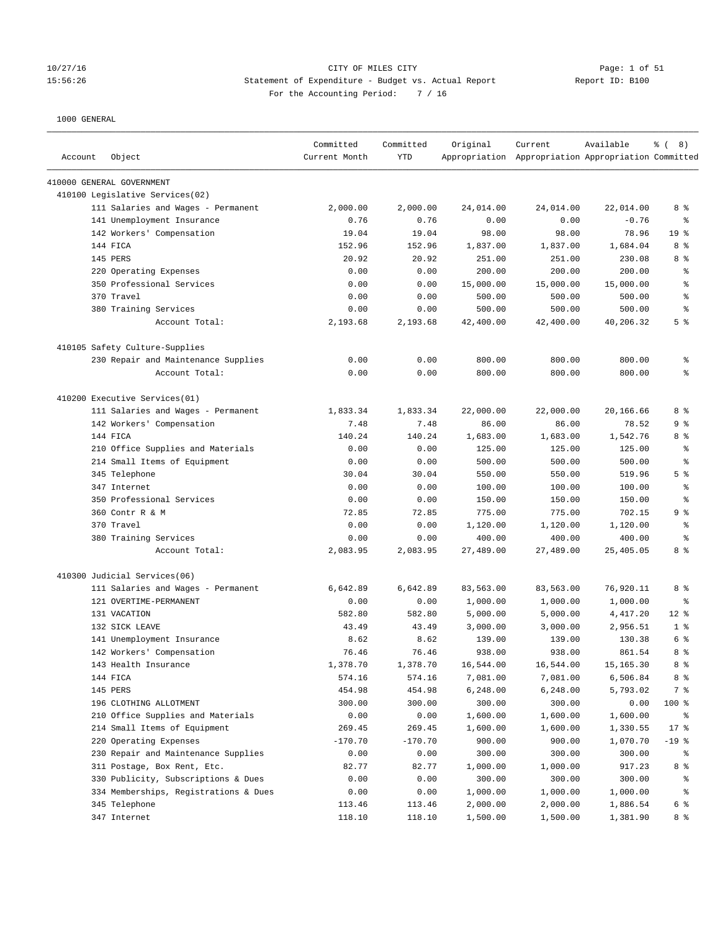#### 10/27/16 CITY OF MILES CITY Page: 1 of 51 15:56:26 Statement of Expenditure - Budget vs. Actual Report Report ID: B100 For the Accounting Period: 7 / 16

| Account | Object                                | Committed<br>Current Month | Committed<br><b>YTD</b> | Original  | Current<br>Appropriation Appropriation Appropriation Committed | Available   | <sub>ර</sub> 8) |
|---------|---------------------------------------|----------------------------|-------------------------|-----------|----------------------------------------------------------------|-------------|-----------------|
|         | 410000 GENERAL GOVERNMENT             |                            |                         |           |                                                                |             |                 |
|         | 410100 Legislative Services(02)       |                            |                         |           |                                                                |             |                 |
|         | 111 Salaries and Wages - Permanent    | 2,000.00                   | 2,000.00                | 24,014.00 | 24,014.00                                                      | 22,014.00   | 8 %             |
|         | 141 Unemployment Insurance            | 0.76                       | 0.76                    | 0.00      | 0.00                                                           | $-0.76$     | ి               |
|         | 142 Workers' Compensation             | 19.04                      | 19.04                   | 98.00     | 98.00                                                          | 78.96       | 19 <sup>°</sup> |
|         | 144 FICA                              | 152.96                     | 152.96                  | 1,837.00  | 1,837.00                                                       | 1,684.04    | 8 %             |
|         | 145 PERS                              | 20.92                      | 20.92                   | 251.00    | 251.00                                                         | 230.08      | 8 %             |
|         | 220 Operating Expenses                | 0.00                       | 0.00                    | 200.00    | 200.00                                                         | 200.00      | g,              |
|         | 350 Professional Services             | 0.00                       | 0.00                    | 15,000.00 | 15,000.00                                                      | 15,000.00   | $\epsilon$      |
|         | 370 Travel                            | 0.00                       | 0.00                    | 500.00    | 500.00                                                         | 500.00      | $\epsilon$      |
|         | 380 Training Services                 | 0.00                       | 0.00                    | 500.00    | 500.00                                                         | 500.00      | နွ              |
|         | Account Total:                        | 2,193.68                   | 2,193.68                | 42,400.00 | 42,400.00                                                      | 40,206.32   | 5 <sup>°</sup>  |
|         | 410105 Safety Culture-Supplies        |                            |                         |           |                                                                |             |                 |
|         | 230 Repair and Maintenance Supplies   | 0.00                       | 0.00                    | 800.00    | 800.00                                                         | 800.00      | ್ಠಿ             |
|         | Account Total:                        | 0.00                       | 0.00                    | 800.00    | 800.00                                                         | 800.00      | ి               |
|         | 410200 Executive Services(01)         |                            |                         |           |                                                                |             |                 |
|         | 111 Salaries and Wages - Permanent    | 1,833.34                   | 1,833.34                | 22,000.00 | 22,000.00                                                      | 20,166.66   | 8 %             |
|         | 142 Workers' Compensation             | 7.48                       | 7.48                    | 86.00     | 86.00                                                          | 78.52       | 9%              |
|         | 144 FICA                              | 140.24                     | 140.24                  | 1,683.00  | 1,683.00                                                       | 1,542.76    | 8 %             |
|         | 210 Office Supplies and Materials     | 0.00                       | 0.00                    | 125.00    | 125.00                                                         | 125.00      | ႜ               |
|         | 214 Small Items of Equipment          | 0.00                       | 0.00                    | 500.00    | 500.00                                                         | 500.00      | ႜ               |
|         | 345 Telephone                         | 30.04                      | 30.04                   | 550.00    | 550.00                                                         | 519.96      | 5 %             |
|         | 347 Internet                          | 0.00                       | 0.00                    | 100.00    | 100.00                                                         | 100.00      | $\epsilon$      |
|         | 350 Professional Services             | 0.00                       | 0.00                    | 150.00    | 150.00                                                         | 150.00      | နွ              |
|         | 360 Contr R & M                       | 72.85                      | 72.85                   | 775.00    | 775.00                                                         | 702.15      | 9%              |
|         | 370 Travel                            | 0.00                       | 0.00                    | 1,120.00  | 1,120.00                                                       | 1,120.00    | ႜ               |
|         | 380 Training Services                 | 0.00                       | 0.00                    | 400.00    | 400.00                                                         | 400.00      | နွ              |
|         | Account Total:                        | 2,083.95                   | 2,083.95                | 27,489.00 | 27,489.00                                                      | 25,405.05   | 8 %             |
|         | 410300 Judicial Services(06)          |                            |                         |           |                                                                |             |                 |
|         | 111 Salaries and Wages - Permanent    | 6,642.89                   | 6,642.89                | 83,563.00 | 83,563.00                                                      | 76,920.11   | 8 %             |
|         | 121 OVERTIME-PERMANENT                | 0.00                       | 0.00                    | 1,000.00  | 1,000.00                                                       | 1,000.00    | ి               |
|         | 131 VACATION                          | 582.80                     | 582.80                  | 5,000.00  | 5,000.00                                                       | 4,417.20    | $12*$           |
|         | 132 SICK LEAVE                        | 43.49                      | 43.49                   | 3,000.00  | 3,000.00                                                       | 2,956.51    | 1 <sup>8</sup>  |
|         | 141 Unemployment Insurance            | 8.62                       | 8.62                    | 139.00    | 139.00                                                         | 130.38      | 6 <sup>8</sup>  |
|         | 142 Workers' Compensation             | 76.46                      | 76.46                   | 938.00    | 938.00                                                         | 861.54      | 8 %             |
|         | 143 Health Insurance                  | 1,378.70                   | 1,378.70                | 16,544.00 | 16,544.00                                                      | 15, 165. 30 | 8 %             |
|         | 144 FICA                              | 574.16                     | 574.16                  | 7,081.00  | 7,081.00                                                       | 6,506.84    | 8 %             |
|         | 145 PERS                              | 454.98                     | 454.98                  | 6,248.00  | 6,248.00                                                       | 5,793.02    | 7 %             |
|         | 196 CLOTHING ALLOTMENT                | 300.00                     | 300.00                  | 300.00    | 300.00                                                         | 0.00        | 100 %           |
|         | 210 Office Supplies and Materials     | 0.00                       | 0.00                    | 1,600.00  | 1,600.00                                                       | 1,600.00    | ႜ               |
|         | 214 Small Items of Equipment          | 269.45                     | 269.45                  | 1,600.00  | 1,600.00                                                       | 1,330.55    | 17.8            |
|         | 220 Operating Expenses                | $-170.70$                  | $-170.70$               | 900.00    | 900.00                                                         | 1,070.70    | $-19$ %         |
|         | 230 Repair and Maintenance Supplies   | 0.00                       | 0.00                    | 300.00    | 300.00                                                         | 300.00      | ႜ               |
|         | 311 Postage, Box Rent, Etc.           | 82.77                      | 82.77                   | 1,000.00  | 1,000.00                                                       | 917.23      | 8 <sup>8</sup>  |
|         | 330 Publicity, Subscriptions & Dues   | 0.00                       | 0.00                    | 300.00    | 300.00                                                         | 300.00      | ႜ               |
|         | 334 Memberships, Registrations & Dues | 0.00                       | 0.00                    | 1,000.00  | 1,000.00                                                       | 1,000.00    | ್ಠಿ             |
|         | 345 Telephone                         | 113.46                     | 113.46                  | 2,000.00  | 2,000.00                                                       | 1,886.54    | 6 %             |
|         | 347 Internet                          | 118.10                     | 118.10                  | 1,500.00  | 1,500.00                                                       | 1,381.90    | 8 %             |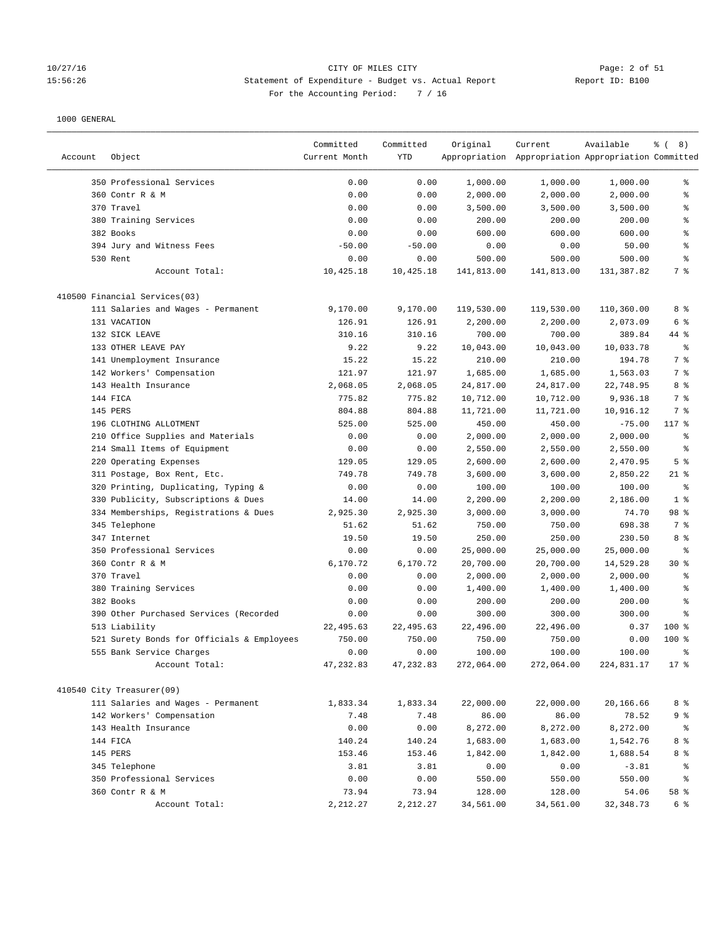#### 10/27/16 CITY OF MILES CITY Page: 2 of 51 15:56:26 Statement of Expenditure - Budget vs. Actual Report Report ID: B100 For the Accounting Period: 7 / 16

|         |                                            | Committed     | Committed  | Original   | Current                                             | Available  | $\frac{6}{6}$ ( 8) |
|---------|--------------------------------------------|---------------|------------|------------|-----------------------------------------------------|------------|--------------------|
| Account | Object                                     | Current Month | <b>YTD</b> |            | Appropriation Appropriation Appropriation Committed |            |                    |
|         |                                            |               |            |            |                                                     |            |                    |
|         | 350 Professional Services                  | 0.00          | 0.00       | 1,000.00   | 1,000.00                                            | 1,000.00   | ి                  |
|         | 360 Contr R & M                            | 0.00          | 0.00       | 2,000.00   | 2,000.00                                            | 2,000.00   | ి                  |
|         | 370 Travel                                 | 0.00          | 0.00       | 3,500.00   | 3,500.00                                            | 3,500.00   | နွ                 |
|         | 380 Training Services                      | 0.00          | 0.00       | 200.00     | 200.00                                              | 200.00     | ి                  |
|         | 382 Books                                  | 0.00          | 0.00       | 600.00     | 600.00                                              | 600.00     | န္                 |
|         | 394 Jury and Witness Fees                  | $-50.00$      | $-50.00$   | 0.00       | 0.00                                                | 50.00      | る                  |
|         | 530 Rent                                   | 0.00          | 0.00       | 500.00     | 500.00                                              | 500.00     | နွ                 |
|         | Account Total:                             | 10,425.18     | 10,425.18  | 141,813.00 | 141,813.00                                          | 131,387.82 | 7 %                |
|         | 410500 Financial Services(03)              |               |            |            |                                                     |            |                    |
|         | 111 Salaries and Wages - Permanent         | 9,170.00      | 9,170.00   | 119,530.00 | 119,530.00                                          | 110,360.00 | 8 %                |
|         | 131 VACATION                               | 126.91        | 126.91     | 2,200.00   | 2,200.00                                            | 2,073.09   | 6 %                |
|         | 132 SICK LEAVE                             | 310.16        | 310.16     | 700.00     | 700.00                                              | 389.84     | 44 %               |
|         | 133 OTHER LEAVE PAY                        | 9.22          | 9.22       | 10,043.00  | 10,043.00                                           | 10,033.78  | ి                  |
|         | 141 Unemployment Insurance                 | 15.22         | 15.22      | 210.00     | 210.00                                              | 194.78     | 7 %                |
|         | 142 Workers' Compensation                  | 121.97        | 121.97     | 1,685.00   | 1,685.00                                            | 1,563.03   | 7 %                |
|         | 143 Health Insurance                       | 2,068.05      | 2,068.05   | 24,817.00  | 24,817.00                                           | 22,748.95  | 8 %                |
|         | 144 FICA                                   | 775.82        | 775.82     | 10,712.00  | 10,712.00                                           | 9,936.18   | 7 %                |
|         | 145 PERS                                   | 804.88        | 804.88     | 11,721.00  | 11,721.00                                           | 10,916.12  | 7 %                |
|         | 196 CLOTHING ALLOTMENT                     | 525.00        | 525.00     | 450.00     | 450.00                                              | $-75.00$   | 117 %              |
|         | 210 Office Supplies and Materials          | 0.00          | 0.00       | 2,000.00   | 2,000.00                                            | 2,000.00   | နွ                 |
|         | 214 Small Items of Equipment               | 0.00          | 0.00       | 2,550.00   | 2,550.00                                            | 2,550.00   | ႜ                  |
|         | 220 Operating Expenses                     | 129.05        | 129.05     | 2,600.00   | 2,600.00                                            | 2,470.95   | 5 <sup>8</sup>     |
|         | 311 Postage, Box Rent, Etc.                | 749.78        | 749.78     | 3,600.00   | 3,600.00                                            | 2,850.22   | $21$ %             |
|         | 320 Printing, Duplicating, Typing &        | 0.00          | 0.00       | 100.00     | 100.00                                              | 100.00     | $\epsilon$         |
|         | 330 Publicity, Subscriptions & Dues        | 14.00         | 14.00      | 2,200.00   | 2,200.00                                            | 2,186.00   | 1 <sup>8</sup>     |
|         | 334 Memberships, Registrations & Dues      | 2,925.30      | 2,925.30   | 3,000.00   | 3,000.00                                            | 74.70      | 98 %               |
|         | 345 Telephone                              | 51.62         | 51.62      | 750.00     | 750.00                                              | 698.38     | 7 %                |
|         | 347 Internet                               | 19.50         | 19.50      | 250.00     | 250.00                                              | 230.50     | 8 %                |
|         | 350 Professional Services                  | 0.00          | 0.00       | 25,000.00  | 25,000.00                                           | 25,000.00  | $\epsilon$         |
|         | 360 Contr R & M                            | 6,170.72      | 6,170.72   | 20,700.00  | 20,700.00                                           | 14,529.28  | $30*$              |
|         | 370 Travel                                 | 0.00          | 0.00       | 2,000.00   | 2,000.00                                            | 2,000.00   | နွ                 |
|         | 380 Training Services                      | 0.00          | 0.00       | 1,400.00   | 1,400.00                                            | 1,400.00   | る                  |
|         | 382 Books                                  | 0.00          | 0.00       | 200.00     | 200.00                                              | 200.00     | နွ                 |
|         | 390 Other Purchased Services (Recorded     | 0.00          | 0.00       | 300.00     | 300.00                                              | 300.00     | နွ                 |
|         | 513 Liability                              | 22,495.63     | 22,495.63  | 22,496.00  | 22,496.00                                           | 0.37       | $100*$             |
|         | 521 Surety Bonds for Officials & Employees | 750.00        | 750.00     | 750.00     | 750.00                                              | 0.00       | $100*$             |
|         | 555 Bank Service Charges                   | 0.00          | 0.00       | 100.00     | 100.00                                              | 100.00     | ま                  |
|         | Account Total:                             | 47,232.83     | 47,232.83  | 272,064.00 | 272,064.00                                          | 224,831.17 | $17$ %             |
|         |                                            |               |            |            |                                                     |            |                    |
|         | 410540 City Treasurer(09)                  |               |            |            |                                                     | 20,166.66  |                    |
|         | 111 Salaries and Wages - Permanent         | 1,833.34      | 1,833.34   | 22,000.00  | 22,000.00                                           |            | 8 %                |
|         | 142 Workers' Compensation                  | 7.48          | 7.48       | 86.00      | 86.00                                               | 78.52      | 9%                 |
|         | 143 Health Insurance                       | 0.00          | 0.00       | 8,272.00   | 8,272.00                                            | 8,272.00   | ိ                  |
|         | 144 FICA                                   | 140.24        | 140.24     | 1,683.00   | 1,683.00                                            | 1,542.76   | 8 %                |
|         | 145 PERS                                   | 153.46        | 153.46     | 1,842.00   | 1,842.00                                            | 1,688.54   | 8 %                |
|         | 345 Telephone                              | 3.81          | 3.81       | 0.00       | 0.00                                                | $-3.81$    | နွ                 |
|         | 350 Professional Services                  | 0.00          | 0.00       | 550.00     | 550.00                                              | 550.00     | နွ                 |
|         | 360 Contr R & M                            | 73.94         | 73.94      | 128.00     | 128.00                                              | 54.06      | 58 %               |
|         | Account Total:                             | 2,212.27      | 2,212.27   | 34,561.00  | 34,561.00                                           | 32, 348.73 | 6 %                |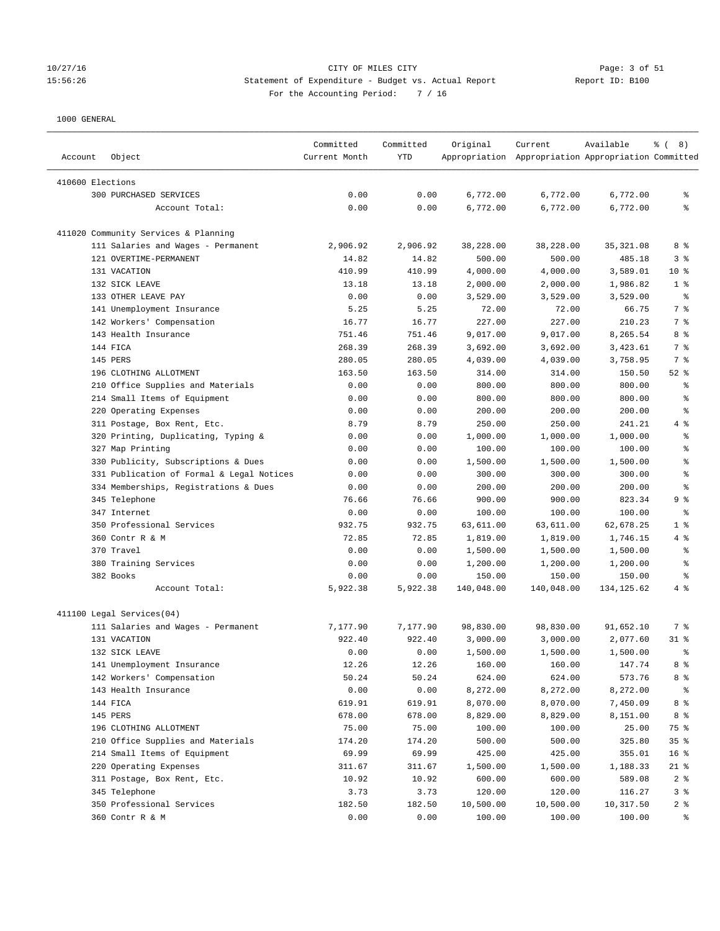# 10/27/16 CITY OF MILES CITY Page: 3 of 51 15:56:26 Statement of Expenditure - Budget vs. Actual Report Changer Report ID: B100 For the Accounting Period: 7 / 16

| Object<br>Account                         | Committed<br>Current Month | Committed<br>YTD | Original   | Current<br>Appropriation Appropriation Appropriation Committed | Available   | $\frac{3}{6}$ ( 8) |
|-------------------------------------------|----------------------------|------------------|------------|----------------------------------------------------------------|-------------|--------------------|
| 410600 Elections                          |                            |                  |            |                                                                |             |                    |
| 300 PURCHASED SERVICES                    | 0.00                       | 0.00             | 6,772.00   | 6,772.00                                                       | 6,772.00    | ႜ                  |
| Account Total:                            | 0.00                       | 0.00             | 6,772.00   | 6,772.00                                                       | 6,772.00    | နွ                 |
|                                           |                            |                  |            |                                                                |             |                    |
| 411020 Community Services & Planning      |                            |                  |            |                                                                |             |                    |
| 111 Salaries and Wages - Permanent        | 2,906.92                   | 2,906.92         | 38,228.00  | 38,228.00                                                      | 35, 321.08  | 8 %                |
| 121 OVERTIME-PERMANENT                    | 14.82                      | 14.82            | 500.00     | 500.00                                                         | 485.18      | 3%                 |
| 131 VACATION                              | 410.99                     | 410.99           | 4,000.00   | 4,000.00                                                       | 3,589.01    | $10*$              |
| 132 SICK LEAVE                            | 13.18                      | 13.18            | 2,000.00   | 2,000.00                                                       | 1,986.82    | 1 <sup>8</sup>     |
| 133 OTHER LEAVE PAY                       | 0.00                       | 0.00             | 3,529.00   | 3,529.00                                                       | 3,529.00    | $\epsilon$         |
| 141 Unemployment Insurance                | 5.25                       | 5.25             | 72.00      | 72.00                                                          | 66.75       | 7 %                |
| 142 Workers' Compensation                 | 16.77                      | 16.77            | 227.00     | 227.00                                                         | 210.23      | 7 %                |
| 143 Health Insurance                      | 751.46                     | 751.46           | 9,017.00   | 9,017.00                                                       | 8,265.54    | 8 %                |
| 144 FICA                                  | 268.39                     | 268.39           | 3,692.00   | 3,692.00                                                       | 3,423.61    | 7 %                |
| 145 PERS                                  | 280.05                     | 280.05           | 4,039.00   | 4,039.00                                                       | 3,758.95    | 7 %                |
| 196 CLOTHING ALLOTMENT                    | 163.50                     | 163.50           | 314.00     | 314.00                                                         | 150.50      | $52$ $%$           |
| 210 Office Supplies and Materials         | 0.00                       | 0.00             | 800.00     | 800.00                                                         | 800.00      | နွ                 |
| 214 Small Items of Equipment              | 0.00                       | 0.00             | 800.00     | 800.00                                                         | 800.00      | နွ                 |
| 220 Operating Expenses                    | 0.00                       | 0.00             | 200.00     | 200.00                                                         | 200.00      | ್ಠಿ                |
| 311 Postage, Box Rent, Etc.               | 8.79                       | 8.79             | 250.00     | 250.00                                                         | 241.21      | 4%                 |
| 320 Printing, Duplicating, Typing &       | 0.00                       | 0.00             | 1,000.00   | 1,000.00                                                       | 1,000.00    | る                  |
| 327 Map Printing                          | 0.00                       | 0.00             | 100.00     | 100.00                                                         | 100.00      | နွ                 |
| 330 Publicity, Subscriptions & Dues       | 0.00                       | 0.00             | 1,500.00   | 1,500.00                                                       | 1,500.00    | ి                  |
| 331 Publication of Formal & Legal Notices | 0.00                       | 0.00             | 300.00     | 300.00                                                         | 300.00      | ್ಠಿ                |
| 334 Memberships, Registrations & Dues     | 0.00                       | 0.00             | 200.00     | 200.00                                                         | 200.00      | ್ಠಿ                |
| 345 Telephone                             | 76.66                      | 76.66            | 900.00     | 900.00                                                         | 823.34      | 9%                 |
| 347 Internet                              | 0.00                       | 0.00             | 100.00     | 100.00                                                         | 100.00      | နွ                 |
| 350 Professional Services                 | 932.75                     | 932.75           | 63,611.00  | 63,611.00                                                      | 62,678.25   | 1 <sup>8</sup>     |
| 360 Contr R & M                           | 72.85                      | 72.85            | 1,819.00   | 1,819.00                                                       | 1,746.15    | 4%                 |
| 370 Travel                                | 0.00                       | 0.00             | 1,500.00   | 1,500.00                                                       | 1,500.00    | ್ಠಿ                |
| 380 Training Services                     | 0.00                       | 0.00             | 1,200.00   | 1,200.00                                                       | 1,200.00    | နွ                 |
| 382 Books                                 | 0.00                       | 0.00             | 150.00     | 150.00                                                         | 150.00      | နွ                 |
| Account Total:                            | 5,922.38                   | 5,922.38         | 140,048.00 | 140,048.00                                                     | 134, 125.62 | 4%                 |
|                                           |                            |                  |            |                                                                |             |                    |
| 411100 Legal Services(04)                 |                            |                  |            |                                                                |             |                    |
| 111 Salaries and Wages - Permanent        | 7,177.90                   | 7,177.90         | 98,830.00  | 98,830.00                                                      | 91,652.10   | 7 %                |
| 131 VACATION                              | 922.40                     | 922.40           | 3,000.00   | 3,000.00                                                       | 2,077.60    | $31$ %             |
| 132 SICK LEAVE                            | 0.00                       | 0.00             | 1,500.00   | 1,500.00                                                       | 1,500.00    | နွ                 |
| 141 Unemployment Insurance                | 12.26                      | 12.26            | 160.00     | 160.00                                                         | 147.74      | 8 %                |
| 142 Workers' Compensation                 | 50.24                      | 50.24            | 624.00     | 624.00                                                         | 573.76      | 8 %                |
| 143 Health Insurance                      | 0.00                       | 0.00             | 8,272.00   | 8,272.00                                                       | 8,272.00    | $\,$ %             |
| 144 FICA                                  | 619.91                     | 619.91           | 8,070.00   | 8,070.00                                                       | 7,450.09    | 8 %                |
| 145 PERS                                  | 678.00                     | 678.00           | 8,829.00   | 8,829.00                                                       | 8,151.00    | 8 %                |
| 196 CLOTHING ALLOTMENT                    | 75.00                      | 75.00            | 100.00     | 100.00                                                         | 25.00       | 75 %               |
| 210 Office Supplies and Materials         | 174.20                     | 174.20           | 500.00     | 500.00                                                         | 325.80      | 35%                |
| 214 Small Items of Equipment              | 69.99                      | 69.99            | 425.00     | 425.00                                                         | 355.01      | 16 <sup>°</sup>    |
| 220 Operating Expenses                    | 311.67                     | 311.67           | 1,500.00   | 1,500.00                                                       | 1,188.33    | 21 %               |
| 311 Postage, Box Rent, Etc.               | 10.92                      | 10.92            | 600.00     | 600.00                                                         | 589.08      | 2 <sup>8</sup>     |
| 345 Telephone                             | 3.73                       | 3.73             | 120.00     | 120.00                                                         | 116.27      | 3%                 |
| 350 Professional Services                 | 182.50                     | 182.50           | 10,500.00  | 10,500.00                                                      | 10,317.50   | 2 <sub>8</sub>     |
| 360 Contr R & M                           | 0.00                       | 0.00             | 100.00     | 100.00                                                         | 100.00      | ್ಠಿ                |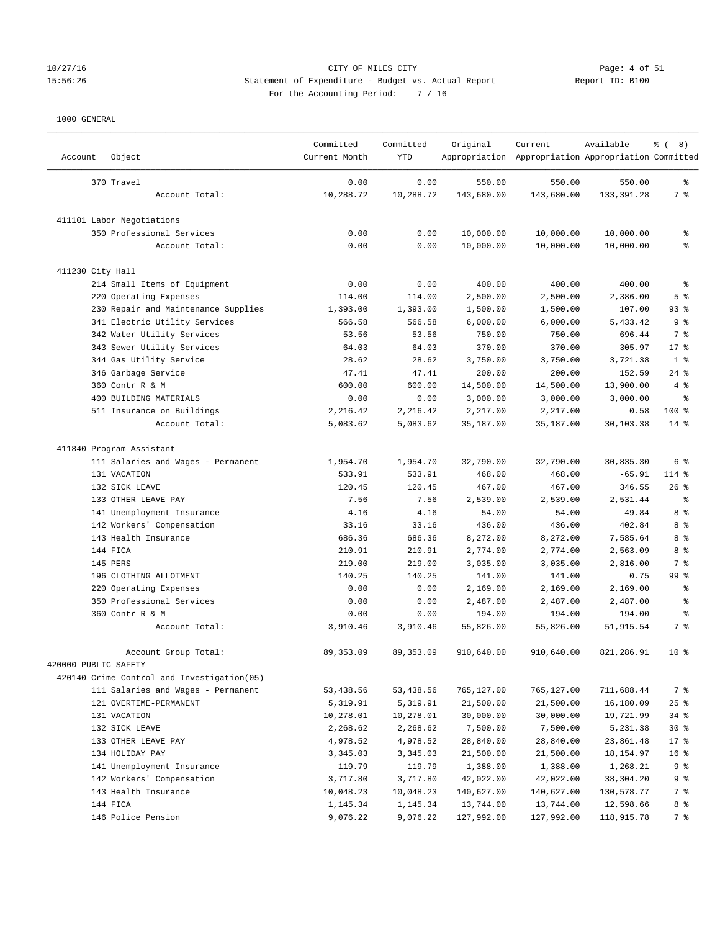# 10/27/16 Page: 4 of 51<br>15:56:26 Statement of Expenditure - Budget vs. Actual Report 11: Report ID: B100 15:56:26 Statement of Expenditure - Budget vs. Actual Report For the Accounting Period: 7 / 16

| Account              | Object                                     | Committed<br>Current Month | Committed<br><b>YTD</b> | Original   | Current<br>Appropriation Appropriation Appropriation Committed | Available  | ී (<br>8)       |
|----------------------|--------------------------------------------|----------------------------|-------------------------|------------|----------------------------------------------------------------|------------|-----------------|
|                      | 370 Travel                                 | 0.00                       | 0.00                    | 550.00     | 550.00                                                         | 550.00     | $\epsilon$      |
|                      | Account Total:                             | 10,288.72                  | 10,288.72               | 143,680.00 | 143,680.00                                                     | 133,391.28 | 7 %             |
|                      | 411101 Labor Negotiations                  |                            |                         |            |                                                                |            |                 |
|                      | 350 Professional Services                  | 0.00                       | 0.00                    | 10,000.00  | 10,000.00                                                      | 10,000.00  | ್ಠಿ             |
|                      | Account Total:                             | 0.00                       | 0.00                    | 10,000.00  | 10,000.00                                                      | 10,000.00  | ి               |
| 411230 City Hall     |                                            |                            |                         |            |                                                                |            |                 |
|                      | 214 Small Items of Equipment               | 0.00                       | 0.00                    | 400.00     | 400.00                                                         | 400.00     | $\epsilon$      |
|                      | 220 Operating Expenses                     | 114.00                     | 114.00                  | 2,500.00   | 2,500.00                                                       | 2,386.00   | 5 <sup>8</sup>  |
|                      | 230 Repair and Maintenance Supplies        | 1,393.00                   | 1,393.00                | 1,500.00   | 1,500.00                                                       | 107.00     | $93$ $%$        |
|                      | 341 Electric Utility Services              | 566.58                     | 566.58                  | 6,000.00   | 6,000.00                                                       | 5,433.42   | 9 <sub>8</sub>  |
|                      | 342 Water Utility Services                 | 53.56                      | 53.56                   | 750.00     | 750.00                                                         | 696.44     | 7 %             |
|                      | 343 Sewer Utility Services                 | 64.03                      | 64.03                   | 370.00     | 370.00                                                         | 305.97     | $17*$           |
|                      | 344 Gas Utility Service                    | 28.62                      | 28.62                   | 3,750.00   | 3,750.00                                                       | 3,721.38   | 1 <sup>8</sup>  |
|                      | 346 Garbage Service                        | 47.41                      | 47.41                   | 200.00     | 200.00                                                         | 152.59     | 24%             |
|                      | 360 Contr R & M                            | 600.00                     | 600.00                  | 14,500.00  | 14,500.00                                                      | 13,900.00  | 4%              |
|                      | 400 BUILDING MATERIALS                     | 0.00                       | 0.00                    | 3,000.00   | 3,000.00                                                       | 3,000.00   | နွ              |
|                      | 511 Insurance on Buildings                 | 2,216.42                   | 2,216.42                | 2,217.00   | 2,217.00                                                       | 0.58       | $100*$          |
|                      | Account Total:                             | 5,083.62                   | 5,083.62                | 35,187.00  | 35,187.00                                                      | 30,103.38  | $14*$           |
|                      |                                            |                            |                         |            |                                                                |            |                 |
|                      | 411840 Program Assistant                   |                            |                         |            |                                                                |            |                 |
|                      | 111 Salaries and Wages - Permanent         | 1,954.70                   | 1,954.70                | 32,790.00  | 32,790.00                                                      | 30,835.30  | 6 %             |
|                      | 131 VACATION                               | 533.91                     | 533.91                  | 468.00     | 468.00                                                         | $-65.91$   | 114 %           |
|                      | 132 SICK LEAVE                             | 120.45                     | 120.45                  | 467.00     | 467.00                                                         | 346.55     | $26$ %          |
|                      | 133 OTHER LEAVE PAY                        | 7.56                       | 7.56                    | 2,539.00   | 2,539.00                                                       | 2,531.44   | နွ              |
|                      |                                            | 4.16                       | 4.16                    | 54.00      | 54.00                                                          | 49.84      | 8 %             |
|                      | 141 Unemployment Insurance                 | 33.16                      | 33.16                   | 436.00     | 436.00                                                         |            | 8 %             |
|                      | 142 Workers' Compensation                  |                            |                         |            |                                                                | 402.84     |                 |
|                      | 143 Health Insurance                       | 686.36                     | 686.36                  | 8,272.00   | 8,272.00                                                       | 7,585.64   | 8 %             |
|                      | 144 FICA                                   | 210.91                     | 210.91                  | 2,774.00   | 2,774.00                                                       | 2,563.09   | 8 %             |
|                      | 145 PERS                                   | 219.00                     | 219.00                  | 3,035.00   | 3,035.00                                                       | 2,816.00   | 7 %             |
|                      | 196 CLOTHING ALLOTMENT                     | 140.25                     | 140.25                  | 141.00     | 141.00                                                         | 0.75       | 99%             |
|                      | 220 Operating Expenses                     | 0.00                       | 0.00                    | 2,169.00   | 2,169.00                                                       | 2,169.00   | နွ              |
|                      | 350 Professional Services                  | 0.00                       | 0.00                    | 2,487.00   | 2,487.00                                                       | 2,487.00   | る               |
|                      | 360 Contr R & M                            | 0.00                       | 0.00                    | 194.00     | 194.00                                                         | 194.00     | る               |
|                      | Account Total:                             | 3,910.46                   | 3,910.46                | 55,826.00  | 55,826.00                                                      | 51,915.54  | 7 %             |
|                      | Account Group Total:                       | 89, 353.09                 | 89, 353.09              | 910,640.00 | 910,640.00                                                     | 821,286.91 | $10*$           |
| 420000 PUBLIC SAFETY |                                            |                            |                         |            |                                                                |            |                 |
|                      | 420140 Crime Control and Investigation(05) |                            |                         |            |                                                                |            |                 |
|                      | 111 Salaries and Wages - Permanent         | 53,438.56                  | 53,438.56               | 765,127.00 | 765,127.00                                                     | 711,688.44 | 7 %             |
|                      | 121 OVERTIME-PERMANENT                     | 5,319.91                   | 5,319.91                | 21,500.00  | 21,500.00                                                      | 16,180.09  | $25$ %          |
|                      | 131 VACATION                               | 10,278.01                  | 10,278.01               | 30,000.00  | 30,000.00                                                      | 19,721.99  | 34%             |
|                      | 132 SICK LEAVE                             | 2,268.62                   | 2,268.62                | 7,500.00   | 7,500.00                                                       | 5,231.38   | $30*$           |
|                      | 133 OTHER LEAVE PAY                        | 4,978.52                   | 4,978.52                | 28,840.00  | 28,840.00                                                      | 23,861.48  | $17$ %          |
|                      | 134 HOLIDAY PAY                            | 3,345.03                   | 3,345.03                | 21,500.00  | 21,500.00                                                      | 18,154.97  | 16 <sup>°</sup> |
|                      | 141 Unemployment Insurance                 | 119.79                     | 119.79                  | 1,388.00   | 1,388.00                                                       | 1,268.21   | 9%              |
|                      | 142 Workers' Compensation                  | 3,717.80                   | 3,717.80                | 42,022.00  | 42,022.00                                                      | 38,304.20  | 9%              |
|                      | 143 Health Insurance                       | 10,048.23                  | 10,048.23               | 140,627.00 | 140,627.00                                                     | 130,578.77 | 7 %             |
|                      | 144 FICA                                   | 1,145.34                   | 1,145.34                | 13,744.00  | 13,744.00                                                      | 12,598.66  | 8 %             |
|                      | 146 Police Pension                         | 9,076.22                   | 9,076.22                | 127,992.00 | 127,992.00                                                     | 118,915.78 | 7 %             |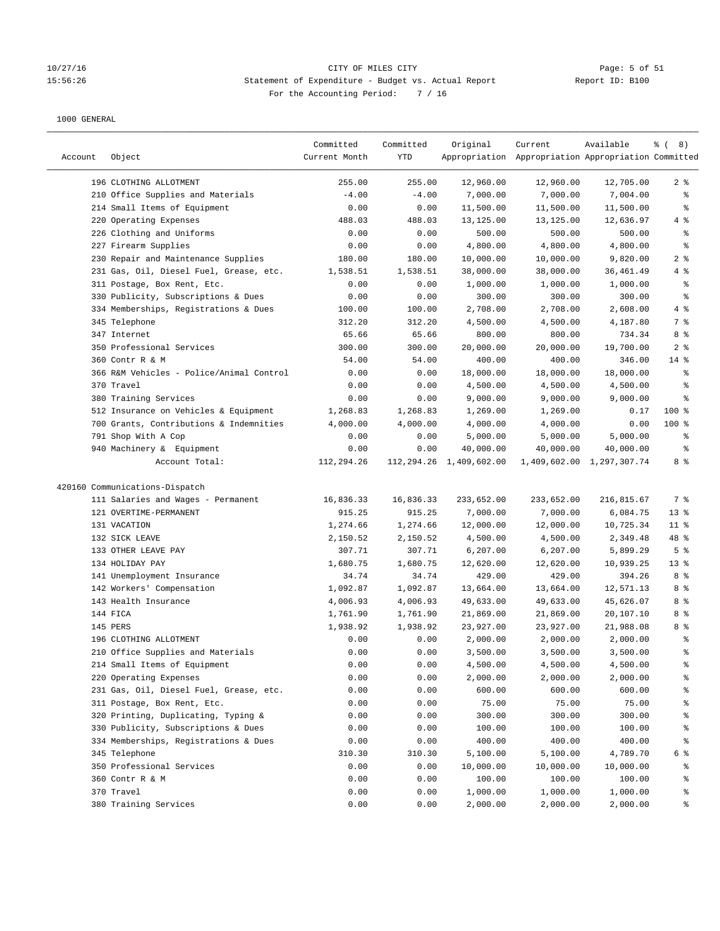# 10/27/16 Page: 5 of 51<br>15:56:26 Statement of Expenditure - Budget vs. Actual Report 11: Report ID: B100 15:56:26 Statement of Expenditure - Budget vs. Actual Report For the Accounting Period: 7 / 16

|         |                                                                      | Committed           | Committed            | Original                     | Current                                             | Available                 | $\frac{8}{6}$ ( 8)       |
|---------|----------------------------------------------------------------------|---------------------|----------------------|------------------------------|-----------------------------------------------------|---------------------------|--------------------------|
| Account | Object                                                               | Current Month       | YTD                  |                              | Appropriation Appropriation Appropriation Committed |                           |                          |
|         | 196 CLOTHING ALLOTMENT                                               | 255.00              | 255.00               | 12,960.00                    | 12,960.00                                           | 12,705.00                 | 2 <sub>8</sub>           |
|         | 210 Office Supplies and Materials                                    | $-4.00$             | $-4.00$              | 7,000.00                     | 7,000.00                                            | 7,004.00                  | ್ಠಿ                      |
|         | 214 Small Items of Equipment                                         | 0.00                | 0.00                 | 11,500.00                    | 11,500.00                                           | 11,500.00                 | ి                        |
|         | 220 Operating Expenses                                               | 488.03              | 488.03               | 13,125.00                    | 13,125.00                                           | 12,636.97                 | 4 %                      |
|         | 226 Clothing and Uniforms                                            | 0.00                | 0.00                 | 500.00                       | 500.00                                              | 500.00                    | ್ಠಿ                      |
|         | 227 Firearm Supplies                                                 | 0.00                | 0.00                 | 4,800.00                     | 4,800.00                                            | 4,800.00                  | ి                        |
|         | 230 Repair and Maintenance Supplies                                  | 180.00              | 180.00               | 10,000.00                    | 10,000.00                                           | 9,820.00                  | 2 <sub>8</sub>           |
|         | 231 Gas, Oil, Diesel Fuel, Grease, etc.                              | 1,538.51            | 1,538.51             | 38,000.00                    | 38,000.00                                           | 36, 461.49                | 4 %                      |
|         | 311 Postage, Box Rent, Etc.                                          | 0.00                | 0.00                 | 1,000.00                     | 1,000.00                                            | 1,000.00                  | ್ಠಿ                      |
|         | 330 Publicity, Subscriptions & Dues                                  | 0.00                | 0.00                 | 300.00                       | 300.00                                              | 300.00                    | ್ಠಿ                      |
|         | 334 Memberships, Registrations & Dues                                | 100.00              | 100.00               | 2,708.00                     | 2,708.00                                            | 2,608.00                  | 4 %                      |
|         | 345 Telephone                                                        | 312.20              | 312.20               | 4,500.00                     | 4,500.00                                            | 4,187.80                  | 7 %                      |
|         | 347 Internet                                                         | 65.66               | 65.66                | 800.00                       | 800.00                                              | 734.34                    | 8 %                      |
|         | 350 Professional Services                                            | 300.00              | 300.00               | 20,000.00                    | 20,000.00                                           | 19,700.00                 | 2 <sup>8</sup>           |
|         | 360 Contr R & M                                                      | 54.00               | 54.00                | 400.00                       | 400.00                                              | 346.00                    | $14$ %                   |
|         | 366 R&M Vehicles - Police/Animal Control                             | 0.00                | 0.00                 | 18,000.00                    | 18,000.00                                           | 18,000.00                 | ್ಠಿ                      |
|         | 370 Travel                                                           | 0.00                | 0.00                 | 4,500.00                     | 4,500.00                                            | 4,500.00                  | ి                        |
|         | 380 Training Services                                                | 0.00                | 0.00                 | 9,000.00                     | 9,000.00                                            | 9,000.00                  | နွ                       |
|         | 512 Insurance on Vehicles & Equipment                                | 1,268.83            | 1,268.83             | 1,269.00                     | 1,269.00                                            | 0.17                      | $100$ %                  |
|         | 700 Grants, Contributions & Indemnities                              | 4,000.00            | 4,000.00             | 4,000.00                     | 4,000.00                                            | 0.00                      | $100$ %                  |
|         | 791 Shop With A Cop                                                  | 0.00                | 0.00                 | 5,000.00                     | 5,000.00                                            | 5,000.00                  | နွ                       |
|         | 940 Machinery & Equipment                                            | 0.00                | 0.00                 | 40,000.00                    | 40,000.00                                           | 40,000.00                 | နွ                       |
|         | Account Total:                                                       | 112,294.26          |                      | 112, 294. 26 1, 409, 602. 00 |                                                     | 1,409,602.00 1,297,307.74 | 8 %                      |
|         |                                                                      |                     |                      |                              |                                                     |                           |                          |
|         | 420160 Communications-Dispatch<br>111 Salaries and Wages - Permanent |                     | 16,836.33            |                              | 233,652.00                                          | 216,815.67                | 7 %                      |
|         | 121 OVERTIME-PERMANENT                                               | 16,836.33<br>915.25 | 915.25               | 233,652.00                   |                                                     |                           |                          |
|         |                                                                      |                     |                      | 7,000.00                     | 7,000.00                                            | 6,084.75                  | $13*$                    |
|         | 131 VACATION                                                         | 1,274.66            | 1,274.66             | 12,000.00                    | 12,000.00                                           | 10,725.34                 | $11$ %                   |
|         | 132 SICK LEAVE<br>133 OTHER LEAVE PAY                                | 2,150.52<br>307.71  | 2,150.52<br>307.71   | 4,500.00<br>6,207.00         | 4,500.00<br>6,207.00                                | 2,349.48                  | 48 %<br>5 <sup>8</sup>   |
|         | 134 HOLIDAY PAY                                                      | 1,680.75            | 1,680.75             | 12,620.00                    | 12,620.00                                           | 5,899.29<br>10,939.25     | $13*$                    |
|         | 141 Unemployment Insurance                                           | 34.74               | 34.74                | 429.00                       | 429.00                                              | 394.26                    | 8 %                      |
|         | 142 Workers' Compensation                                            | 1,092.87            |                      | 13,664.00                    | 13,664.00                                           |                           | 8 %                      |
|         |                                                                      | 4,006.93            | 1,092.87<br>4,006.93 | 49,633.00                    | 49,633.00                                           | 12,571.13<br>45,626.07    | 8 %                      |
|         | 143 Health Insurance<br>144 FICA                                     | 1,761.90            | 1,761.90             | 21,869.00                    | 21,869.00                                           | 20,107.10                 | 8 %                      |
|         | 145 PERS                                                             | 1,938.92            | 1,938.92             | 23,927.00                    | 23,927.00                                           | 21,988.08                 | 8 %                      |
|         | 196 CLOTHING ALLOTMENT                                               | 0.00                | 0.00                 | 2,000.00                     | 2,000.00                                            | 2,000.00                  | ್ಠಿ                      |
|         | 210 Office Supplies and Materials                                    | 0.00                | 0.00                 | 3,500.00                     | 3,500.00                                            | 3,500.00                  | နွ                       |
|         | 214 Small Items of Equipment                                         | 0.00                | 0.00                 | 4,500.00                     | 4,500.00                                            | 4,500.00                  | န့                       |
|         | 220 Operating Expenses                                               | 0.00                | 0.00                 | 2,000.00                     | 2,000.00                                            | 2,000.00                  | $\,{}^{\circ}\!\!\delta$ |
|         | 231 Gas, Oil, Diesel Fuel, Grease, etc.                              | 0.00                | 0.00                 | 600.00                       | 600.00                                              | 600.00                    | $\,{}^{\circ}\!\!\delta$ |
|         | 311 Postage, Box Rent, Etc.                                          | 0.00                | 0.00                 | 75.00                        | 75.00                                               | 75.00                     | နွ                       |
|         | 320 Printing, Duplicating, Typing &                                  | 0.00                | 0.00                 | 300.00                       | 300.00                                              | 300.00                    | နွ                       |
|         | 330 Publicity, Subscriptions & Dues                                  | 0.00                | 0.00                 | 100.00                       | 100.00                                              |                           | န့                       |
|         | 334 Memberships, Registrations & Dues                                |                     |                      | 400.00                       | 400.00                                              | 100.00                    | $\,{}^{\circ}\!\!\delta$ |
|         | 345 Telephone                                                        | 0.00<br>310.30      | 0.00<br>310.30       | 5,100.00                     | 5,100.00                                            | 400.00<br>4,789.70        | 6 %                      |
|         | 350 Professional Services                                            | 0.00                | 0.00                 | 10,000.00                    | 10,000.00                                           | 10,000.00                 | ိစ                       |
|         | 360 Contr R & M                                                      | 0.00                | 0.00                 | 100.00                       | 100.00                                              | 100.00                    | ိစ                       |
|         | 370 Travel                                                           | 0.00                | 0.00                 | 1,000.00                     | 1,000.00                                            | 1,000.00                  | ွေ                       |
|         | 380 Training Services                                                | 0.00                | 0.00                 | 2,000.00                     | 2,000.00                                            | 2,000.00                  | နွ                       |
|         |                                                                      |                     |                      |                              |                                                     |                           |                          |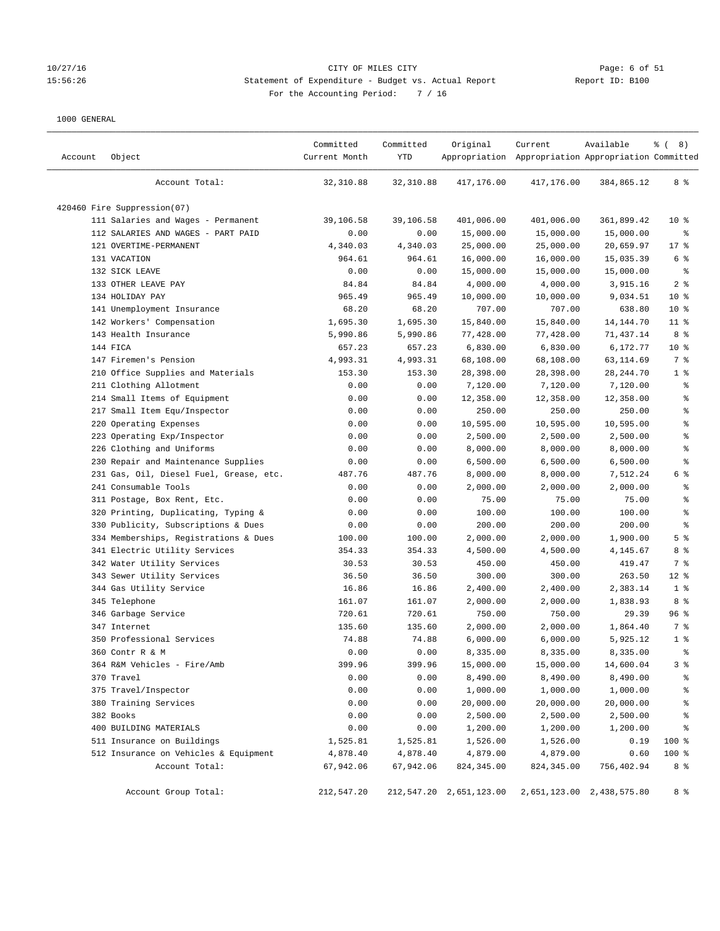# 10/27/16 Page: 6 of 51<br>15:56:26 Statement of Expenditure - Budget vs. Actual Report 11: Report ID: B100 15:56:26 Statement of Expenditure - Budget vs. Actual Report For the Accounting Period: 7 / 16

| Account | Object                                  | Committed<br>Current Month | Committed<br>YTD | Original                | Current<br>Appropriation Appropriation Appropriation Committed | Available                 | <sub>රී</sub> ( 8 ) |
|---------|-----------------------------------------|----------------------------|------------------|-------------------------|----------------------------------------------------------------|---------------------------|---------------------|
|         | Account Total:                          | 32,310.88                  | 32,310.88        | 417,176.00              | 417,176.00                                                     | 384,865.12                | 8 %                 |
|         | 420460 Fire Suppression(07)             |                            |                  |                         |                                                                |                           |                     |
|         | 111 Salaries and Wages - Permanent      | 39,106.58                  | 39,106.58        | 401,006.00              | 401,006.00                                                     | 361,899.42                | 10 <sup>°</sup>     |
|         | 112 SALARIES AND WAGES - PART PAID      | 0.00                       | 0.00             | 15,000.00               | 15,000.00                                                      | 15,000.00                 | ွေ                  |
|         | 121 OVERTIME-PERMANENT                  | 4,340.03                   | 4,340.03         | 25,000.00               | 25,000.00                                                      | 20,659.97                 | $17$ %              |
|         | 131 VACATION                            | 964.61                     | 964.61           | 16,000.00               | 16,000.00                                                      | 15,035.39                 | 6 %                 |
|         | 132 SICK LEAVE                          | 0.00                       | 0.00             | 15,000.00               | 15,000.00                                                      | 15,000.00                 | နွ                  |
|         | 133 OTHER LEAVE PAY                     | 84.84                      | 84.84            | 4,000.00                | 4,000.00                                                       | 3,915.16                  | 2%                  |
|         | 134 HOLIDAY PAY                         | 965.49                     | 965.49           | 10,000.00               | 10,000.00                                                      | 9,034.51                  | 10 <sup>°</sup>     |
|         | 141 Unemployment Insurance              | 68.20                      | 68.20            | 707.00                  | 707.00                                                         | 638.80                    | 10 <sup>°</sup>     |
|         | 142 Workers' Compensation               | 1,695.30                   | 1,695.30         | 15,840.00               | 15,840.00                                                      | 14,144.70                 | $11$ %              |
|         | 143 Health Insurance                    | 5,990.86                   | 5,990.86         | 77,428.00               | 77,428.00                                                      | 71,437.14                 | 8 %                 |
|         | 144 FICA                                | 657.23                     | 657.23           | 6,830.00                | 6,830.00                                                       | 6,172.77                  | $10*$               |
|         | 147 Firemen's Pension                   | 4,993.31                   | 4,993.31         | 68,108.00               | 68,108.00                                                      | 63,114.69                 | 7 %                 |
|         | 210 Office Supplies and Materials       | 153.30                     | 153.30           | 28,398.00               | 28,398.00                                                      | 28,244.70                 | 1 <sup>8</sup>      |
|         | 211 Clothing Allotment                  | 0.00                       | 0.00             | 7,120.00                | 7,120.00                                                       | 7,120.00                  | န့                  |
|         | 214 Small Items of Equipment            | 0.00                       | 0.00             | 12,358.00               | 12,358.00                                                      | 12,358.00                 | န့                  |
|         | 217 Small Item Equ/Inspector            | 0.00                       | 0.00             | 250.00                  | 250.00                                                         | 250.00                    | န့                  |
|         | 220 Operating Expenses                  | 0.00                       | 0.00             | 10,595.00               | 10,595.00                                                      | 10,595.00                 | ್ಠಿ                 |
|         | 223 Operating Exp/Inspector             | 0.00                       | 0.00             | 2,500.00                | 2,500.00                                                       | 2,500.00                  | ್ಠಿ                 |
|         | 226 Clothing and Uniforms               | 0.00                       | 0.00             | 8,000.00                | 8,000.00                                                       | 8,000.00                  | ి                   |
|         | 230 Repair and Maintenance Supplies     | 0.00                       | 0.00             | 6,500.00                | 6,500.00                                                       | 6,500.00                  | ి                   |
|         | 231 Gas, Oil, Diesel Fuel, Grease, etc. | 487.76                     | 487.76           | 8,000.00                | 8,000.00                                                       | 7,512.24                  | 6 %                 |
|         | 241 Consumable Tools                    | 0.00                       | 0.00             | 2,000.00                | 2,000.00                                                       | 2,000.00                  | နွ                  |
|         | 311 Postage, Box Rent, Etc.             | 0.00                       | 0.00             | 75.00                   | 75.00                                                          | 75.00                     | ್ಠಿ                 |
|         | 320 Printing, Duplicating, Typing &     | 0.00                       | 0.00             | 100.00                  | 100.00                                                         | 100.00                    | ್ಠಿ                 |
|         | 330 Publicity, Subscriptions & Dues     | 0.00                       | 0.00             | 200.00                  | 200.00                                                         | 200.00                    | ್ಠಿ                 |
|         | 334 Memberships, Registrations & Dues   | 100.00                     | 100.00           | 2,000.00                | 2,000.00                                                       | 1,900.00                  | 5 <sup>8</sup>      |
|         | 341 Electric Utility Services           | 354.33                     | 354.33           | 4,500.00                | 4,500.00                                                       | 4,145.67                  | 8 %                 |
|         | 342 Water Utility Services              | 30.53                      | 30.53            | 450.00                  | 450.00                                                         | 419.47                    | 7 %                 |
|         | 343 Sewer Utility Services              | 36.50                      | 36.50            | 300.00                  | 300.00                                                         | 263.50                    | $12*$               |
|         | 344 Gas Utility Service                 | 16.86                      | 16.86            | 2,400.00                | 2,400.00                                                       | 2,383.14                  | 1 <sup>8</sup>      |
|         | 345 Telephone                           | 161.07                     | 161.07           | 2,000.00                | 2,000.00                                                       | 1,838.93                  | 8 %                 |
|         | 346 Garbage Service                     | 720.61                     | 720.61           | 750.00                  | 750.00                                                         | 29.39                     | 96%                 |
|         | 347 Internet                            | 135.60                     | 135.60           | 2,000.00                | 2,000.00                                                       | 1,864.40                  | 7 %                 |
|         | 350 Professional Services               | 74.88                      | 74.88            | 6,000.00                | 6,000.00                                                       | 5,925.12                  | 1 <sup>8</sup>      |
|         | 360 Contr R & M                         | 0.00                       | 0.00             | 8,335.00                | 8,335.00                                                       | 8,335.00                  | ÷.                  |
|         | 364 R&M Vehicles - Fire/Amb             | 399.96                     | 399.96           | 15,000.00               | 15,000.00                                                      | 14,600.04                 | 3 <sup>°</sup>      |
|         | 370 Travel                              | 0.00                       | 0.00             | 8,490.00                | 8,490.00                                                       | 8,490.00                  | ွေ                  |
|         | 375 Travel/Inspector                    | 0.00                       | 0.00             | 1,000.00                | 1,000.00                                                       | 1,000.00                  | ိစ                  |
|         | 380 Training Services                   | 0.00                       | 0.00             | 20,000.00               | 20,000.00                                                      | 20,000.00                 | နွ                  |
|         | 382 Books                               | 0.00                       | 0.00             | 2,500.00                | 2,500.00                                                       | 2,500.00                  | န့                  |
|         | 400 BUILDING MATERIALS                  | 0.00                       | 0.00             | 1,200.00                | 1,200.00                                                       | 1,200.00                  | န့                  |
|         | 511 Insurance on Buildings              | 1,525.81                   | 1,525.81         | 1,526.00                | 1,526.00                                                       | 0.19                      | 100 %               |
|         | 512 Insurance on Vehicles & Equipment   | 4,878.40                   | 4,878.40         | 4,879.00                | 4,879.00                                                       | 0.60                      | 100 %               |
|         | Account Total:                          | 67,942.06                  | 67,942.06        | 824,345.00              | 824, 345.00                                                    | 756,402.94                | 8 <sup>°</sup>      |
|         | Account Group Total:                    | 212,547.20                 |                  | 212,547.20 2,651,123.00 |                                                                | 2,651,123.00 2,438,575.80 | 8 %                 |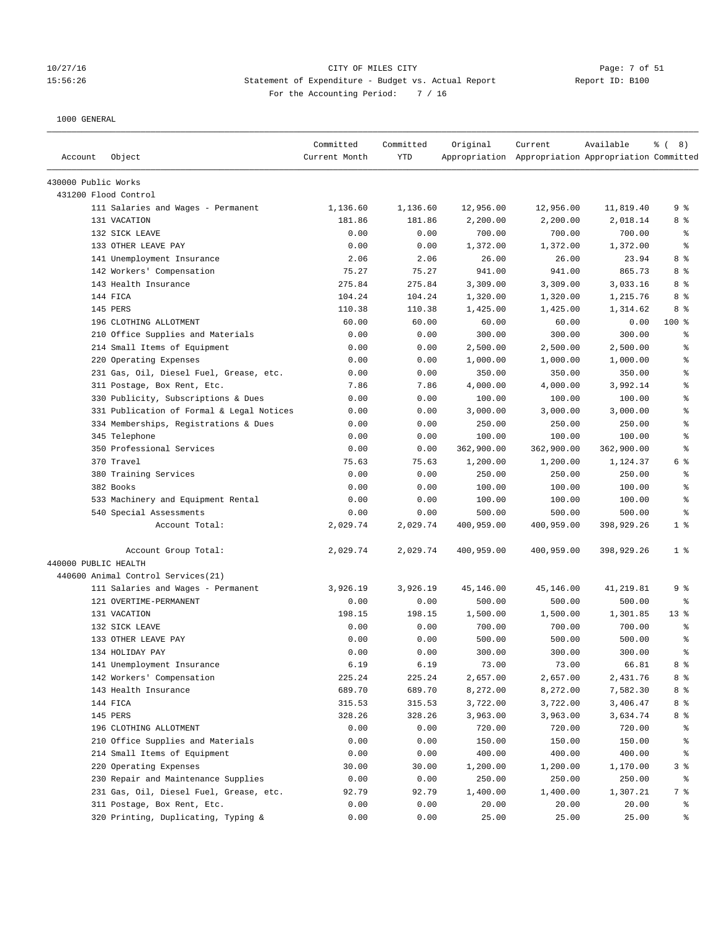#### 10/27/16 CITY OF MILES CITY Page: 7 of 51 15:56:26 Statement of Expenditure - Budget vs. Actual Report Report ID: B100 For the Accounting Period: 7 / 16

| Account              | Object                                    | Committed<br>Current Month | Committed<br><b>YTD</b> | Original   | Current<br>Appropriation Appropriation Appropriation Committed | Available  | $\frac{6}{6}$ ( 8) |
|----------------------|-------------------------------------------|----------------------------|-------------------------|------------|----------------------------------------------------------------|------------|--------------------|
| 430000 Public Works  |                                           |                            |                         |            |                                                                |            |                    |
|                      | 431200 Flood Control                      |                            |                         |            |                                                                |            |                    |
|                      | 111 Salaries and Wages - Permanent        | 1,136.60                   | 1,136.60                | 12,956.00  | 12,956.00                                                      | 11,819.40  | 9 <sup>8</sup>     |
|                      | 131 VACATION                              | 181.86                     | 181.86                  | 2,200.00   | 2,200.00                                                       | 2,018.14   | 8 %                |
|                      | 132 SICK LEAVE                            | 0.00                       | 0.00                    | 700.00     | 700.00                                                         | 700.00     | ್ಠಿ                |
|                      | 133 OTHER LEAVE PAY                       | 0.00                       | 0.00                    | 1,372.00   | 1,372.00                                                       | 1,372.00   | နွ                 |
|                      | 141 Unemployment Insurance                | 2.06                       | 2.06                    | 26.00      | 26.00                                                          | 23.94      | 8 %                |
|                      | 142 Workers' Compensation                 | 75.27                      | 75.27                   | 941.00     | 941.00                                                         | 865.73     | 8 %                |
|                      | 143 Health Insurance                      | 275.84                     | 275.84                  | 3,309.00   | 3,309.00                                                       | 3,033.16   | 8 %                |
|                      | 144 FICA                                  | 104.24                     | 104.24                  | 1,320.00   | 1,320.00                                                       | 1,215.76   | 8 %                |
|                      | 145 PERS                                  | 110.38                     | 110.38                  | 1,425.00   | 1,425.00                                                       | 1,314.62   | 8 %                |
|                      | 196 CLOTHING ALLOTMENT                    | 60.00                      | 60.00                   | 60.00      | 60.00                                                          | 0.00       | $100$ %            |
|                      | 210 Office Supplies and Materials         | 0.00                       | 0.00                    | 300.00     | 300.00                                                         | 300.00     | g,                 |
|                      | 214 Small Items of Equipment              | 0.00                       | 0.00                    | 2,500.00   | 2,500.00                                                       | 2,500.00   | $\epsilon$         |
|                      | 220 Operating Expenses                    | 0.00                       | 0.00                    | 1,000.00   | 1,000.00                                                       | 1,000.00   | နွ                 |
|                      | 231 Gas, Oil, Diesel Fuel, Grease, etc.   | 0.00                       | 0.00                    | 350.00     | 350.00                                                         | 350.00     | る                  |
|                      | 311 Postage, Box Rent, Etc.               | 7.86                       | 7.86                    | 4,000.00   | 4,000.00                                                       | 3,992.14   | န္                 |
|                      | 330 Publicity, Subscriptions & Dues       | 0.00                       | 0.00                    | 100.00     | 100.00                                                         | 100.00     | န့                 |
|                      | 331 Publication of Formal & Legal Notices | 0.00                       | 0.00                    | 3,000.00   | 3,000.00                                                       | 3,000.00   | န့                 |
|                      | 334 Memberships, Registrations & Dues     | 0.00                       | 0.00                    | 250.00     | 250.00                                                         | 250.00     | န့                 |
|                      | 345 Telephone                             | 0.00                       | 0.00                    | 100.00     | 100.00                                                         | 100.00     | နွ                 |
|                      | 350 Professional Services                 | 0.00                       | 0.00                    | 362,900.00 | 362,900.00                                                     | 362,900.00 | နွ                 |
|                      | 370 Travel                                | 75.63                      | 75.63                   | 1,200.00   | 1,200.00                                                       | 1,124.37   | 6 %                |
|                      | 380 Training Services                     | 0.00                       | 0.00                    | 250.00     | 250.00                                                         | 250.00     | $\epsilon$         |
|                      | 382 Books                                 | 0.00                       | 0.00                    | 100.00     | 100.00                                                         | 100.00     | g                  |
|                      | 533 Machinery and Equipment Rental        | 0.00                       | 0.00                    | 100.00     | 100.00                                                         | 100.00     | $\epsilon$         |
|                      | 540 Special Assessments                   | 0.00                       | 0.00                    | 500.00     | 500.00                                                         | 500.00     | နွ                 |
|                      | Account Total:                            | 2,029.74                   | 2,029.74                | 400,959.00 | 400,959.00                                                     | 398,929.26 | 1 <sup>8</sup>     |
|                      | Account Group Total:                      | 2,029.74                   | 2,029.74                | 400,959.00 | 400,959.00                                                     | 398,929.26 | 1 <sup>8</sup>     |
| 440000 PUBLIC HEALTH |                                           |                            |                         |            |                                                                |            |                    |
|                      | 440600 Animal Control Services (21)       |                            |                         |            |                                                                |            |                    |
|                      | 111 Salaries and Wages - Permanent        | 3,926.19                   | 3,926.19                | 45,146.00  | 45,146.00                                                      | 41,219.81  | 9%                 |
|                      | 121 OVERTIME-PERMANENT                    | 0.00                       | 0.00                    | 500.00     | 500.00                                                         | 500.00     | ి                  |
|                      | 131 VACATION                              | 198.15                     | 198.15                  | 1,500.00   | 1,500.00                                                       | 1,301.85   | $13*$              |
|                      | 132 SICK LEAVE                            | 0.00                       | 0.00                    | 700.00     | 700.00                                                         | 700.00     | る                  |
|                      | 133 OTHER LEAVE PAY                       | 0.00                       | 0.00                    | 500.00     | 500.00                                                         | 500.00     | g                  |
|                      | 134 HOLIDAY PAY                           | 0.00                       | 0.00                    | 300.00     | 300.00                                                         | 300.00     | ٩,                 |
|                      | 141 Unemployment Insurance                | 6.19                       | 6.19                    | 73.00      | 73.00                                                          | 66.81      | 8 %                |
|                      | 142 Workers' Compensation                 | 225.24                     | 225.24                  | 2,657.00   | 2,657.00                                                       | 2,431.76   | 8 %                |
|                      | 143 Health Insurance                      | 689.70                     | 689.70                  | 8,272.00   | 8,272.00                                                       | 7,582.30   | 8 %                |
|                      | 144 FICA                                  | 315.53                     | 315.53                  | 3,722.00   | 3,722.00                                                       | 3,406.47   | 8 %                |
|                      | 145 PERS                                  | 328.26                     | 328.26                  | 3,963.00   | 3,963.00                                                       | 3,634.74   | 8 %                |
|                      | 196 CLOTHING ALLOTMENT                    | 0.00                       | 0.00                    | 720.00     | 720.00                                                         | 720.00     | ိစ                 |
|                      | 210 Office Supplies and Materials         | 0.00                       | 0.00                    | 150.00     | 150.00                                                         | 150.00     | $\,$ $\,$ $\,$     |
|                      | 214 Small Items of Equipment              | 0.00                       | 0.00                    | 400.00     | 400.00                                                         | 400.00     | ိစ                 |
|                      | 220 Operating Expenses                    | 30.00                      | 30.00                   | 1,200.00   | 1,200.00                                                       | 1,170.00   | 3%                 |
|                      | 230 Repair and Maintenance Supplies       | 0.00                       | 0.00                    | 250.00     | 250.00                                                         | 250.00     | ႜ                  |
|                      | 231 Gas, Oil, Diesel Fuel, Grease, etc.   | 92.79                      | 92.79                   | 1,400.00   | 1,400.00                                                       | 1,307.21   | 7 %                |
|                      | 311 Postage, Box Rent, Etc.               | 0.00                       | 0.00                    | 20.00      | 20.00                                                          | 20.00      | ိစ                 |
|                      | 320 Printing, Duplicating, Typing &       | 0.00                       | 0.00                    | 25.00      | 25.00                                                          | 25.00      | ್ಠಿ                |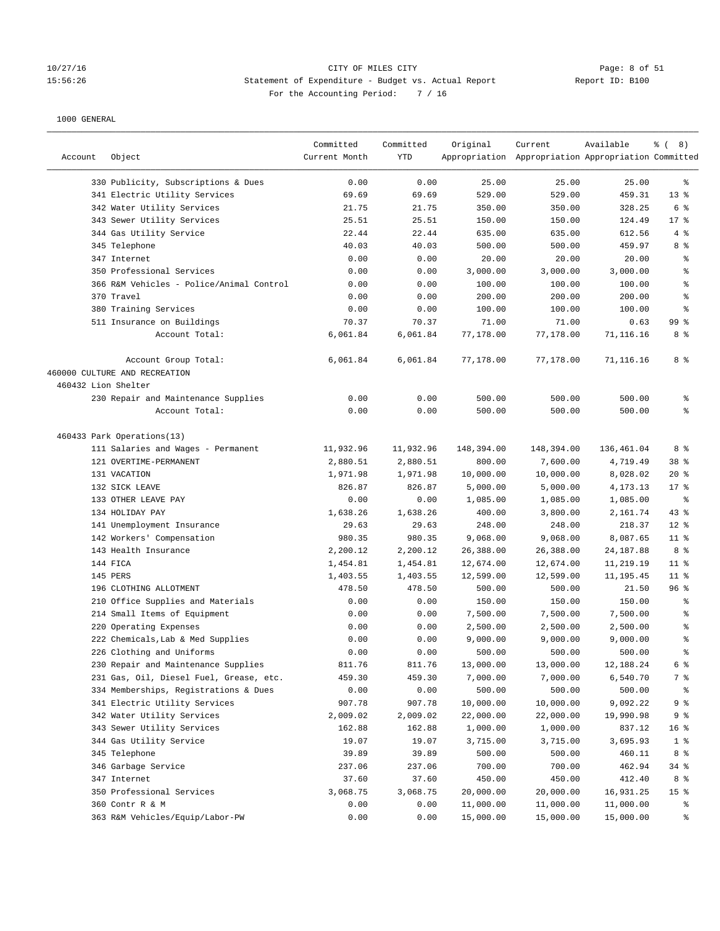# 10/27/16 CITY OF MILES CITY Page: 8 of 51 15:56:26 Statement of Expenditure - Budget vs. Actual Report Report ID: B100 For the Accounting Period: 7 / 16

| Account             | Object                                   | Committed<br>Current Month | Committed<br><b>YTD</b> | Original   | Current<br>Appropriation Appropriation Appropriation Committed | Available  | $\frac{6}{6}$ ( 8) |
|---------------------|------------------------------------------|----------------------------|-------------------------|------------|----------------------------------------------------------------|------------|--------------------|
|                     | 330 Publicity, Subscriptions & Dues      | 0.00                       | 0.00                    | 25.00      | 25.00                                                          | 25.00      | နွ                 |
|                     | 341 Electric Utility Services            | 69.69                      | 69.69                   | 529.00     | 529.00                                                         | 459.31     | $13*$              |
|                     | 342 Water Utility Services               | 21.75                      | 21.75                   | 350.00     | 350.00                                                         | 328.25     | 6 %                |
|                     | 343 Sewer Utility Services               | 25.51                      | 25.51                   | 150.00     | 150.00                                                         | 124.49     | 17.8               |
|                     | 344 Gas Utility Service                  | 22.44                      | 22.44                   | 635.00     | 635.00                                                         | 612.56     | 4%                 |
|                     | 345 Telephone                            | 40.03                      | 40.03                   | 500.00     | 500.00                                                         | 459.97     | 8 %                |
|                     | 347 Internet                             | 0.00                       | 0.00                    | 20.00      | 20.00                                                          | 20.00      | ್ಠಿ                |
|                     | 350 Professional Services                | 0.00                       | 0.00                    | 3,000.00   | 3,000.00                                                       | 3,000.00   | ి                  |
|                     | 366 R&M Vehicles - Police/Animal Control | 0.00                       | 0.00                    | 100.00     | 100.00                                                         | 100.00     | ್ಠಿ                |
|                     | 370 Travel                               | 0.00                       | 0.00                    | 200.00     | 200.00                                                         | 200.00     | ್ಠಿ                |
|                     | 380 Training Services                    | 0.00                       | 0.00                    | 100.00     | 100.00                                                         | 100.00     | ి                  |
|                     | 511 Insurance on Buildings               | 70.37                      | 70.37                   | 71.00      | 71.00                                                          | 0.63       | 99 <sub>8</sub>    |
|                     | Account Total:                           | 6,061.84                   | 6,061.84                | 77,178.00  | 77,178.00                                                      | 71,116.16  | 8 %                |
|                     | Account Group Total:                     | 6,061.84                   | 6,061.84                | 77,178.00  | 77,178.00                                                      | 71,116.16  | 8 %                |
|                     | 460000 CULTURE AND RECREATION            |                            |                         |            |                                                                |            |                    |
| 460432 Lion Shelter |                                          |                            |                         |            |                                                                |            |                    |
|                     | 230 Repair and Maintenance Supplies      | 0.00                       | 0.00                    | 500.00     | 500.00                                                         | 500.00     | နွ                 |
|                     | Account Total:                           | 0.00                       | 0.00                    | 500.00     | 500.00                                                         | 500.00     | ి                  |
|                     | 460433 Park Operations(13)               |                            |                         |            |                                                                |            |                    |
|                     | 111 Salaries and Wages - Permanent       | 11,932.96                  | 11,932.96               | 148,394.00 | 148,394.00                                                     | 136,461.04 | 8 %                |
|                     | 121 OVERTIME-PERMANENT                   | 2,880.51                   | 2,880.51                | 800.00     | 7,600.00                                                       | 4,719.49   | 38 <sup>8</sup>    |
|                     | 131 VACATION                             | 1,971.98                   | 1,971.98                | 10,000.00  | 10,000.00                                                      | 8,028.02   | $20*$              |
|                     | 132 SICK LEAVE                           | 826.87                     | 826.87                  | 5,000.00   | 5,000.00                                                       | 4,173.13   | $17*$              |
|                     | 133 OTHER LEAVE PAY                      | 0.00                       | 0.00                    | 1,085.00   | 1,085.00                                                       | 1,085.00   | နွ                 |
|                     | 134 HOLIDAY PAY                          | 1,638.26                   | 1,638.26                | 400.00     | 3,800.00                                                       | 2,161.74   | $43$ %             |
|                     | 141 Unemployment Insurance               | 29.63                      | 29.63                   | 248.00     | 248.00                                                         | 218.37     | $12*$              |
|                     | 142 Workers' Compensation                | 980.35                     | 980.35                  | 9,068.00   | 9,068.00                                                       | 8,087.65   | $11$ %             |
|                     | 143 Health Insurance                     | 2,200.12                   | 2,200.12                | 26,388.00  | 26,388.00                                                      | 24,187.88  | 8%                 |
|                     | 144 FICA                                 | 1,454.81                   | 1,454.81                | 12,674.00  | 12,674.00                                                      | 11,219.19  | $11$ %             |
|                     | 145 PERS                                 | 1,403.55                   | 1,403.55                | 12,599.00  | 12,599.00                                                      | 11,195.45  | $11$ %             |
|                     | 196 CLOTHING ALLOTMENT                   | 478.50                     | 478.50                  | 500.00     | 500.00                                                         | 21.50      | 96 <sup>8</sup>    |
|                     | 210 Office Supplies and Materials        | 0.00                       | 0.00                    | 150.00     | 150.00                                                         | 150.00     | ್ಠಿ                |
|                     | 214 Small Items of Equipment             | 0.00                       | 0.00                    | 7,500.00   | 7,500.00                                                       | 7,500.00   | ್ಠಿ                |
|                     | 220 Operating Expenses                   | 0.00                       | 0.00                    | 2,500.00   | 2,500.00                                                       | 2,500.00   | ి                  |
|                     | 222 Chemicals, Lab & Med Supplies        | 0.00                       | 0.00                    | 9,000.00   | 9,000.00                                                       | 9,000.00   | $\,$ $\,$ $\,$     |
|                     | 226 Clothing and Uniforms                | 0.00                       | 0.00                    | 500.00     | 500.00                                                         | 500.00     | ి                  |
|                     | 230 Repair and Maintenance Supplies      | 811.76                     | 811.76                  | 13,000.00  | 13,000.00                                                      | 12,188.24  | 6 %                |
|                     | 231 Gas, Oil, Diesel Fuel, Grease, etc.  | 459.30                     | 459.30                  | 7,000.00   | 7,000.00                                                       | 6,540.70   | 7 %                |
|                     | 334 Memberships, Registrations & Dues    | 0.00                       | 0.00                    | 500.00     | 500.00                                                         | 500.00     | ိစ                 |
|                     | 341 Electric Utility Services            | 907.78                     | 907.78                  | 10,000.00  | 10,000.00                                                      | 9,092.22   | 9 %                |
|                     | 342 Water Utility Services               | 2,009.02                   | 2,009.02                | 22,000.00  | 22,000.00                                                      | 19,990.98  | 9 %                |
|                     | 343 Sewer Utility Services               | 162.88                     | 162.88                  | 1,000.00   | 1,000.00                                                       | 837.12     | 16 <sup>°</sup>    |
|                     | 344 Gas Utility Service                  | 19.07                      | 19.07                   | 3,715.00   | 3,715.00                                                       | 3,695.93   | 1 <sup>8</sup>     |
|                     | 345 Telephone                            | 39.89                      | 39.89                   | 500.00     | 500.00                                                         | 460.11     | 8 %                |
|                     | 346 Garbage Service                      | 237.06                     | 237.06                  | 700.00     | 700.00                                                         | 462.94     | 34 %               |
|                     | 347 Internet                             | 37.60                      | 37.60                   | 450.00     | 450.00                                                         | 412.40     | 8 %                |
|                     | 350 Professional Services                | 3,068.75                   | 3,068.75                | 20,000.00  | 20,000.00                                                      | 16,931.25  | 15 <sup>°</sup>    |
|                     | 360 Contr R & M                          | 0.00                       | 0.00                    | 11,000.00  | 11,000.00                                                      | 11,000.00  | နွ                 |
|                     | 363 R&M Vehicles/Equip/Labor-PW          | 0.00                       | 0.00                    | 15,000.00  | 15,000.00                                                      | 15,000.00  | နွ                 |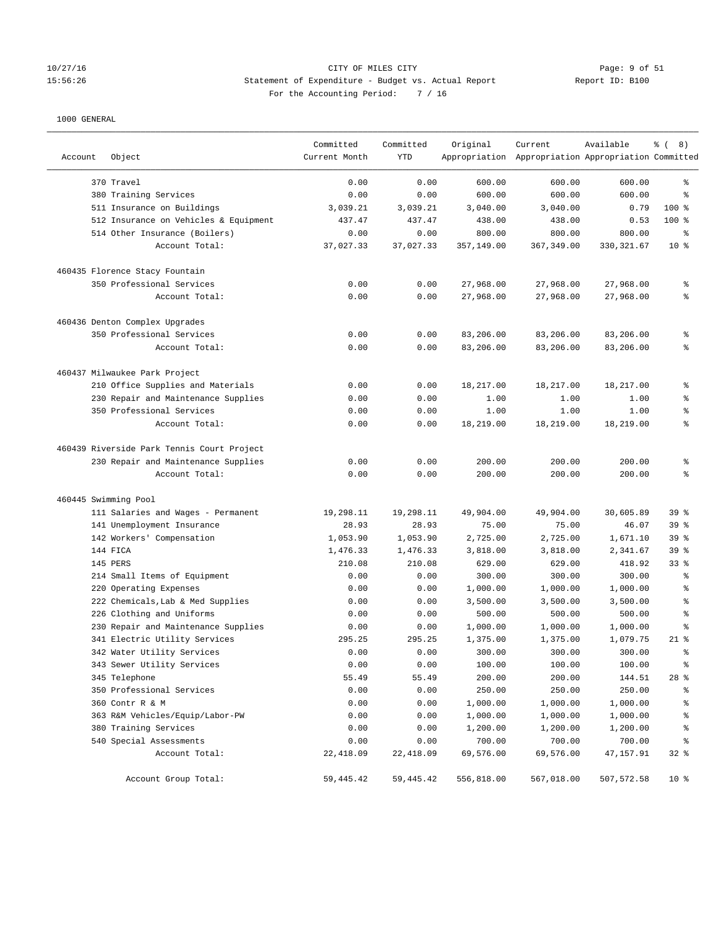# 10/27/16 CITY OF MILES CITY Page: 9 of 51 15:56:26 Statement of Expenditure - Budget vs. Actual Report Changer (Report ID: B100 For the Accounting Period: 7 / 16

| Object<br>Account                          | Committed<br>Current Month | Committed<br><b>YTD</b> | Original            | Current<br>Appropriation Appropriation Appropriation Committed | Available           | $\frac{6}{6}$ ( 8)              |
|--------------------------------------------|----------------------------|-------------------------|---------------------|----------------------------------------------------------------|---------------------|---------------------------------|
| 370 Travel                                 | 0.00                       | 0.00                    | 600.00              | 600.00                                                         | 600.00              | နွ                              |
| 380 Training Services                      | 0.00                       | 0.00                    | 600.00              | 600.00                                                         | 600.00              | ి                               |
| 511 Insurance on Buildings                 | 3,039.21                   | 3,039.21                | 3,040.00            | 3,040.00                                                       | 0.79                | $100$ %                         |
| 512 Insurance on Vehicles & Equipment      | 437.47                     | 437.47                  | 438.00              | 438.00                                                         | 0.53                | $100$ %                         |
| 514 Other Insurance (Boilers)              | 0.00                       | 0.00                    | 800.00              | 800.00                                                         | 800.00              | ್ಠಿ                             |
| Account Total:                             | 37,027.33                  | 37,027.33               | 357,149.00          | 367,349.00                                                     | 330, 321.67         | $10*$                           |
| 460435 Florence Stacy Fountain             |                            |                         |                     |                                                                |                     |                                 |
| 350 Professional Services                  | 0.00                       | 0.00                    | 27,968.00           | 27,968.00                                                      | 27,968.00           | ್ಠಿ                             |
| Account Total:                             | 0.00                       | 0.00                    | 27,968.00           | 27,968.00                                                      | 27,968.00           | ៖                               |
| 460436 Denton Complex Upgrades             |                            |                         |                     |                                                                |                     |                                 |
| 350 Professional Services                  | 0.00                       | 0.00                    | 83,206.00           | 83,206.00                                                      | 83,206.00           | န့                              |
| Account Total:                             | 0.00                       | 0.00                    | 83,206.00           | 83,206.00                                                      | 83,206.00           | နွ                              |
| 460437 Milwaukee Park Project              |                            |                         |                     |                                                                |                     |                                 |
| 210 Office Supplies and Materials          | 0.00                       | 0.00                    | 18,217.00           | 18,217.00                                                      | 18,217.00           | ್ಠಿ                             |
| 230 Repair and Maintenance Supplies        | 0.00                       | 0.00                    | 1.00                | 1.00                                                           | 1.00                | န့                              |
| 350 Professional Services                  | 0.00                       | 0.00                    | 1.00                | 1.00                                                           | 1.00                | ್ಠಿ                             |
| Account Total:                             | 0.00                       | 0.00                    | 18,219.00           | 18,219.00                                                      | 18,219.00           | န့                              |
| 460439 Riverside Park Tennis Court Project |                            |                         |                     |                                                                |                     |                                 |
| 230 Repair and Maintenance Supplies        | 0.00                       | 0.00                    | 200.00              | 200.00                                                         | 200.00              | န့                              |
| Account Total:                             | 0.00                       | 0.00                    | 200.00              | 200.00                                                         | 200.00              | နွ                              |
| 460445 Swimming Pool                       |                            |                         |                     |                                                                |                     |                                 |
| 111 Salaries and Wages - Permanent         | 19,298.11                  | 19,298.11               | 49,904.00           | 49,904.00                                                      | 30,605.89           | 39 <sup>8</sup>                 |
| 141 Unemployment Insurance                 | 28.93                      | 28.93                   | 75.00               | 75.00                                                          | 46.07               | 39 <sup>8</sup>                 |
| 142 Workers' Compensation                  | 1,053.90                   | 1,053.90                | 2,725.00            | 2,725.00                                                       | 1,671.10            | 39 <sup>8</sup>                 |
| 144 FICA                                   | 1,476.33                   | 1,476.33                | 3,818.00            | 3,818.00                                                       | 2,341.67            | 39%                             |
| 145 PERS                                   | 210.08                     | 210.08                  | 629.00              | 629.00                                                         | 418.92              | 33%                             |
| 214 Small Items of Equipment               | 0.00                       | 0.00                    | 300.00              | 300.00                                                         | 300.00              | နွ                              |
| 220 Operating Expenses                     | 0.00                       | 0.00                    | 1,000.00            | 1,000.00                                                       | 1,000.00            | နွ                              |
| 222 Chemicals, Lab & Med Supplies          | 0.00                       | 0.00                    | 3,500.00            | 3,500.00                                                       | 3,500.00            | ್ಠಿ                             |
| 226 Clothing and Uniforms                  | 0.00                       | 0.00                    | 500.00              | 500.00                                                         | 500.00              | ್ಠಿ                             |
| 230 Repair and Maintenance Supplies        | 0.00                       | 0.00                    | 1,000.00            | 1,000.00                                                       | 1,000.00            | ి                               |
| 341 Electric Utility Services              | 295.25                     | 295.25                  | 1,375.00            | 1,375.00                                                       | 1,079.75            | $21$ %                          |
| 342 Water Utility Services                 | 0.00                       | 0.00                    | 300.00              | 300.00                                                         | 300.00              | ま                               |
| 343 Sewer Utility Services                 | 0.00                       | 0.00                    | 100.00              | 100.00                                                         | 100.00              | $\frac{8}{6}$                   |
| 345 Telephone                              | 55.49                      | 55.49                   | 200.00              | 200.00                                                         | 144.51              | $28$ %                          |
| 350 Professional Services                  | 0.00                       | 0.00                    | 250.00              | 250.00                                                         | 250.00              | န့                              |
| 360 Contr R & M                            | 0.00                       | 0.00                    | 1,000.00            | 1,000.00                                                       | 1,000.00            | န့                              |
| 363 R&M Vehicles/Equip/Labor-PW            | 0.00                       | 0.00                    | 1,000.00            | 1,000.00                                                       | 1,000.00            | န့                              |
| 380 Training Services                      | 0.00                       | 0.00                    | 1,200.00            | 1,200.00                                                       | 1,200.00            | န့                              |
| 540 Special Assessments<br>Account Total:  | 0.00<br>22,418.09          | 0.00<br>22,418.09       | 700.00<br>69,576.00 | 700.00<br>69,576.00                                            | 700.00<br>47,157.91 | $\,{}^{\circ}\!\!\delta$<br>32% |
| Account Group Total:                       | 59,445.42                  | 59,445.42               | 556,818.00          | 567,018.00                                                     | 507,572.58          | 10 <sup>°</sup>                 |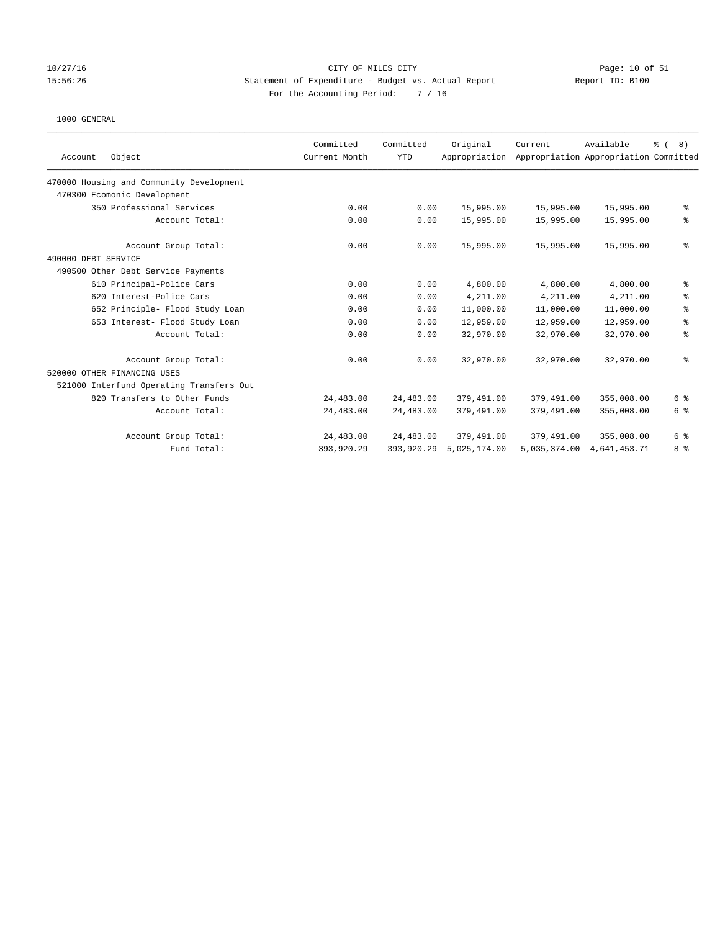## 10/27/16 CITY OF MILES CITY Page: 10 of 51 15:56:26 Statement of Expenditure - Budget vs. Actual Report Report ID: B100 For the Accounting Period: 7 / 16

|                                          | Committed     | Committed  | Original      | Current      | Available                             | $\frac{6}{6}$ ( 8 ) |
|------------------------------------------|---------------|------------|---------------|--------------|---------------------------------------|---------------------|
| Object<br>Account                        | Current Month | <b>YTD</b> | Appropriation |              | Appropriation Appropriation Committed |                     |
| 470000 Housing and Community Development |               |            |               |              |                                       |                     |
| 470300 Ecomonic Development              |               |            |               |              |                                       |                     |
| 350 Professional Services                | 0.00          | 0.00       | 15,995.00     | 15,995.00    | 15,995.00                             | နွ                  |
| Account Total:                           | 0.00          | 0.00       | 15,995.00     | 15,995.00    | 15,995.00                             | န့                  |
| Account Group Total:                     | 0.00          | 0.00       | 15,995.00     | 15,995.00    | 15,995.00                             | ి                   |
| 490000 DEBT SERVICE                      |               |            |               |              |                                       |                     |
| 490500 Other Debt Service Payments       |               |            |               |              |                                       |                     |
| 610 Principal-Police Cars                | 0.00          | 0.00       | 4,800.00      | 4,800.00     | 4,800.00                              | ್ಠಿ                 |
| 620 Interest-Police Cars                 | 0.00          | 0.00       | 4,211.00      | 4,211.00     | 4,211.00                              | ి                   |
| 652 Principle- Flood Study Loan          | 0.00          | 0.00       | 11,000.00     | 11,000.00    | 11,000.00                             | ್ಠಿ                 |
| 653 Interest- Flood Study Loan           | 0.00          | 0.00       | 12,959.00     | 12,959.00    | 12,959.00                             | ್ಠಿ                 |
| Account Total:                           | 0.00          | 0.00       | 32,970.00     | 32,970.00    | 32,970.00                             | ್ಠಿ                 |
| Account Group Total:                     | 0.00          | 0.00       | 32,970.00     | 32,970.00    | 32,970.00                             | ి                   |
| 520000 OTHER FINANCING USES              |               |            |               |              |                                       |                     |
| 521000 Interfund Operating Transfers Out |               |            |               |              |                                       |                     |
| 820 Transfers to Other Funds             | 24,483.00     | 24,483.00  | 379,491.00    | 379,491.00   | 355,008.00                            | 6 %                 |
| Account Total:                           | 24,483.00     | 24,483.00  | 379,491.00    | 379,491.00   | 355,008.00                            | 6 %                 |
| Account Group Total:                     | 24,483.00     | 24,483.00  | 379,491.00    | 379,491.00   | 355,008.00                            | 6 %                 |
| Fund Total:                              | 393,920.29    | 393,920.29 | 5,025,174.00  | 5,035,374.00 | 4,641,453.71                          | 8 %                 |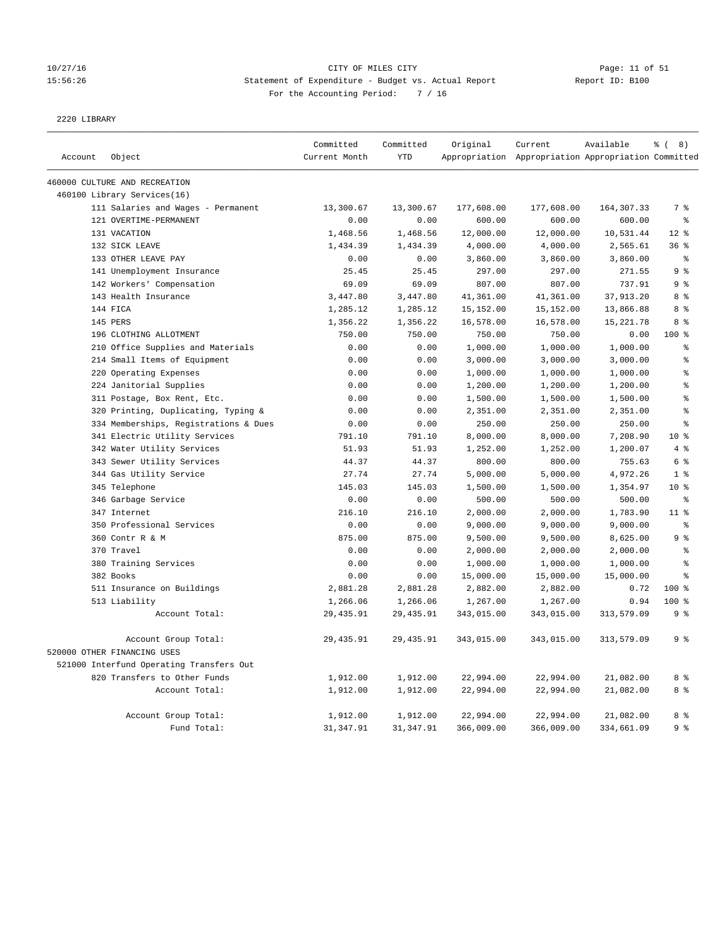# 10/27/16 Page: 11 of 51 15:56:26 Statement of Expenditure - Budget vs. Actual Report Changer Report ID: B100 For the Accounting Period: 7 / 16

2220 LIBRARY

|         |                                          | Committed     | Committed  | Original   | Current                                             | Available  | $\frac{6}{6}$ ( 8) |
|---------|------------------------------------------|---------------|------------|------------|-----------------------------------------------------|------------|--------------------|
| Account | Object                                   | Current Month | <b>YTD</b> |            | Appropriation Appropriation Appropriation Committed |            |                    |
|         | 460000 CULTURE AND RECREATION            |               |            |            |                                                     |            |                    |
|         | 460100 Library Services(16)              |               |            |            |                                                     |            |                    |
|         | 111 Salaries and Wages - Permanent       | 13,300.67     | 13,300.67  | 177,608.00 | 177,608.00                                          | 164,307.33 | 7 <sup>°</sup>     |
|         | 121 OVERTIME-PERMANENT                   | 0.00          | 0.00       | 600.00     | 600.00                                              | 600.00     | ៖                  |
|         | 131 VACATION                             | 1,468.56      | 1,468.56   | 12,000.00  | 12,000.00                                           | 10,531.44  | $12*$              |
|         | 132 SICK LEAVE                           | 1,434.39      | 1,434.39   | 4,000.00   | 4,000.00                                            | 2,565.61   | 36%                |
|         | 133 OTHER LEAVE PAY                      | 0.00          | 0.00       | 3,860.00   | 3,860.00                                            | 3,860.00   | နွ                 |
|         | 141 Unemployment Insurance               | 25.45         | 25.45      | 297.00     | 297.00                                              | 271.55     | 9 <sup>8</sup>     |
|         | 142 Workers' Compensation                | 69.09         | 69.09      | 807.00     | 807.00                                              | 737.91     | 9 <sub>8</sub>     |
|         | 143 Health Insurance                     | 3,447.80      | 3,447.80   | 41,361.00  | 41,361.00                                           | 37,913.20  | 8 %                |
|         | 144 FICA                                 | 1,285.12      | 1,285.12   | 15,152.00  | 15,152.00                                           | 13,866.88  | 8 %                |
|         | 145 PERS                                 | 1,356.22      | 1,356.22   | 16,578.00  | 16,578.00                                           | 15, 221.78 | 8 %                |
|         | 196 CLOTHING ALLOTMENT                   | 750.00        | 750.00     | 750.00     | 750.00                                              | 0.00       | 100 %              |
|         | 210 Office Supplies and Materials        | 0.00          | 0.00       | 1,000.00   | 1,000.00                                            | 1,000.00   | န္                 |
|         | 214 Small Items of Equipment             | 0.00          | 0.00       | 3,000.00   | 3,000.00                                            | 3,000.00   | 昙                  |
|         | 220 Operating Expenses                   | 0.00          | 0.00       | 1,000.00   | 1,000.00                                            | 1,000.00   | $\approx$          |
|         | 224 Janitorial Supplies                  | 0.00          | 0.00       | 1,200.00   | 1,200.00                                            | 1,200.00   | $\approx$          |
|         | 311 Postage, Box Rent, Etc.              | 0.00          | 0.00       | 1,500.00   | 1,500.00                                            | 1,500.00   | ٥Ŗ                 |
|         | 320 Printing, Duplicating, Typing &      | 0.00          | 0.00       | 2,351.00   | 2,351.00                                            | 2,351.00   | å,                 |
|         | 334 Memberships, Registrations & Dues    | 0.00          | 0.00       | 250.00     | 250.00                                              | 250.00     | å,                 |
|         | 341 Electric Utility Services            | 791.10        | 791.10     | 8,000.00   | 8,000.00                                            | 7,208.90   | $10*$              |
|         | 342 Water Utility Services               | 51.93         | 51.93      | 1,252.00   | 1,252.00                                            | 1,200.07   | 4%                 |
|         | 343 Sewer Utility Services               | 44.37         | 44.37      | 800.00     | 800.00                                              | 755.63     | $6\degree$         |
|         | 344 Gas Utility Service                  | 27.74         | 27.74      | 5,000.00   | 5,000.00                                            | 4,972.26   | 1 <sup>8</sup>     |
|         | 345 Telephone                            | 145.03        | 145.03     | 1,500.00   | 1,500.00                                            | 1,354.97   | $10*$              |
|         | 346 Garbage Service                      | 0.00          | 0.00       | 500.00     | 500.00                                              | 500.00     | $\epsilon$         |
|         | 347 Internet                             | 216.10        | 216.10     | 2,000.00   | 2,000.00                                            | 1,783.90   | $11$ %             |
|         | 350 Professional Services                | 0.00          | 0.00       | 9,000.00   | 9,000.00                                            | 9,000.00   | နွ                 |
|         | 360 Contr R & M                          | 875.00        | 875.00     | 9,500.00   | 9,500.00                                            | 8,625.00   | 9 <sup>8</sup>     |
|         | 370 Travel                               | 0.00          | 0.00       | 2,000.00   | 2,000.00                                            | 2,000.00   | ៖                  |
|         | 380 Training Services                    | 0.00          | 0.00       | 1,000.00   | 1,000.00                                            | 1,000.00   | $\,$ 8             |
|         | 382 Books                                | 0.00          | 0.00       | 15,000.00  | 15,000.00                                           | 15,000.00  | န့                 |
|         | 511 Insurance on Buildings               | 2,881.28      | 2,881.28   | 2,882.00   | 2,882.00                                            | 0.72       | 100 %              |
|         | 513 Liability                            | 1,266.06      | 1,266.06   | 1,267.00   | 1,267.00                                            | 0.94       | 100 %              |
|         | Account Total:                           | 29, 435.91    | 29,435.91  | 343,015.00 | 343,015.00                                          | 313,579.09 | 9 %                |
|         | Account Group Total:                     | 29, 435.91    | 29, 435.91 | 343,015.00 | 343,015.00                                          | 313,579.09 | 9%                 |
|         | 520000 OTHER FINANCING USES              |               |            |            |                                                     |            |                    |
|         | 521000 Interfund Operating Transfers Out |               |            |            |                                                     |            |                    |
|         | 820 Transfers to Other Funds             | 1,912.00      | 1,912.00   | 22,994.00  | 22,994.00                                           | 21,082.00  | 8 %                |
|         | Account Total:                           | 1,912.00      | 1,912.00   | 22,994.00  | 22,994.00                                           | 21,082.00  | 8 %                |
|         |                                          |               |            |            |                                                     |            |                    |
|         | Account Group Total:                     | 1,912.00      | 1,912.00   | 22,994.00  | 22,994.00                                           | 21,082.00  | 8 %                |
|         | Fund Total:                              | 31, 347.91    | 31, 347.91 | 366,009.00 | 366,009.00                                          | 334,661.09 | 9 <sub>8</sub>     |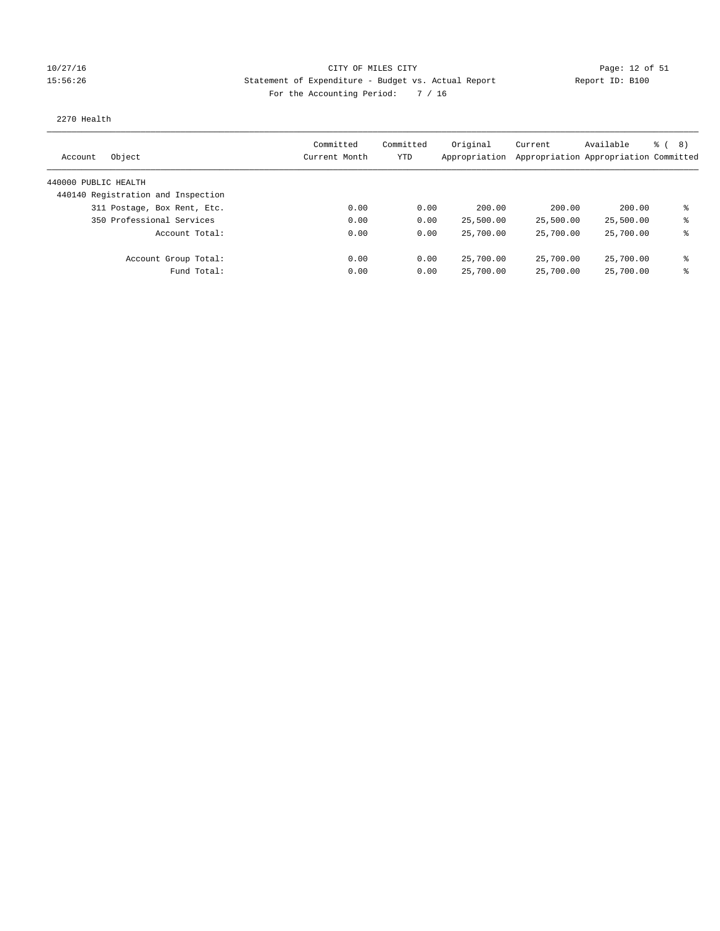## 10/27/16 CITY OF MILES CITY Page: 12 of 51 15:56:26 Statement of Expenditure - Budget vs. Actual Report Report ID: B100 For the Accounting Period: 7 / 16

#### 2270 Health

| Object<br>Account                  | Committed<br>Current Month | Committed<br>YTD | Original<br>Appropriation | Current<br>Appropriation Appropriation Committed | Available | <sub>ර</sub> ි ( 8 ) |
|------------------------------------|----------------------------|------------------|---------------------------|--------------------------------------------------|-----------|----------------------|
| 440000 PUBLIC HEALTH               |                            |                  |                           |                                                  |           |                      |
| 440140 Registration and Inspection |                            |                  |                           |                                                  |           |                      |
| 311 Postage, Box Rent, Etc.        | 0.00                       | 0.00             | 200.00                    | 200.00                                           | 200.00    | ⊱                    |
| 350 Professional Services          | 0.00                       | 0.00             | 25,500.00                 | 25,500.00                                        | 25,500.00 | နွ                   |
| Account Total:                     | 0.00                       | 0.00             | 25,700.00                 | 25,700.00                                        | 25,700.00 | ⊱                    |
| Account Group Total:               | 0.00                       | 0.00             | 25,700.00                 | 25,700.00                                        | 25,700.00 | နွ                   |
| Fund Total:                        | 0.00                       | 0.00             | 25,700.00                 | 25,700.00                                        | 25,700.00 | နွ                   |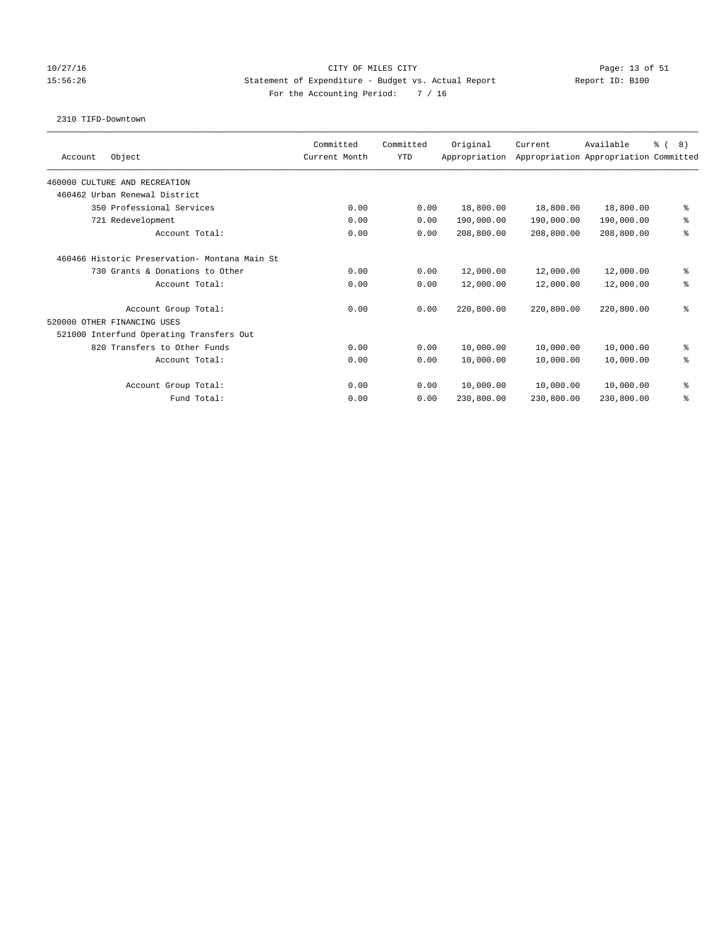## 10/27/16 CITY OF MILES CITY Page: 13 of 51 15:56:26 Statement of Expenditure - Budget vs. Actual Report Report ID: B100 For the Accounting Period: 7 / 16

#### 2310 TIFD-Downtown

|                                               | Committed     | Committed  | Original      | Current    | Available                             | <b>ී</b> ( | 8)  |
|-----------------------------------------------|---------------|------------|---------------|------------|---------------------------------------|------------|-----|
| Object<br>Account                             | Current Month | <b>YTD</b> | Appropriation |            | Appropriation Appropriation Committed |            |     |
| 460000 CULTURE AND RECREATION                 |               |            |               |            |                                       |            |     |
| 460462 Urban Renewal District                 |               |            |               |            |                                       |            |     |
| 350 Professional Services                     | 0.00          | 0.00       | 18,800.00     | 18,800.00  | 18,800.00                             |            | ఄ   |
| 721 Redevelopment                             | 0.00          | 0.00       | 190,000.00    | 190,000.00 | 190,000.00                            |            | ి   |
| Account Total:                                | 0.00          | 0.00       | 208,800.00    | 208,800.00 | 208,800.00                            |            | る   |
| 460466 Historic Preservation- Montana Main St |               |            |               |            |                                       |            |     |
| 730 Grants & Donations to Other               | 0.00          | 0.00       | 12,000.00     | 12,000.00  | 12,000.00                             |            | ఄ   |
| Account Total:                                | 0.00          | 0.00       | 12,000.00     | 12,000.00  | 12,000.00                             |            | ి   |
| Account Group Total:                          | 0.00          | 0.00       | 220,800.00    | 220,800.00 | 220,800.00                            |            | ి   |
| 520000 OTHER FINANCING USES                   |               |            |               |            |                                       |            |     |
| 521000 Interfund Operating Transfers Out      |               |            |               |            |                                       |            |     |
| 820 Transfers to Other Funds                  | 0.00          | 0.00       | 10,000.00     | 10,000.00  | 10,000.00                             |            | ి   |
| Account Total:                                | 0.00          | 0.00       | 10,000.00     | 10,000.00  | 10,000.00                             |            | ి   |
| Account Group Total:                          | 0.00          | 0.00       | 10,000.00     | 10,000.00  | 10,000.00                             |            | ఄ   |
| Fund Total:                                   | 0.00          | 0.00       | 230,800.00    | 230,800.00 | 230,800.00                            |            | ್ಠಿ |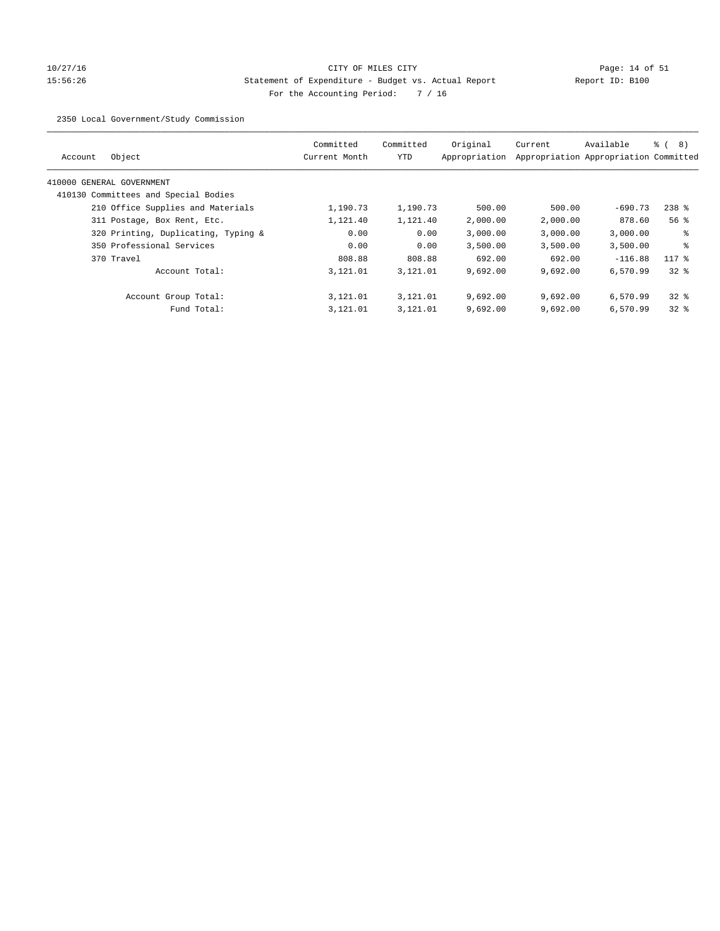# 10/27/16 Page: 14 of 51 15:56:26 Statement of Expenditure - Budget vs. Actual Report Report ID: B100 For the Accounting Period: 7 / 16

2350 Local Government/Study Commission

| Object<br>Account                    | Committed<br>Current Month | Committed<br>YTD | Original<br>Appropriation | Current  | Available<br>Appropriation Appropriation Committed | ී (<br>8) |
|--------------------------------------|----------------------------|------------------|---------------------------|----------|----------------------------------------------------|-----------|
| 410000 GENERAL GOVERNMENT            |                            |                  |                           |          |                                                    |           |
|                                      |                            |                  |                           |          |                                                    |           |
| 410130 Committees and Special Bodies |                            |                  |                           |          |                                                    |           |
| 210 Office Supplies and Materials    | 1,190.73                   | 1,190.73         | 500.00                    | 500.00   | $-690.73$                                          | $238$ %   |
| 311 Postage, Box Rent, Etc.          | 1,121.40                   | 1,121.40         | 2,000.00                  | 2,000.00 | 878.60                                             | 56%       |
| 320 Printing, Duplicating, Typing &  | 0.00                       | 0.00             | 3,000.00                  | 3,000.00 | 3,000.00                                           | ႜ         |
| 350 Professional Services            | 0.00                       | 0.00             | 3,500.00                  | 3,500.00 | 3,500.00                                           | နွ        |
| 370 Travel                           | 808.88                     | 808.88           | 692.00                    | 692.00   | $-116.88$                                          | $117$ %   |
| Account Total:                       | 3,121.01                   | 3,121.01         | 9,692.00                  | 9,692.00 | 6,570.99                                           | $32*$     |
| Account Group Total:                 | 3,121.01                   | 3,121.01         | 9,692.00                  | 9.692.00 | 6,570.99                                           | 328       |
| Fund Total:                          | 3,121.01                   | 3,121.01         | 9,692.00                  | 9.692.00 | 6,570.99                                           | $32*$     |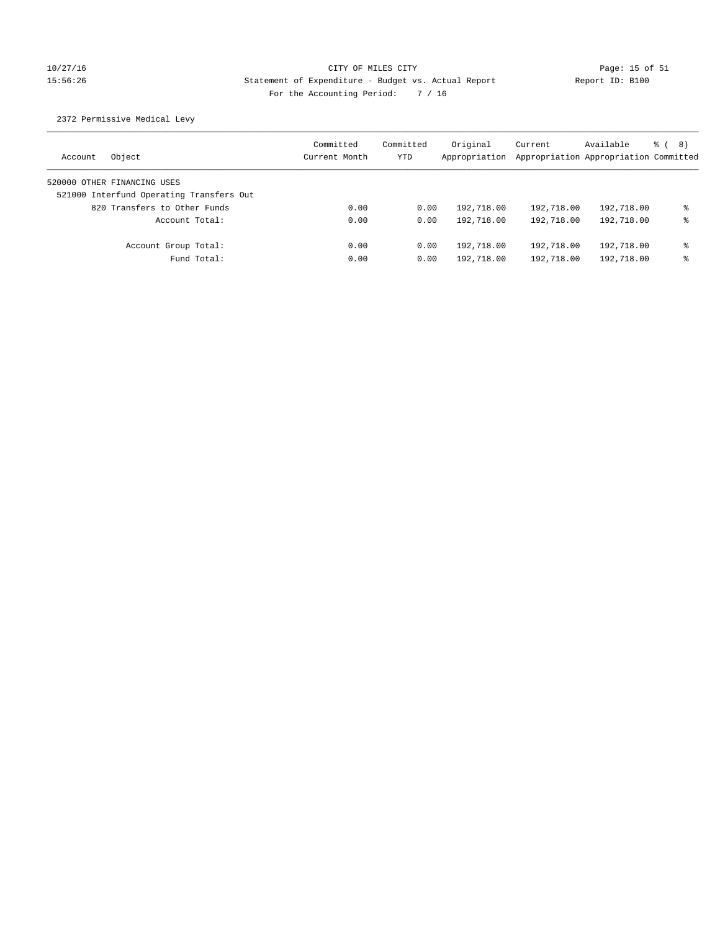# 10/27/16 CITY OF MILES CITY Page: 15 of 51 15:56:26 Statement of Expenditure - Budget vs. Actual Report Report ID: B100 For the Accounting Period: 7 / 16

## 2372 Permissive Medical Levy

| Object<br>Account                        | Committed<br>Current Month | Committed<br>YTD | Original<br>Appropriation | Current<br>Appropriation Appropriation Committed | Available  | $\frac{6}{6}$ ( 8) |
|------------------------------------------|----------------------------|------------------|---------------------------|--------------------------------------------------|------------|--------------------|
| 520000 OTHER FINANCING USES              |                            |                  |                           |                                                  |            |                    |
| 521000 Interfund Operating Transfers Out |                            |                  |                           |                                                  |            |                    |
| 820 Transfers to Other Funds             | 0.00                       | 0.00             | 192,718.00                | 192,718.00                                       | 192,718.00 | နွ                 |
| Account Total:                           | 0.00                       | 0.00             | 192,718.00                | 192,718.00                                       | 192,718.00 | နွ                 |
| Account Group Total:                     | 0.00                       | 0.00             | 192,718.00                | 192,718.00                                       | 192,718.00 | နွ                 |
| Fund Total:                              | 0.00                       | 0.00             | 192,718.00                | 192,718.00                                       | 192,718.00 | ⊱                  |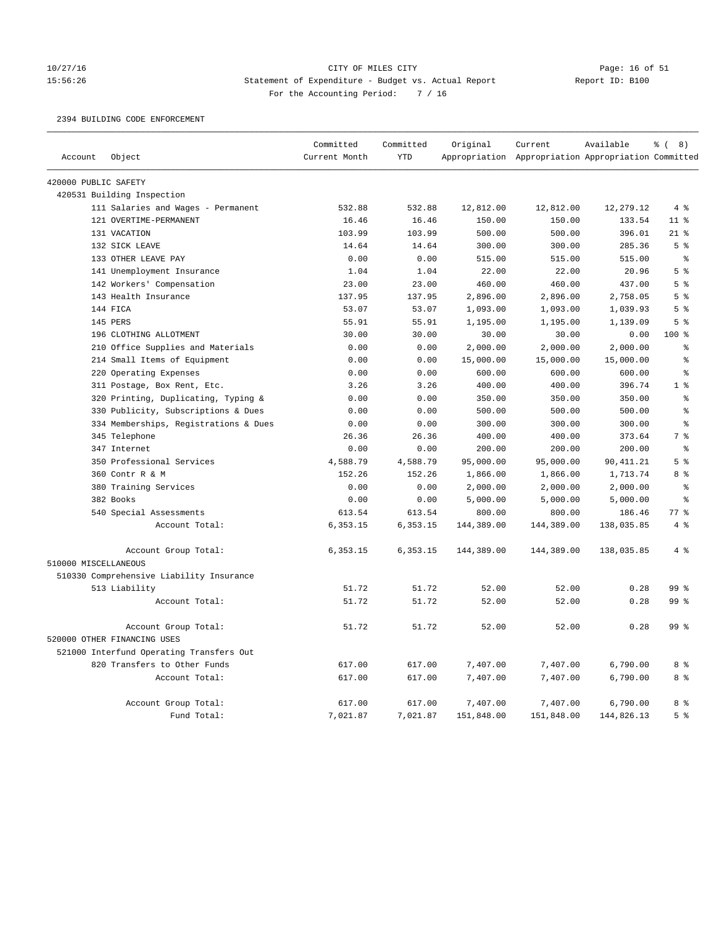#### 10/27/16 CITY OF MILES CITY Page: 16 of 51 15:56:26 Statement of Expenditure - Budget vs. Actual Report Report ID: B100 For the Accounting Period: 7 / 16

2394 BUILDING CODE ENFORCEMENT

|                      |                                          | Committed     | Committed  | Original   | Current                                             | Available  | $\frac{6}{6}$ ( 8) |
|----------------------|------------------------------------------|---------------|------------|------------|-----------------------------------------------------|------------|--------------------|
| Account              | Object                                   | Current Month | <b>YTD</b> |            | Appropriation Appropriation Appropriation Committed |            |                    |
| 420000 PUBLIC SAFETY |                                          |               |            |            |                                                     |            |                    |
|                      | 420531 Building Inspection               |               |            |            |                                                     |            |                    |
|                      | 111 Salaries and Wages - Permanent       | 532.88        | 532.88     | 12,812.00  | 12,812.00                                           | 12,279.12  | 4%                 |
|                      | 121 OVERTIME-PERMANENT                   | 16.46         | 16.46      | 150.00     | 150.00                                              | 133.54     | $11$ %             |
|                      | 131 VACATION                             | 103.99        | 103.99     | 500.00     | 500.00                                              | 396.01     | $21$ %             |
|                      | 132 SICK LEAVE                           | 14.64         | 14.64      | 300.00     | 300.00                                              | 285.36     | 5 <sup>°</sup>     |
|                      | 133 OTHER LEAVE PAY                      | 0.00          | 0.00       | 515.00     | 515.00                                              | 515.00     | $\epsilon$         |
|                      | 141 Unemployment Insurance               | 1.04          | 1.04       | 22.00      | 22.00                                               | 20.96      | 5 <sup>°</sup>     |
|                      | 142 Workers' Compensation                | 23.00         | 23.00      | 460.00     | 460.00                                              | 437.00     | 5 <sup>8</sup>     |
|                      | 143 Health Insurance                     | 137.95        | 137.95     | 2,896.00   | 2,896.00                                            | 2,758.05   | 5 <sup>8</sup>     |
|                      | 144 FICA                                 | 53.07         | 53.07      | 1,093.00   | 1,093.00                                            | 1,039.93   | 5 <sup>8</sup>     |
|                      | 145 PERS                                 | 55.91         | 55.91      | 1,195.00   | 1,195.00                                            | 1,139.09   | 5 <sup>8</sup>     |
|                      | 196 CLOTHING ALLOTMENT                   | 30.00         | 30.00      | 30.00      | 30.00                                               | 0.00       | 100 %              |
|                      | 210 Office Supplies and Materials        | 0.00          | 0.00       | 2,000.00   | 2,000.00                                            | 2,000.00   | နွ                 |
|                      | 214 Small Items of Equipment             | 0.00          | 0.00       | 15,000.00  | 15,000.00                                           | 15,000.00  | နွ                 |
|                      | 220 Operating Expenses                   | 0.00          | 0.00       | 600.00     | 600.00                                              | 600.00     | $\approx$          |
|                      | 311 Postage, Box Rent, Etc.              | 3.26          | 3.26       | 400.00     | 400.00                                              | 396.74     | 1 <sup>8</sup>     |
|                      | 320 Printing, Duplicating, Typing &      | 0.00          | 0.00       | 350.00     | 350.00                                              | 350.00     | $\approx$          |
|                      | 330 Publicity, Subscriptions & Dues      | 0.00          | 0.00       | 500.00     | 500.00                                              | 500.00     | $\approx$          |
|                      | 334 Memberships, Registrations & Dues    | 0.00          | 0.00       | 300.00     | 300.00                                              | 300.00     | $\approx$          |
|                      | 345 Telephone                            | 26.36         | 26.36      | 400.00     | 400.00                                              | 373.64     | 7 <sup>°</sup>     |
|                      | 347 Internet                             | 0.00          | 0.00       | 200.00     | 200.00                                              | 200.00     | $\epsilon$         |
|                      | 350 Professional Services                | 4,588.79      | 4,588.79   | 95,000.00  | 95,000.00                                           | 90, 411.21 | 5 <sup>8</sup>     |
|                      | 360 Contr R & M                          | 152.26        | 152.26     | 1,866.00   | 1,866.00                                            | 1,713.74   | 8 %                |
|                      | 380 Training Services                    | 0.00          | 0.00       | 2,000.00   | 2,000.00                                            | 2,000.00   | $\epsilon$         |
|                      | 382 Books                                | 0.00          | 0.00       | 5,000.00   | 5,000.00                                            | 5,000.00   | နွ                 |
|                      | 540 Special Assessments                  | 613.54        | 613.54     | 800.00     | 800.00                                              | 186.46     | $77*$              |
|                      | Account Total:                           | 6,353.15      | 6,353.15   | 144,389.00 | 144,389.00                                          | 138,035.85 | 4%                 |
|                      | Account Group Total:                     | 6,353.15      | 6,353.15   | 144,389.00 | 144,389.00                                          | 138,035.85 | 4%                 |
| 510000 MISCELLANEOUS |                                          |               |            |            |                                                     |            |                    |
|                      | 510330 Comprehensive Liability Insurance |               |            |            |                                                     |            |                    |
|                      | 513 Liability                            | 51.72         | 51.72      | 52.00      | 52.00                                               | 0.28       | 99 %               |
|                      | Account Total:                           | 51.72         | 51.72      | 52.00      | 52.00                                               | 0.28       | 99 <sup>8</sup>    |
|                      | Account Group Total:                     | 51.72         | 51.72      | 52.00      | 52.00                                               | 0.28       | 99 <sup>8</sup>    |
|                      | 520000 OTHER FINANCING USES              |               |            |            |                                                     |            |                    |
|                      | 521000 Interfund Operating Transfers Out |               |            |            |                                                     |            |                    |
|                      | 820 Transfers to Other Funds             | 617.00        | 617.00     | 7,407.00   | 7,407.00                                            | 6,790.00   | 8 %                |
|                      | Account Total:                           | 617.00        | 617.00     | 7,407.00   | 7,407.00                                            | 6,790.00   | 8 %                |
|                      | Account Group Total:                     | 617.00        | 617.00     | 7,407.00   | 7,407.00                                            | 6,790.00   | 8 %                |
|                      | Fund Total:                              | 7,021.87      | 7,021.87   | 151,848.00 | 151,848.00                                          | 144,826.13 | 5 <sup>°</sup>     |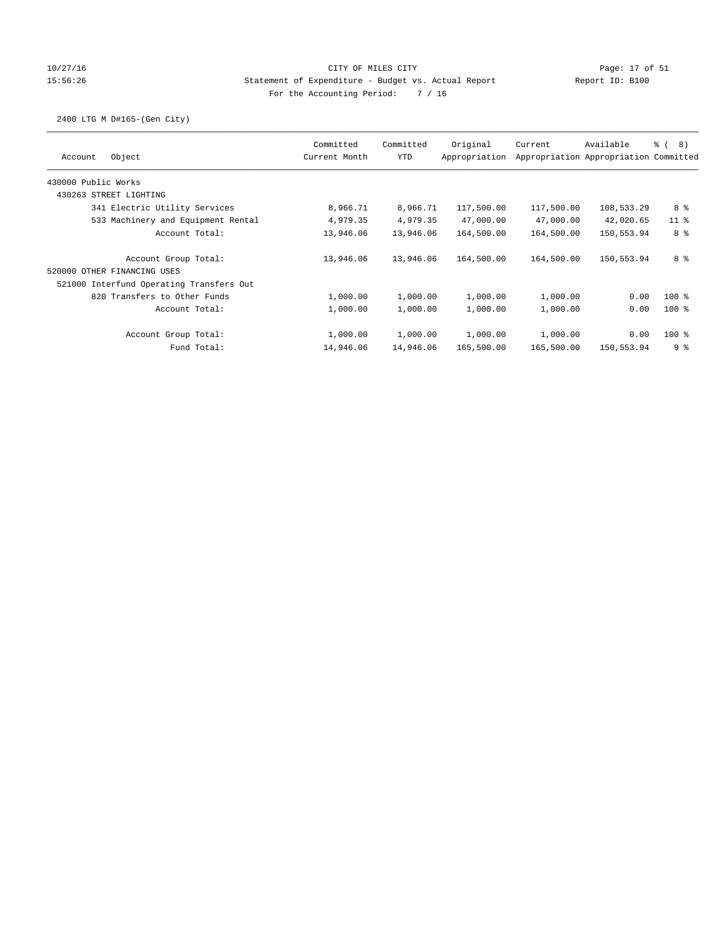#### 10/27/16 CITY OF MILES CITY Page: 17 of 51 15:56:26 Statement of Expenditure - Budget vs. Actual Report Report ID: B100 For the Accounting Period: 7 / 16

## 2400 LTG M D#165-(Gen City)

| Object<br>Account                        | Committed<br>Current Month | Committed<br><b>YTD</b> | Original<br>Appropriation | Current    | Available<br>Appropriation Appropriation Committed | $\frac{6}{6}$ ( 8) |
|------------------------------------------|----------------------------|-------------------------|---------------------------|------------|----------------------------------------------------|--------------------|
| 430000 Public Works                      |                            |                         |                           |            |                                                    |                    |
| 430263 STREET LIGHTING                   |                            |                         |                           |            |                                                    |                    |
| 341 Electric Utility Services            | 8,966.71                   | 8,966.71                | 117,500.00                | 117,500.00 | 108,533.29                                         | 8 %                |
| 533 Machinery and Equipment Rental       | 4,979.35                   | 4,979.35                | 47,000.00                 | 47,000.00  | 42,020.65                                          | $11$ %             |
| Account Total:                           | 13,946.06                  | 13,946.06               | 164,500.00                | 164,500.00 | 150,553.94                                         | 8 %                |
| Account Group Total:                     | 13,946.06                  | 13,946.06               | 164,500.00                | 164,500.00 | 150,553.94                                         | 8 %                |
| 520000 OTHER FINANCING USES              |                            |                         |                           |            |                                                    |                    |
| 521000 Interfund Operating Transfers Out |                            |                         |                           |            |                                                    |                    |
| 820 Transfers to Other Funds             | 1,000.00                   | 1,000.00                | 1,000.00                  | 1,000.00   | 0.00                                               | $100$ %            |
| Account Total:                           | 1,000.00                   | 1,000.00                | 1,000.00                  | 1,000.00   | 0.00                                               | $100*$             |
| Account Group Total:                     | 1,000.00                   | 1,000.00                | 1,000.00                  | 1,000.00   | 0.00                                               | $100*$             |
| Fund Total:                              | 14,946.06                  | 14,946.06               | 165,500.00                | 165,500.00 | 150,553.94                                         | 9 <sup>8</sup>     |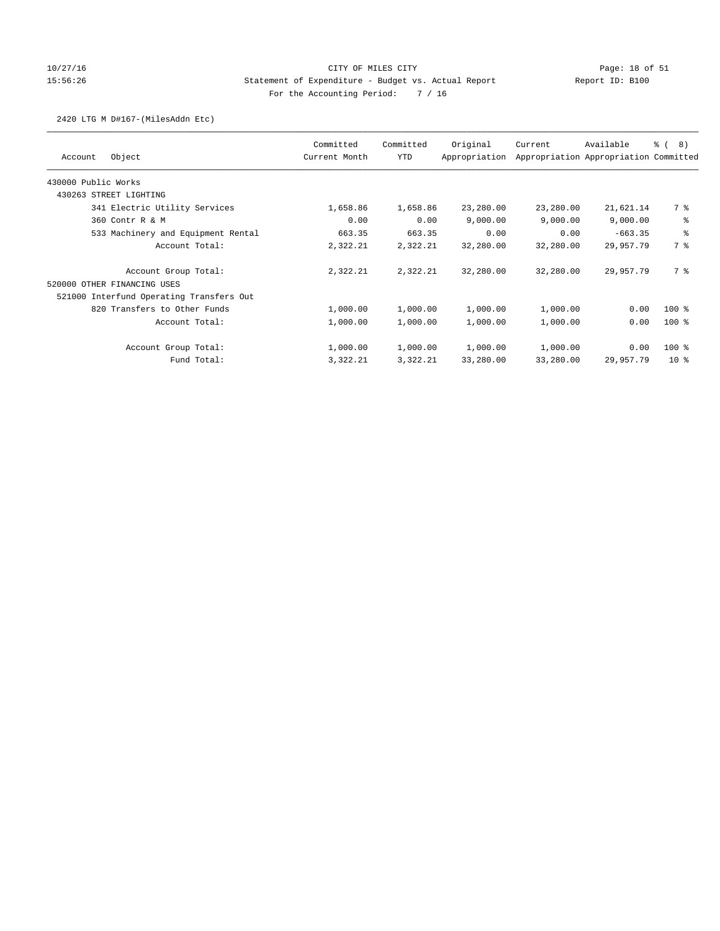## 10/27/16 CITY OF MILES CITY Page: 18 of 51 15:56:26 Statement of Expenditure - Budget vs. Actual Report Report ID: B100 For the Accounting Period: 7 / 16

## 2420 LTG M D#167-(MilesAddn Etc)

|                                          | Committed     | Committed  | Original<br>Appropriation | Current   | Available                             | $\frac{6}{6}$ ( 8) |
|------------------------------------------|---------------|------------|---------------------------|-----------|---------------------------------------|--------------------|
| Object<br>Account                        | Current Month | <b>YTD</b> |                           |           | Appropriation Appropriation Committed |                    |
| 430000 Public Works                      |               |            |                           |           |                                       |                    |
| 430263 STREET LIGHTING                   |               |            |                           |           |                                       |                    |
| 341 Electric Utility Services            | 1,658.86      | 1,658.86   | 23,280.00                 | 23,280.00 | 21,621.14                             | 7 %                |
| 360 Contr R & M                          | 0.00          | 0.00       | 9,000.00                  | 9,000.00  | 9,000.00                              | နွ                 |
| 533 Machinery and Equipment Rental       | 663.35        | 663.35     | 0.00                      | 0.00      | $-663.35$                             | နွ                 |
| Account Total:                           | 2,322.21      | 2,322.21   | 32,280.00                 | 32,280.00 | 29,957.79                             | 7 %                |
| Account Group Total:                     | 2,322.21      | 2,322.21   | 32,280.00                 | 32,280.00 | 29,957.79                             | 7 %                |
| 520000 OTHER FINANCING USES              |               |            |                           |           |                                       |                    |
| 521000 Interfund Operating Transfers Out |               |            |                           |           |                                       |                    |
| 820 Transfers to Other Funds             | 1,000.00      | 1,000.00   | 1,000.00                  | 1,000.00  | 0.00                                  | $100*$             |
| Account Total:                           | 1,000.00      | 1,000.00   | 1,000.00                  | 1,000.00  | 0.00                                  | $100*$             |
| Account Group Total:                     | 1,000.00      | 1,000.00   | 1,000.00                  | 1,000.00  | 0.00                                  | 100 %              |
| Fund Total:                              | 3,322.21      | 3,322.21   | 33,280.00                 | 33,280.00 | 29,957.79                             | $10*$              |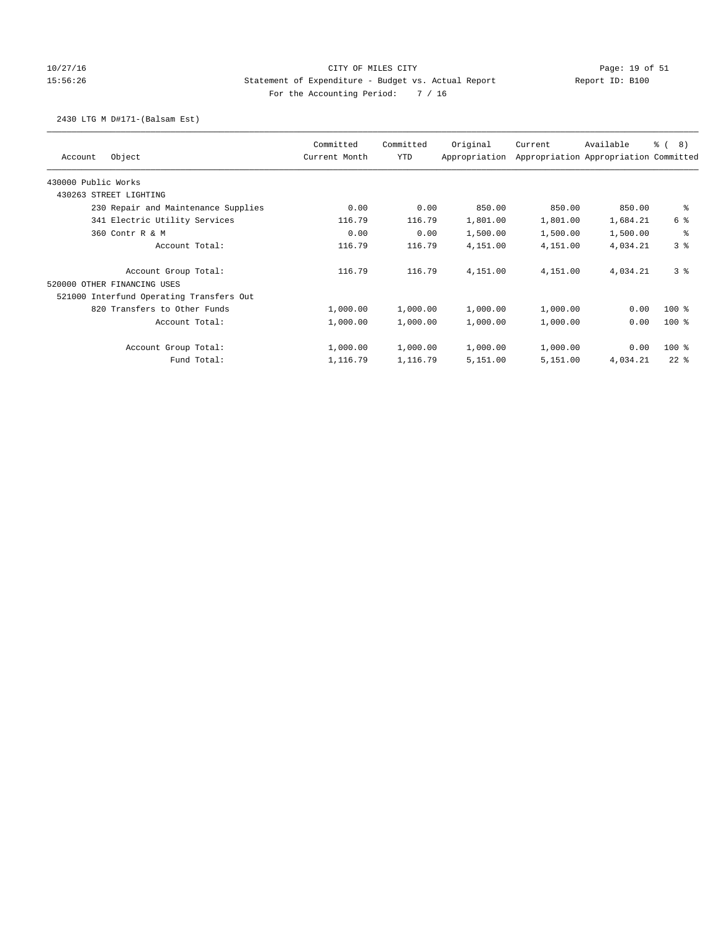## 10/27/16 CITY OF MILES CITY Page: 19 of 51 15:56:26 Statement of Expenditure - Budget vs. Actual Report Report ID: B100 For the Accounting Period: 7 / 16

## 2430 LTG M D#171-(Balsam Est)

|                                          | Committed     | Committed  | Original      | Current  | Available                             | ී (<br>8)      |
|------------------------------------------|---------------|------------|---------------|----------|---------------------------------------|----------------|
| Object<br>Account                        | Current Month | <b>YTD</b> | Appropriation |          | Appropriation Appropriation Committed |                |
| 430000 Public Works                      |               |            |               |          |                                       |                |
| 430263 STREET LIGHTING                   |               |            |               |          |                                       |                |
| 230 Repair and Maintenance Supplies      | 0.00          | 0.00       | 850.00        | 850.00   | 850.00                                | နွ             |
| 341 Electric Utility Services            | 116.79        | 116.79     | 1,801.00      | 1,801.00 | 1,684.21                              | 6 %            |
| 360 Contr R & M                          | 0.00          | 0.00       | 1,500.00      | 1,500.00 | 1,500.00                              | နွ             |
| Account Total:                           | 116.79        | 116.79     | 4,151.00      | 4,151.00 | 4,034.21                              | 3%             |
| Account Group Total:                     | 116.79        | 116.79     | 4,151.00      | 4,151.00 | 4,034.21                              | 3 <sup>8</sup> |
| 520000 OTHER FINANCING USES              |               |            |               |          |                                       |                |
| 521000 Interfund Operating Transfers Out |               |            |               |          |                                       |                |
| 820 Transfers to Other Funds             | 1,000.00      | 1,000.00   | 1,000.00      | 1,000.00 | 0.00                                  | $100$ %        |
| Account Total:                           | 1,000.00      | 1,000.00   | 1,000.00      | 1,000.00 | 0.00                                  | $100*$         |
| Account Group Total:                     | 1,000.00      | 1,000.00   | 1,000.00      | 1,000.00 | 0.00                                  | $100*$         |
| Fund Total:                              | 1,116.79      | 1,116.79   | 5,151.00      | 5,151.00 | 4,034.21                              | $22$ $%$       |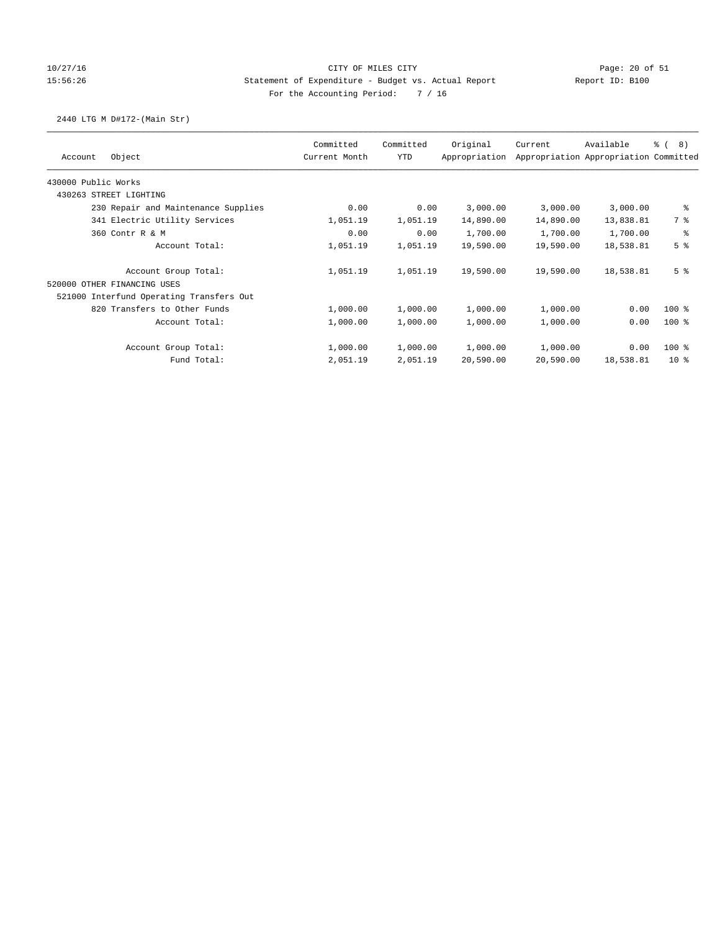## 10/27/16 CITY OF MILES CITY Page: 20 of 51 15:56:26 Statement of Expenditure - Budget vs. Actual Report Report ID: B100 For the Accounting Period: 7 / 16

## 2440 LTG M D#172-(Main Str)

| Object<br>Account                        | Committed<br>Current Month | Committed<br><b>YTD</b> | Original<br>Appropriation | Current   | Available<br>Appropriation Appropriation Committed | ී (<br>8)      |
|------------------------------------------|----------------------------|-------------------------|---------------------------|-----------|----------------------------------------------------|----------------|
|                                          |                            |                         |                           |           |                                                    |                |
| 430000 Public Works                      |                            |                         |                           |           |                                                    |                |
| 430263 STREET LIGHTING                   |                            |                         |                           |           |                                                    |                |
| 230 Repair and Maintenance Supplies      | 0.00                       | 0.00                    | 3,000.00                  | 3,000.00  | 3,000.00                                           | ႜ              |
| 341 Electric Utility Services            | 1,051.19                   | 1,051.19                | 14,890.00                 | 14,890.00 | 13,838.81                                          | 7 %            |
| 360 Contr R & M                          | 0.00                       | 0.00                    | 1,700.00                  | 1,700.00  | 1,700.00                                           | ႜ              |
| Account Total:                           | 1,051.19                   | 1,051.19                | 19,590.00                 | 19,590.00 | 18,538.81                                          | 5 <sup>8</sup> |
| Account Group Total:                     | 1,051.19                   | 1,051.19                | 19,590.00                 | 19,590.00 | 18,538.81                                          | 5 <sup>8</sup> |
| 520000 OTHER FINANCING USES              |                            |                         |                           |           |                                                    |                |
| 521000 Interfund Operating Transfers Out |                            |                         |                           |           |                                                    |                |
| 820 Transfers to Other Funds             | 1,000.00                   | 1,000.00                | 1,000.00                  | 1,000.00  | 0.00                                               | $100*$         |
| Account Total:                           | 1,000.00                   | 1,000.00                | 1,000.00                  | 1,000.00  | 0.00                                               | $100*$         |
| Account Group Total:                     | 1,000.00                   | 1,000.00                | 1,000.00                  | 1,000.00  | 0.00                                               | $100*$         |
| Fund Total:                              | 2,051.19                   | 2,051.19                | 20,590.00                 | 20,590.00 | 18,538.81                                          | $10*$          |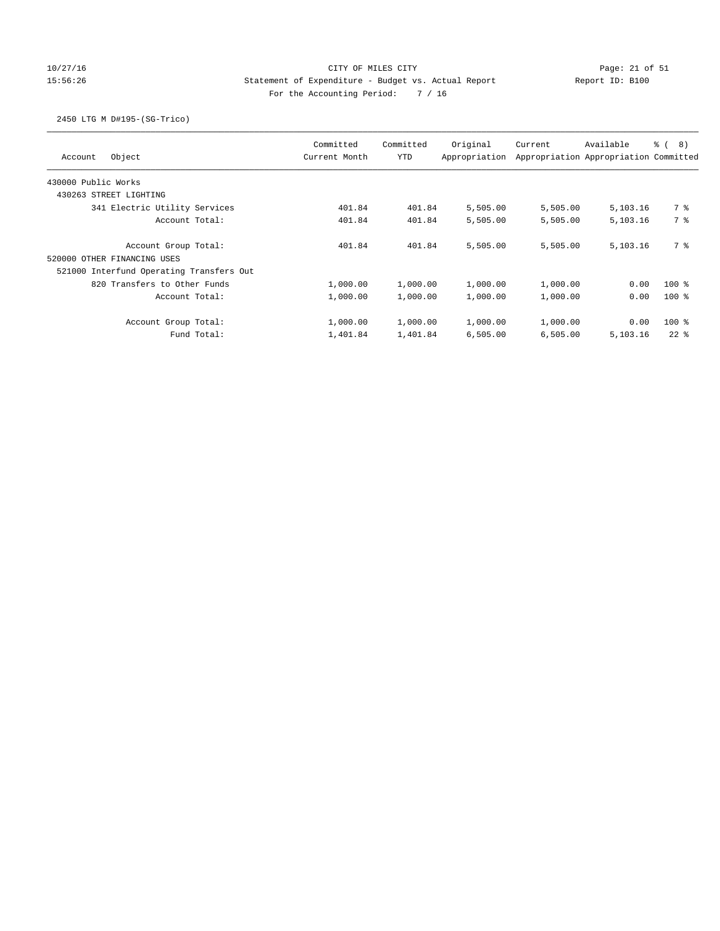## 10/27/16 CITY OF MILES CITY Page: 21 of 51 15:56:26 Statement of Expenditure - Budget vs. Actual Report Report ID: B100 For the Accounting Period: 7 / 16

## 2450 LTG M D#195-(SG-Trico)

| Object<br>Account                        | Committed<br>Current Month | Committed<br><b>YTD</b> | Original<br>Appropriation | Current  | Available<br>Appropriation Appropriation Committed | <sub>රි</sub> ( 8 ) |
|------------------------------------------|----------------------------|-------------------------|---------------------------|----------|----------------------------------------------------|---------------------|
| 430000 Public Works                      |                            |                         |                           |          |                                                    |                     |
| 430263 STREET LIGHTING                   |                            |                         |                           |          |                                                    |                     |
| 341 Electric Utility Services            | 401.84                     | 401.84                  | 5,505.00                  | 5,505.00 | 5,103.16                                           | 7 %                 |
| Account Total:                           | 401.84                     | 401.84                  | 5,505.00                  | 5,505.00 | 5,103.16                                           | 7 %                 |
| Account Group Total:                     | 401.84                     | 401.84                  | 5,505.00                  | 5,505.00 | 5,103.16                                           | 7 %                 |
| 520000 OTHER FINANCING USES              |                            |                         |                           |          |                                                    |                     |
| 521000 Interfund Operating Transfers Out |                            |                         |                           |          |                                                    |                     |
| 820 Transfers to Other Funds             | 1,000.00                   | 1,000.00                | 1,000.00                  | 1,000.00 | 0.00                                               | $100$ %             |
| Account Total:                           | 1,000.00                   | 1,000.00                | 1,000.00                  | 1,000.00 | 0.00                                               | $100*$              |
| Account Group Total:                     | 1,000.00                   | 1,000.00                | 1,000.00                  | 1,000.00 | 0.00                                               | $100*$              |
| Fund Total:                              | 1,401.84                   | 1,401.84                | 6,505.00                  | 6,505.00 | 5,103.16                                           | $22$ $%$            |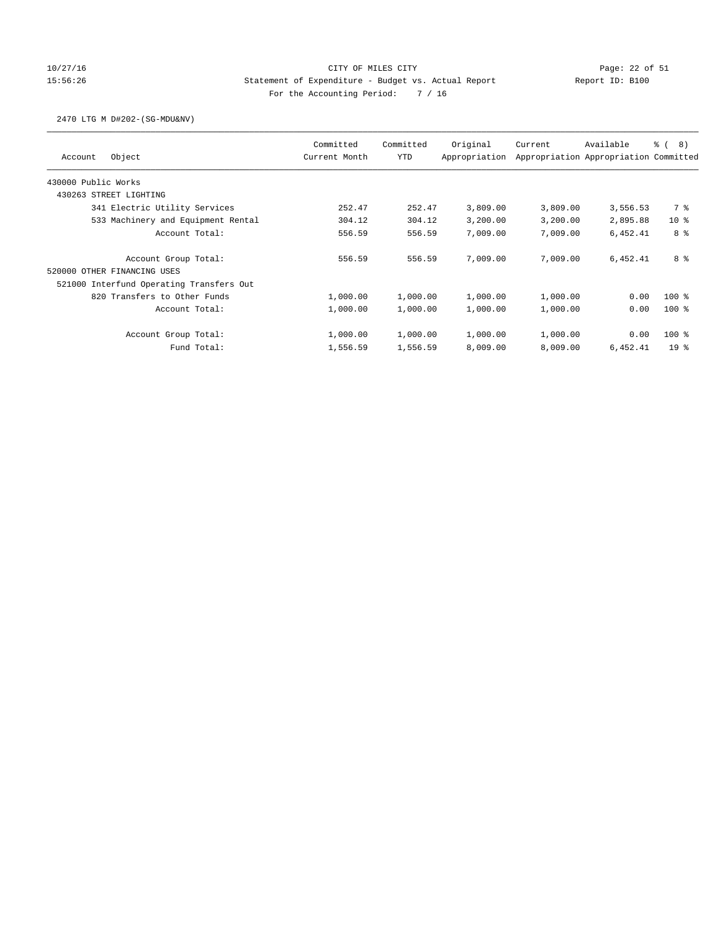# 10/27/16 Page: 22 of 51 15:56:26 Statement of Expenditure - Budget vs. Actual Report Report ID: B100 For the Accounting Period: 7 / 16

#### 2470 LTG M D#202-(SG-MDU&NV)

| Object<br>Account                        | Committed<br>Current Month | Committed<br><b>YTD</b> | Original<br>Appropriation | Current  | Available<br>Appropriation Appropriation Committed | $\frac{6}{6}$ ( 8) |
|------------------------------------------|----------------------------|-------------------------|---------------------------|----------|----------------------------------------------------|--------------------|
| 430000 Public Works                      |                            |                         |                           |          |                                                    |                    |
| 430263 STREET LIGHTING                   |                            |                         |                           |          |                                                    |                    |
| 341 Electric Utility Services            | 252.47                     | 252.47                  | 3,809.00                  | 3,809.00 | 3,556.53                                           | 7 %                |
| 533 Machinery and Equipment Rental       | 304.12                     | 304.12                  | 3,200.00                  | 3,200.00 | 2,895.88                                           | $10*$              |
| Account Total:                           | 556.59                     | 556.59                  | 7,009.00                  | 7,009.00 | 6,452.41                                           | 8 %                |
| Account Group Total:                     | 556.59                     | 556.59                  | 7,009.00                  | 7,009.00 | 6,452.41                                           | 8 %                |
| 520000 OTHER FINANCING USES              |                            |                         |                           |          |                                                    |                    |
| 521000 Interfund Operating Transfers Out |                            |                         |                           |          |                                                    |                    |
| 820 Transfers to Other Funds             | 1,000.00                   | 1,000.00                | 1,000.00                  | 1,000.00 | 0.00                                               | $100*$             |
| Account Total:                           | 1,000.00                   | 1,000.00                | 1,000.00                  | 1,000.00 | 0.00                                               | $100*$             |
| Account Group Total:                     | 1,000.00                   | 1,000.00                | 1,000.00                  | 1,000.00 | 0.00                                               | $100*$             |
| Fund Total:                              | 1,556.59                   | 1,556.59                | 8,009.00                  | 8,009.00 | 6,452.41                                           | 19 <sup>8</sup>    |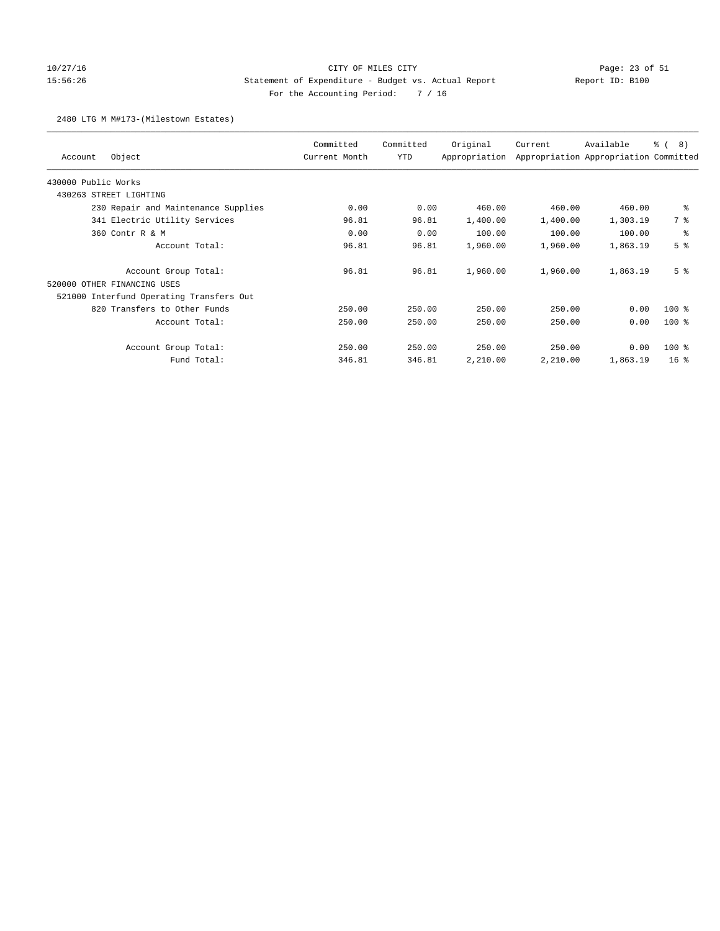# 10/27/16 CITY OF MILES CITY Page: 23 of 51 15:56:26 Statement of Expenditure - Budget vs. Actual Report Report ID: B100 For the Accounting Period: 7 / 16

#### 2480 LTG M M#173-(Milestown Estates)

|                                          | Committed     | Committed  | Original      | Current  | Available                             | ී (<br>8)       |
|------------------------------------------|---------------|------------|---------------|----------|---------------------------------------|-----------------|
| Object<br>Account                        | Current Month | <b>YTD</b> | Appropriation |          | Appropriation Appropriation Committed |                 |
| 430000 Public Works                      |               |            |               |          |                                       |                 |
| 430263 STREET LIGHTING                   |               |            |               |          |                                       |                 |
| 230 Repair and Maintenance Supplies      | 0.00          | 0.00       | 460.00        | 460.00   | 460.00                                | ႜ               |
| 341 Electric Utility Services            | 96.81         | 96.81      | 1,400.00      | 1,400.00 | 1,303.19                              | 7 %             |
| 360 Contr R & M                          | 0.00          | 0.00       | 100.00        | 100.00   | 100.00                                | နွ              |
| Account Total:                           | 96.81         | 96.81      | 1,960.00      | 1,960.00 | 1,863.19                              | 5 <sup>8</sup>  |
| Account Group Total:                     | 96.81         | 96.81      | 1,960.00      | 1,960.00 | 1,863.19                              | 5 <sup>8</sup>  |
| 520000 OTHER FINANCING USES              |               |            |               |          |                                       |                 |
| 521000 Interfund Operating Transfers Out |               |            |               |          |                                       |                 |
| 820 Transfers to Other Funds             | 250.00        | 250.00     | 250.00        | 250.00   | 0.00                                  | $100$ %         |
| Account Total:                           | 250.00        | 250.00     | 250.00        | 250.00   | 0.00                                  | $100$ %         |
| Account Group Total:                     | 250.00        | 250.00     | 250.00        | 250.00   | 0.00                                  | $100*$          |
| Fund Total:                              | 346.81        | 346.81     | 2,210.00      | 2,210.00 | 1,863.19                              | 16 <sup>8</sup> |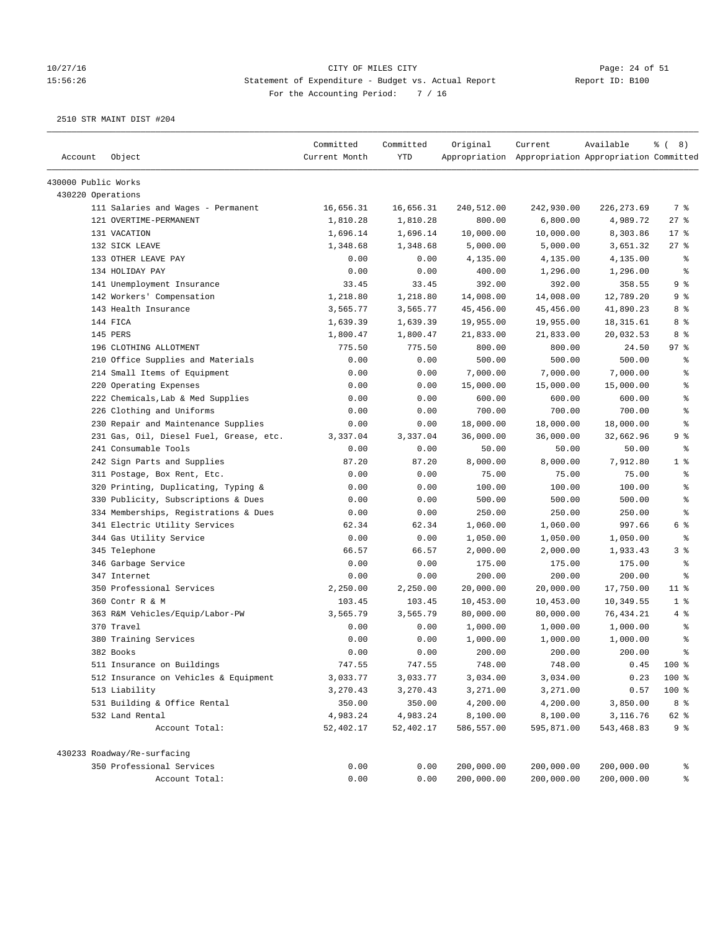## 10/27/16 Page: 24 of 51 15:56:26 Statement of Expenditure - Budget vs. Actual Report Changer Report ID: B100 For the Accounting Period: 7 / 16

| Account             | Object                                  | Committed<br>Current Month | Committed<br><b>YTD</b> | Original   | Current<br>Appropriation Appropriation Appropriation Committed | Available   | $\frac{6}{6}$ ( 8) |
|---------------------|-----------------------------------------|----------------------------|-------------------------|------------|----------------------------------------------------------------|-------------|--------------------|
| 430000 Public Works |                                         |                            |                         |            |                                                                |             |                    |
| 430220 Operations   |                                         |                            |                         |            |                                                                |             |                    |
|                     | 111 Salaries and Wages - Permanent      | 16,656.31                  | 16,656.31               | 240,512.00 | 242,930.00                                                     | 226, 273.69 | 7 %                |
|                     | 121 OVERTIME-PERMANENT                  | 1,810.28                   | 1,810.28                | 800.00     | 6,800.00                                                       | 4,989.72    | 27%                |
|                     | 131 VACATION                            | 1,696.14                   | 1,696.14                | 10,000.00  | 10,000.00                                                      | 8,303.86    | $17$ %             |
|                     | 132 SICK LEAVE                          | 1,348.68                   | 1,348.68                | 5,000.00   | 5,000.00                                                       | 3,651.32    | $27$ %             |
|                     | 133 OTHER LEAVE PAY                     | 0.00                       | 0.00                    | 4,135.00   | 4,135.00                                                       | 4,135.00    | နွ                 |
|                     | 134 HOLIDAY PAY                         | 0.00                       | 0.00                    | 400.00     | 1,296.00                                                       | 1,296.00    | $\epsilon$         |
|                     | 141 Unemployment Insurance              | 33.45                      | 33.45                   | 392.00     | 392.00                                                         | 358.55      | 9 <sup>8</sup>     |
|                     | 142 Workers' Compensation               | 1,218.80                   | 1,218.80                | 14,008.00  | 14,008.00                                                      | 12,789.20   | 9 <sup>8</sup>     |
|                     | 143 Health Insurance                    | 3,565.77                   | 3,565.77                | 45,456.00  | 45,456.00                                                      | 41,890.23   | 8 %                |
|                     | 144 FICA                                | 1,639.39                   | 1,639.39                | 19,955.00  | 19,955.00                                                      | 18,315.61   | 8 %                |
|                     | 145 PERS                                | 1,800.47                   | 1,800.47                | 21,833.00  | 21,833.00                                                      | 20,032.53   | 8 %                |
|                     | 196 CLOTHING ALLOTMENT                  | 775.50                     | 775.50                  | 800.00     | 800.00                                                         | 24.50       | 97%                |
|                     | 210 Office Supplies and Materials       | 0.00                       | 0.00                    | 500.00     | 500.00                                                         | 500.00      | ್ಠಿ                |
|                     | 214 Small Items of Equipment            | 0.00                       | 0.00                    | 7,000.00   | 7,000.00                                                       | 7,000.00    | ి                  |
|                     | 220 Operating Expenses                  | 0.00                       | 0.00                    | 15,000.00  | 15,000.00                                                      | 15,000.00   | န့                 |
|                     | 222 Chemicals, Lab & Med Supplies       | 0.00                       | 0.00                    | 600.00     | 600.00                                                         | 600.00      | ್ಠಿ                |
|                     | 226 Clothing and Uniforms               | 0.00                       | 0.00                    | 700.00     | 700.00                                                         | 700.00      | $\,$ $\,$ $\,$     |
|                     | 230 Repair and Maintenance Supplies     | 0.00                       | 0.00                    | 18,000.00  | 18,000.00                                                      | 18,000.00   | ್ಠಿ                |
|                     | 231 Gas, Oil, Diesel Fuel, Grease, etc. | 3,337.04                   | 3,337.04                | 36,000.00  | 36,000.00                                                      | 32,662.96   | 9%                 |
|                     | 241 Consumable Tools                    | 0.00                       | 0.00                    | 50.00      | 50.00                                                          | 50.00       | နွ                 |
|                     | 242 Sign Parts and Supplies             | 87.20                      | 87.20                   | 8,000.00   | 8,000.00                                                       | 7,912.80    | 1 <sup>8</sup>     |
|                     | 311 Postage, Box Rent, Etc.             | 0.00                       | 0.00                    | 75.00      | 75.00                                                          | 75.00       | る                  |
|                     | 320 Printing, Duplicating, Typing &     | 0.00                       | 0.00                    | 100.00     | 100.00                                                         | 100.00      | န့                 |
|                     | 330 Publicity, Subscriptions & Dues     | 0.00                       | 0.00                    | 500.00     | 500.00                                                         | 500.00      | $\epsilon$         |
|                     | 334 Memberships, Registrations & Dues   | 0.00                       | 0.00                    | 250.00     | 250.00                                                         | 250.00      | နွ                 |
|                     | 341 Electric Utility Services           | 62.34                      | 62.34                   | 1,060.00   | 1,060.00                                                       | 997.66      | 6 %                |
|                     | 344 Gas Utility Service                 | 0.00                       | 0.00                    | 1,050.00   | 1,050.00                                                       | 1,050.00    | $\epsilon$         |
|                     | 345 Telephone                           | 66.57                      | 66.57                   | 2,000.00   | 2,000.00                                                       | 1,933.43    | 3%                 |
|                     | 346 Garbage Service                     | 0.00                       | 0.00                    | 175.00     | 175.00                                                         | 175.00      | ್ಠಿ                |
|                     | 347 Internet                            | 0.00                       | 0.00                    | 200.00     | 200.00                                                         | 200.00      | る                  |
|                     | 350 Professional Services               | 2,250.00                   | 2,250.00                | 20,000.00  | 20,000.00                                                      | 17,750.00   | $11$ %             |
|                     | 360 Contr R & M                         | 103.45                     | 103.45                  | 10,453.00  | 10,453.00                                                      | 10,349.55   | 1 <sup>8</sup>     |
|                     | 363 R&M Vehicles/Equip/Labor-PW         | 3,565.79                   | 3,565.79                | 80,000.00  | 80,000.00                                                      | 76,434.21   | 4%                 |
|                     | 370 Travel                              | 0.00                       | 0.00                    | 1,000.00   | 1,000.00                                                       | 1,000.00    | ್ಠಿ                |
|                     | 380 Training Services                   | 0.00                       | 0.00                    | 1,000.00   | 1,000.00                                                       | 1,000.00    | $\,$ $\,$ $\,$     |
|                     | 382 Books                               | 0.00                       | 0.00                    | 200.00     | 200.00                                                         | 200.00      | ి                  |
|                     | 511 Insurance on Buildings              | 747.55                     | 747.55                  | 748.00     | 748.00                                                         | 0.45        | 100 %              |
|                     | 512 Insurance on Vehicles & Equipment   | 3,033.77                   | 3,033.77                | 3,034.00   | 3,034.00                                                       | 0.23        | 100 %              |
|                     | 513 Liability                           | 3,270.43                   | 3,270.43                | 3,271.00   | 3,271.00                                                       | 0.57        | 100 %              |
|                     | 531 Building & Office Rental            | 350.00                     | 350.00                  | 4,200.00   | 4,200.00                                                       | 3,850.00    | 8 %                |
|                     | 532 Land Rental                         | 4,983.24                   | 4,983.24                | 8,100.00   | 8,100.00                                                       | 3,116.76    | 62 %               |
|                     | Account Total:                          | 52,402.17                  | 52,402.17               | 586,557.00 | 595,871.00                                                     | 543,468.83  | 9 %                |
|                     | 430233 Roadway/Re-surfacing             |                            |                         |            |                                                                |             |                    |
|                     | 350 Professional Services               | 0.00                       | 0.00                    | 200,000.00 | 200,000.00                                                     | 200,000.00  | ိင                 |
|                     | Account Total:                          | 0.00                       | 0.00                    | 200,000.00 | 200,000.00                                                     | 200,000.00  | ႜ                  |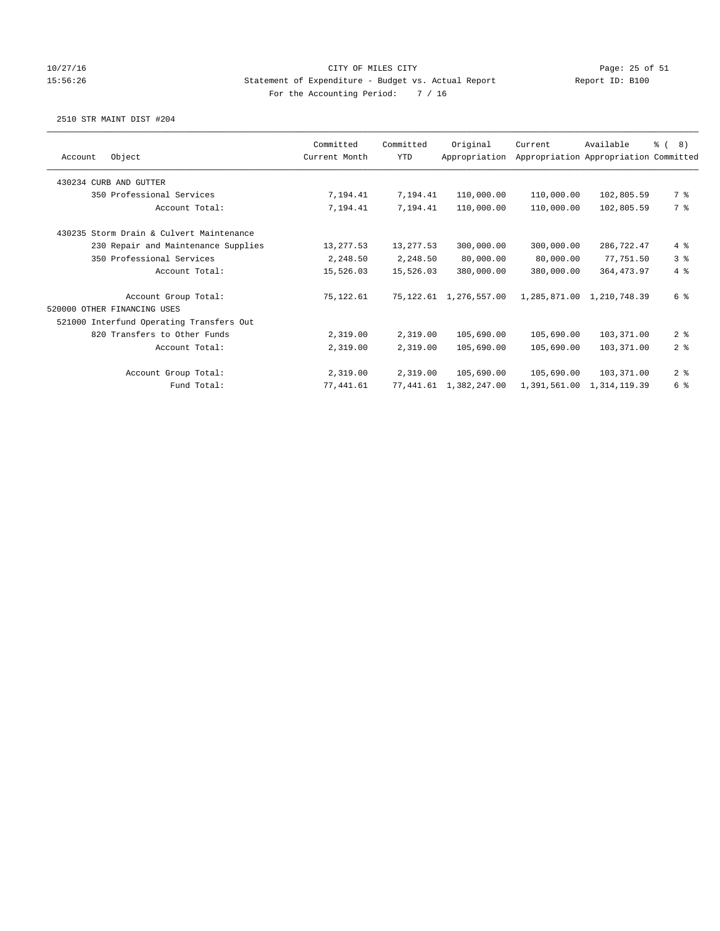#### 10/27/16 CITY OF MILES CITY Page: 25 of 51 15:56:26 Statement of Expenditure - Budget vs. Actual Report Report ID: B100 For the Accounting Period: 7 / 16

|                                          | Committed     | Committed | Original                  | Current      | Available                             | $\frac{6}{6}$ ( 8) |
|------------------------------------------|---------------|-----------|---------------------------|--------------|---------------------------------------|--------------------|
| Object<br>Account                        | Current Month | YTD       | Appropriation             |              | Appropriation Appropriation Committed |                    |
| 430234 CURB AND GUTTER                   |               |           |                           |              |                                       |                    |
| 350 Professional Services                | 7,194.41      | 7,194.41  | 110,000.00                | 110,000.00   | 102,805.59                            | 7 %                |
| Account Total:                           | 7,194.41      | 7,194.41  | 110,000.00                | 110,000.00   | 102,805.59                            | 7 %                |
| 430235 Storm Drain & Culvert Maintenance |               |           |                           |              |                                       |                    |
| 230 Repair and Maintenance Supplies      | 13,277.53     | 13,277.53 | 300,000.00                | 300,000.00   | 286,722.47                            | 4%                 |
| 350 Professional Services                | 2,248.50      | 2,248.50  | 80,000.00                 | 80,000.00    | 77,751.50                             | 3%                 |
| Account Total:                           | 15,526.03     | 15,526.03 | 380,000.00                | 380,000.00   | 364, 473.97                           | 4%                 |
| Account Group Total:                     | 75,122.61     |           | 75, 122.61 1, 276, 557.00 |              | 1,285,871.00 1,210,748.39             | 6 %                |
| 520000 OTHER FINANCING USES              |               |           |                           |              |                                       |                    |
| 521000 Interfund Operating Transfers Out |               |           |                           |              |                                       |                    |
| 820 Transfers to Other Funds             | 2,319.00      | 2,319.00  | 105,690.00                | 105,690.00   | 103,371.00                            | 2 <sup>8</sup>     |
| Account Total:                           | 2,319.00      | 2,319.00  | 105,690.00                | 105,690.00   | 103,371.00                            | 2 <sup>8</sup>     |
| Account Group Total:                     | 2,319.00      | 2,319.00  | 105,690.00                | 105,690.00   | 103,371.00                            | 2 <sup>8</sup>     |
| Fund Total:                              | 77,441.61     |           | 77,441.61 1,382,247.00    | 1,391,561.00 | 1, 314, 119.39                        | 6 %                |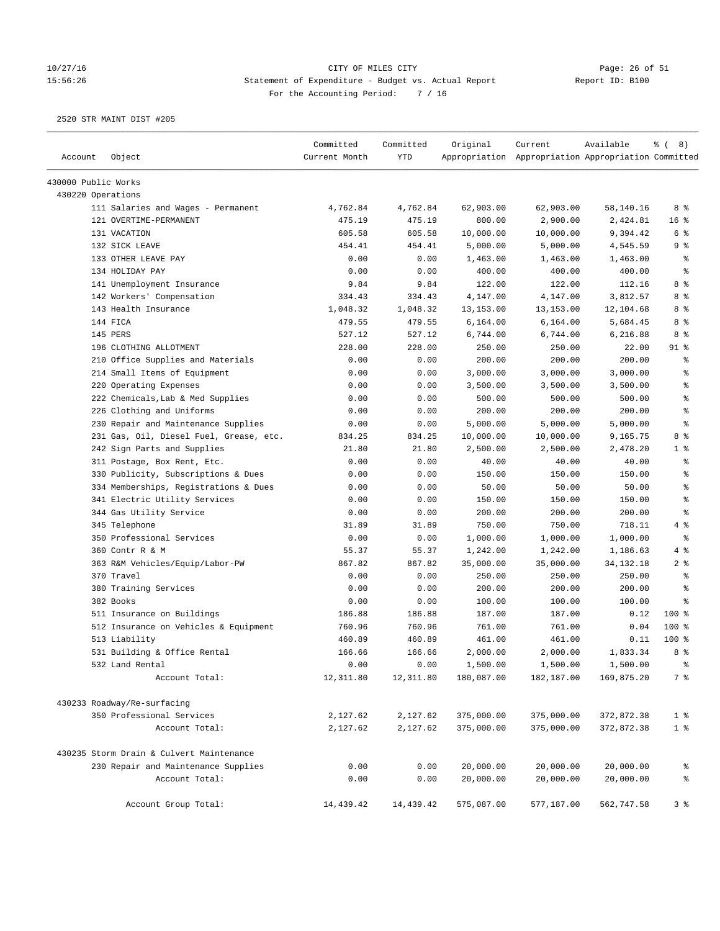# 10/27/16 Page: 26 of 51 15:56:26 Statement of Expenditure - Budget vs. Actual Report Changer Report ID: B100 For the Accounting Period: 7 / 16

|                     |                                          | Committed     | Committed | Original   | Current                                             | Available   | $\frac{6}{6}$ ( 8) |
|---------------------|------------------------------------------|---------------|-----------|------------|-----------------------------------------------------|-------------|--------------------|
| Account             | Object                                   | Current Month | YTD       |            | Appropriation Appropriation Appropriation Committed |             |                    |
| 430000 Public Works |                                          |               |           |            |                                                     |             |                    |
| 430220 Operations   |                                          |               |           |            |                                                     |             |                    |
|                     | 111 Salaries and Wages - Permanent       | 4,762.84      | 4,762.84  | 62,903.00  | 62,903.00                                           | 58,140.16   | 8 %                |
|                     | 121 OVERTIME-PERMANENT                   | 475.19        | 475.19    | 800.00     | 2,900.00                                            | 2,424.81    | 16 <sup>°</sup>    |
|                     | 131 VACATION                             | 605.58        | 605.58    | 10,000.00  | 10,000.00                                           | 9,394.42    | 6 <sup>8</sup>     |
|                     | 132 SICK LEAVE                           | 454.41        | 454.41    | 5,000.00   | 5,000.00                                            | 4,545.59    | 9 <sup>8</sup>     |
|                     | 133 OTHER LEAVE PAY                      | 0.00          | 0.00      | 1,463.00   | 1,463.00                                            | 1,463.00    | $\epsilon$         |
|                     | 134 HOLIDAY PAY                          | 0.00          | 0.00      | 400.00     | 400.00                                              | 400.00      | る                  |
|                     | 141 Unemployment Insurance               | 9.84          | 9.84      | 122.00     | 122.00                                              | 112.16      | 8 %                |
|                     | 142 Workers' Compensation                | 334.43        | 334.43    | 4,147.00   | 4,147.00                                            | 3,812.57    | 8 %                |
|                     | 143 Health Insurance                     | 1,048.32      | 1,048.32  | 13,153.00  | 13,153.00                                           | 12,104.68   | 8 %                |
|                     | 144 FICA                                 | 479.55        | 479.55    | 6,164.00   | 6,164.00                                            | 5,684.45    | 8 %                |
|                     | 145 PERS                                 | 527.12        | 527.12    | 6,744.00   | 6,744.00                                            | 6,216.88    | 8 %                |
|                     | 196 CLOTHING ALLOTMENT                   | 228.00        | 228.00    | 250.00     | 250.00                                              | 22.00       | $91$ %             |
|                     | 210 Office Supplies and Materials        | 0.00          | 0.00      | 200.00     | 200.00                                              | 200.00      | ್ಠಿ                |
|                     | 214 Small Items of Equipment             | 0.00          | 0.00      | 3,000.00   | 3,000.00                                            | 3,000.00    | る                  |
|                     | 220 Operating Expenses                   | 0.00          | 0.00      | 3,500.00   | 3,500.00                                            | 3,500.00    | $\epsilon$         |
|                     | 222 Chemicals, Lab & Med Supplies        | 0.00          | 0.00      | 500.00     | 500.00                                              | 500.00      | ٥P                 |
|                     | 226 Clothing and Uniforms                | 0.00          | 0.00      | 200.00     | 200.00                                              | 200.00      | $\epsilon$         |
|                     | 230 Repair and Maintenance Supplies      | 0.00          | 0.00      | 5,000.00   | 5,000.00                                            | 5,000.00    | ್ಠಿ                |
|                     | 231 Gas, Oil, Diesel Fuel, Grease, etc.  | 834.25        | 834.25    | 10,000.00  | 10,000.00                                           | 9,165.75    | 8 %                |
|                     | 242 Sign Parts and Supplies              | 21.80         | 21.80     | 2,500.00   | 2,500.00                                            | 2,478.20    | 1 <sup>8</sup>     |
|                     | 311 Postage, Box Rent, Etc.              | 0.00          | 0.00      | 40.00      | 40.00                                               | 40.00       | နွ                 |
|                     | 330 Publicity, Subscriptions & Dues      | 0.00          | 0.00      | 150.00     | 150.00                                              | 150.00      | ್ಠಿ                |
|                     | 334 Memberships, Registrations & Dues    | 0.00          | 0.00      | 50.00      | 50.00                                               | 50.00       | ٥P                 |
|                     | 341 Electric Utility Services            | 0.00          | 0.00      | 150.00     | 150.00                                              | 150.00      | $\epsilon$         |
|                     | 344 Gas Utility Service                  | 0.00          | 0.00      | 200.00     | 200.00                                              | 200.00      | နွ                 |
|                     | 345 Telephone                            | 31.89         | 31.89     | 750.00     | 750.00                                              | 718.11      | 4 %                |
|                     | 350 Professional Services                | 0.00          | 0.00      | 1,000.00   | 1,000.00                                            | 1,000.00    | $\epsilon$         |
|                     | 360 Contr R & M                          | 55.37         | 55.37     | 1,242.00   | 1,242.00                                            | 1,186.63    | 4%                 |
|                     | 363 R&M Vehicles/Equip/Labor-PW          | 867.82        | 867.82    | 35,000.00  | 35,000.00                                           | 34, 132. 18 | 2 <sup>8</sup>     |
|                     | 370 Travel                               | 0.00          | 0.00      | 250.00     | 250.00                                              | 250.00      | နွ                 |
|                     | 380 Training Services                    | 0.00          | 0.00      | 200.00     | 200.00                                              | 200.00      | る                  |
|                     | 382 Books                                | 0.00          | 0.00      | 100.00     | 100.00                                              | 100.00      | နွ                 |
|                     | 511 Insurance on Buildings               | 186.88        | 186.88    | 187.00     | 187.00                                              | 0.12        | $100*$             |
|                     | 512 Insurance on Vehicles & Equipment    | 760.96        | 760.96    | 761.00     | 761.00                                              | 0.04        | 100 %              |
|                     | 513 Liability                            | 460.89        | 460.89    | 461.00     | 461.00                                              | 0.11        | $100*$             |
|                     | 531 Building & Office Rental             | 166.66        | 166.66    | 2,000.00   | 2,000.00                                            | 1,833.34    | 8 %                |
|                     | 532 Land Rental                          | 0.00          | 0.00      | 1,500.00   | 1,500.00                                            | 1,500.00    | $\,$ $\,$ $\,$     |
|                     | Account Total:                           | 12,311.80     | 12,311.80 | 180,087.00 | 182,187.00                                          | 169,875.20  | 7%                 |
|                     | 430233 Roadway/Re-surfacing              |               |           |            |                                                     |             |                    |
|                     | 350 Professional Services                | 2,127.62      | 2,127.62  | 375,000.00 | 375,000.00                                          | 372,872.38  | 1 <sup>8</sup>     |
|                     | Account Total:                           | 2,127.62      | 2,127.62  | 375,000.00 | 375,000.00                                          | 372,872.38  | 1 <sup>8</sup>     |
|                     | 430235 Storm Drain & Culvert Maintenance |               |           |            |                                                     |             |                    |
|                     |                                          |               |           |            | 20,000.00                                           |             |                    |
|                     | 230 Repair and Maintenance Supplies      | 0.00          | 0.00      | 20,000.00  |                                                     | 20,000.00   | ိစ                 |
|                     | Account Total:                           | 0.00          | 0.00      | 20,000.00  | 20,000.00                                           | 20,000.00   | $\,$ $\,$ $\,$     |
|                     | Account Group Total:                     | 14,439.42     | 14,439.42 | 575,087.00 | 577,187.00                                          | 562,747.58  | 3%                 |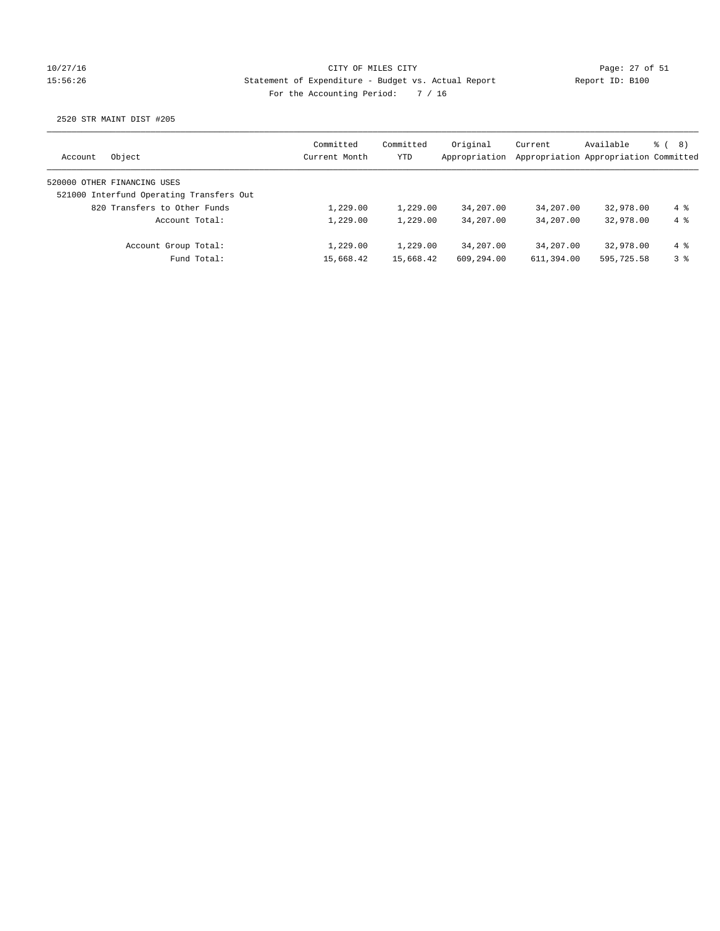## 10/27/16 CITY OF MILES CITY Page: 27 of 51 15:56:26 Statement of Expenditure - Budget vs. Actual Report Report ID: B100 For the Accounting Period: 7 / 16

| Object<br>Account                        | Committed<br>Current Month | Committed<br>YTD | Original<br>Appropriation | Current    | Available<br>Appropriation Appropriation Committed | ී ( 8 )    |
|------------------------------------------|----------------------------|------------------|---------------------------|------------|----------------------------------------------------|------------|
| 520000 OTHER FINANCING USES              |                            |                  |                           |            |                                                    |            |
| 521000 Interfund Operating Transfers Out |                            |                  |                           |            |                                                    |            |
| 820 Transfers to Other Funds             | 1,229.00                   | 1,229.00         | 34,207.00                 | 34,207.00  | 32,978.00                                          | $4\degree$ |
| Account Total:                           | 1,229.00                   | 1,229.00         | 34,207.00                 | 34,207.00  | 32,978.00                                          | $4\degree$ |
| Account Group Total:                     | 1,229.00                   | 1,229.00         | 34,207.00                 | 34,207.00  | 32,978.00                                          | $4\degree$ |
| Fund Total:                              | 15,668.42                  | 15,668.42        | 609,294.00                | 611,394.00 | 595,725.58                                         | 3%         |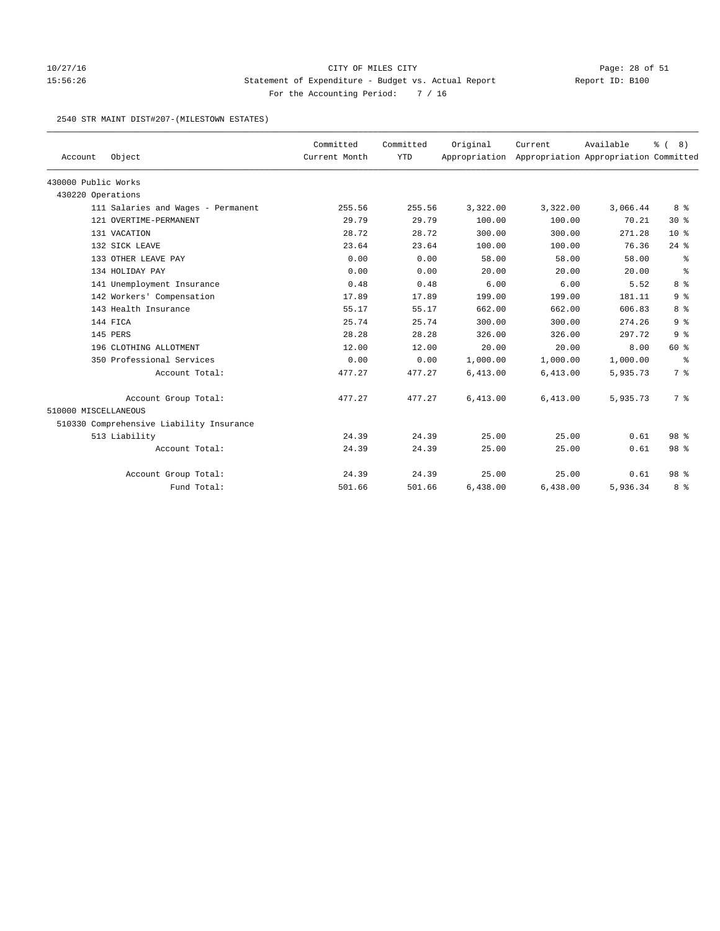## 10/27/16 CITY OF MILES CITY Page: 28 of 51 15:56:26 Statement of Expenditure - Budget vs. Actual Report Report ID: B100 For the Accounting Period: 7 / 16

#### 2540 STR MAINT DIST#207-(MILESTOWN ESTATES)

|                      |                                          | Committed     | Committed  | Original | Current                                             | Available | $\frac{6}{6}$ (<br>8) |
|----------------------|------------------------------------------|---------------|------------|----------|-----------------------------------------------------|-----------|-----------------------|
| Account              | Object                                   | Current Month | <b>YTD</b> |          | Appropriation Appropriation Appropriation Committed |           |                       |
| 430000 Public Works  |                                          |               |            |          |                                                     |           |                       |
| 430220 Operations    |                                          |               |            |          |                                                     |           |                       |
|                      | 111 Salaries and Wages - Permanent       | 255.56        | 255.56     | 3,322.00 | 3,322.00                                            | 3,066.44  | 8 %                   |
|                      | 121 OVERTIME-PERMANENT                   | 29.79         | 29.79      | 100.00   | 100.00                                              | 70.21     | $30*$                 |
|                      | 131 VACATION                             | 28.72         | 28.72      | 300.00   | 300.00                                              | 271.28    | $10*$                 |
|                      | 132 SICK LEAVE                           | 23.64         | 23.64      | 100.00   | 100.00                                              | 76.36     | $24$ %                |
|                      | 133 OTHER LEAVE PAY                      | 0.00          | 0.00       | 58.00    | 58.00                                               | 58.00     | ႜ                     |
|                      | 134 HOLIDAY PAY                          | 0.00          | 0.00       | 20.00    | 20.00                                               | 20.00     | ి                     |
|                      | 141 Unemployment Insurance               | 0.48          | 0.48       | 6.00     | 6.00                                                | 5.52      | 8 %                   |
|                      | 142 Workers' Compensation                | 17.89         | 17.89      | 199.00   | 199.00                                              | 181.11    | 9 <sub>8</sub>        |
|                      | 143 Health Insurance                     | 55.17         | 55.17      | 662.00   | 662.00                                              | 606.83    | 8 %                   |
|                      | 144 FICA                                 | 25.74         | 25.74      | 300.00   | 300.00                                              | 274.26    | 9 <sup>8</sup>        |
|                      | 145 PERS                                 | 28.28         | 28.28      | 326.00   | 326.00                                              | 297.72    | 9 <sup>8</sup>        |
|                      | 196 CLOTHING ALLOTMENT                   | 12.00         | 12.00      | 20.00    | 20.00                                               | 8.00      | 60 %                  |
|                      | 350 Professional Services                | 0.00          | 0.00       | 1,000.00 | 1,000.00                                            | 1,000.00  | နွ                    |
|                      | Account Total:                           | 477.27        | 477.27     | 6,413.00 | 6,413.00                                            | 5,935.73  | 7 %                   |
|                      | Account Group Total:                     | 477.27        | 477.27     | 6,413.00 | 6,413.00                                            | 5,935.73  | 7 %                   |
| 510000 MISCELLANEOUS |                                          |               |            |          |                                                     |           |                       |
|                      | 510330 Comprehensive Liability Insurance |               |            |          |                                                     |           |                       |
|                      | 513 Liability                            | 24.39         | 24.39      | 25.00    | 25.00                                               | 0.61      | 98 <sup>8</sup>       |
|                      | Account Total:                           | 24.39         | 24.39      | 25.00    | 25.00                                               | 0.61      | 98 %                  |
|                      | Account Group Total:                     | 24.39         | 24.39      | 25.00    | 25.00                                               | 0.61      | 98 <sup>8</sup>       |
|                      | Fund Total:                              | 501.66        | 501.66     | 6,438.00 | 6,438.00                                            | 5,936.34  | 8 %                   |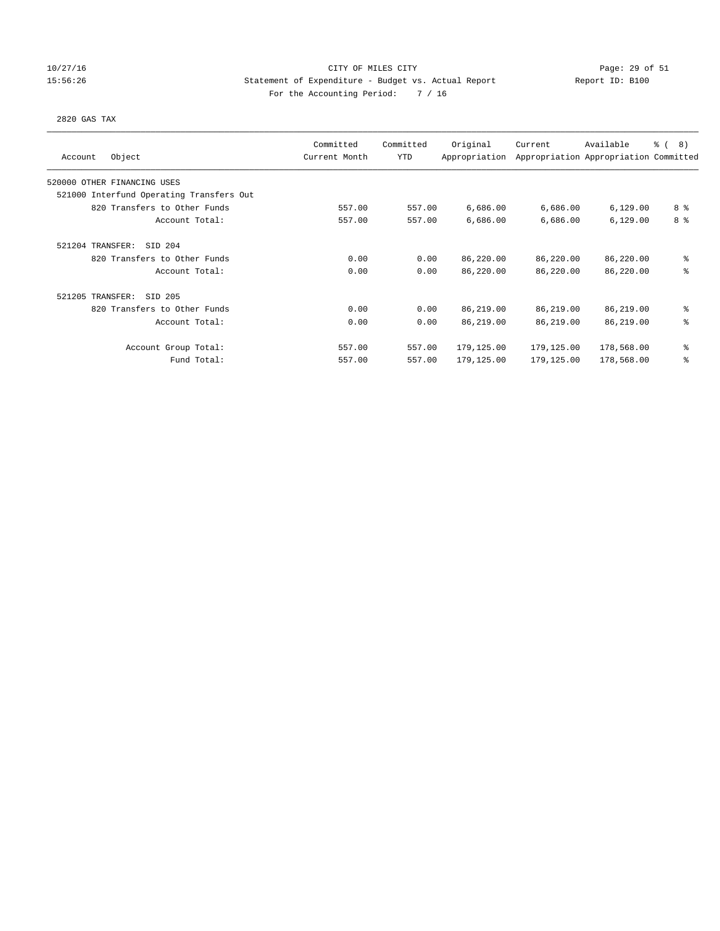## 10/27/16 CITY OF MILES CITY Page: 29 of 51 15:56:26 Statement of Expenditure - Budget vs. Actual Report Report ID: B100 For the Accounting Period: 7 / 16

#### 2820 GAS TAX

| Object<br>Account                        | Committed<br>Current Month | Committed<br><b>YTD</b> | Original<br>Appropriation | Current    | Available<br>Appropriation Appropriation Committed | $\frac{6}{6}$ ( 8) |
|------------------------------------------|----------------------------|-------------------------|---------------------------|------------|----------------------------------------------------|--------------------|
| 520000 OTHER FINANCING USES              |                            |                         |                           |            |                                                    |                    |
| 521000 Interfund Operating Transfers Out |                            |                         |                           |            |                                                    |                    |
| 820 Transfers to Other Funds             | 557.00                     | 557.00                  | 6,686.00                  | 6,686.00   | 6,129.00                                           | 8 %                |
| Account Total:                           | 557.00                     | 557.00                  | 6,686.00                  | 6,686.00   | 6,129.00                                           | 8 %                |
| 521204 TRANSFER:<br>SID 204              |                            |                         |                           |            |                                                    |                    |
| 820 Transfers to Other Funds             | 0.00                       | 0.00                    | 86,220.00                 | 86,220.00  | 86,220.00                                          | ి                  |
| Account Total:                           | 0.00                       | 0.00                    | 86,220.00                 | 86,220.00  | 86,220.00                                          | ి                  |
| 521205 TRANSFER:<br>SID 205              |                            |                         |                           |            |                                                    |                    |
| 820 Transfers to Other Funds             | 0.00                       | 0.00                    | 86,219.00                 | 86,219.00  | 86,219.00                                          | နွ                 |
| Account Total:                           | 0.00                       | 0.00                    | 86,219.00                 | 86,219.00  | 86,219.00                                          | ి                  |
| Account Group Total:                     | 557.00                     | 557.00                  | 179,125.00                | 179,125.00 | 178,568.00                                         | ి                  |
| Fund Total:                              | 557.00                     | 557.00                  | 179,125.00                | 179,125.00 | 178,568.00                                         | ి                  |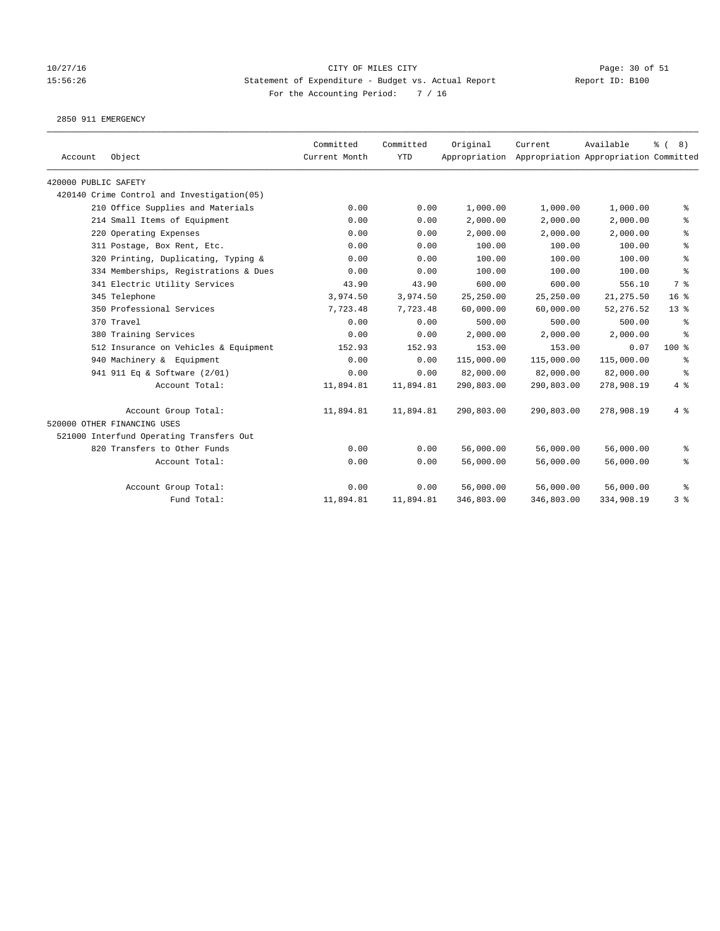#### 10/27/16 CITY OF MILES CITY Page: 30 of 51 15:56:26 Statement of Expenditure - Budget vs. Actual Report Report ID: B100 For the Accounting Period: 7 / 16

2850 911 EMERGENCY

| Account              | Object                                      | Committed<br>Current Month | Committed<br><b>YTD</b> | Original   | Current<br>Appropriation Appropriation Appropriation Committed | Available  | $\frac{6}{6}$ ( 8) |
|----------------------|---------------------------------------------|----------------------------|-------------------------|------------|----------------------------------------------------------------|------------|--------------------|
| 420000 PUBLIC SAFETY |                                             |                            |                         |            |                                                                |            |                    |
|                      | 420140 Crime Control and Investigation (05) |                            |                         |            |                                                                |            |                    |
|                      | 210 Office Supplies and Materials           | 0.00                       | 0.00                    | 1,000.00   | 1,000.00                                                       | 1,000.00   | နွ                 |
|                      | 214 Small Items of Equipment                | 0.00                       | 0.00                    | 2,000.00   | 2,000.00                                                       | 2,000.00   | နွ                 |
|                      | 220 Operating Expenses                      | 0.00                       | 0.00                    | 2,000.00   | 2,000.00                                                       | 2,000.00   | နွ                 |
|                      | 311 Postage, Box Rent, Etc.                 | 0.00                       | 0.00                    | 100.00     | 100.00                                                         | 100.00     | နွ                 |
|                      | 320 Printing, Duplicating, Typing &         | 0.00                       | 0.00                    | 100.00     | 100.00                                                         | 100.00     | နွ                 |
|                      | 334 Memberships, Registrations & Dues       | 0.00                       | 0.00                    | 100.00     | 100.00                                                         | 100.00     | နွ                 |
|                      | 341 Electric Utility Services               | 43.90                      | 43.90                   | 600.00     | 600.00                                                         | 556.10     | 7 %                |
|                      | 345 Telephone                               | 3,974.50                   | 3,974.50                | 25,250.00  | 25,250.00                                                      | 21, 275.50 | $16*$              |
|                      | 350 Professional Services                   | 7,723.48                   | 7,723.48                | 60,000.00  | 60,000.00                                                      | 52, 276.52 | $13*$              |
|                      | 370 Travel                                  | 0.00                       | 0.00                    | 500.00     | 500.00                                                         | 500.00     | ႜ                  |
|                      | 380 Training Services                       | 0.00                       | 0.00                    | 2,000.00   | 2,000.00                                                       | 2,000.00   | ႜ                  |
|                      | 512 Insurance on Vehicles & Equipment       | 152.93                     | 152.93                  | 153.00     | 153.00                                                         | 0.07       | 100 %              |
|                      | 940 Machinery & Equipment                   | 0.00                       | 0.00                    | 115,000.00 | 115,000.00                                                     | 115,000.00 | ႜ                  |
|                      | 941 911 Eq & Software (2/01)                | 0.00                       | 0.00                    | 82,000.00  | 82,000.00                                                      | 82,000.00  | ႜ                  |
|                      | Account Total:                              | 11,894.81                  | 11,894.81               | 290,803.00 | 290,803.00                                                     | 278,908.19 | 4%                 |
|                      | Account Group Total:                        | 11,894.81                  | 11,894.81               | 290,803.00 | 290,803.00                                                     | 278,908.19 | 4%                 |
|                      | 520000 OTHER FINANCING USES                 |                            |                         |            |                                                                |            |                    |
|                      | 521000 Interfund Operating Transfers Out    |                            |                         |            |                                                                |            |                    |
|                      | 820 Transfers to Other Funds                | 0.00                       | 0.00                    | 56,000.00  | 56,000.00                                                      | 56,000.00  | နွ                 |
|                      | Account Total:                              | 0.00                       | 0.00                    | 56,000.00  | 56,000.00                                                      | 56,000.00  | နွ                 |
|                      | Account Group Total:                        | 0.00                       | 0.00                    | 56,000.00  | 56,000.00                                                      | 56,000.00  | နွ                 |
|                      | Fund Total:                                 | 11,894.81                  | 11,894.81               | 346,803.00 | 346,803.00                                                     | 334,908.19 | 3 %                |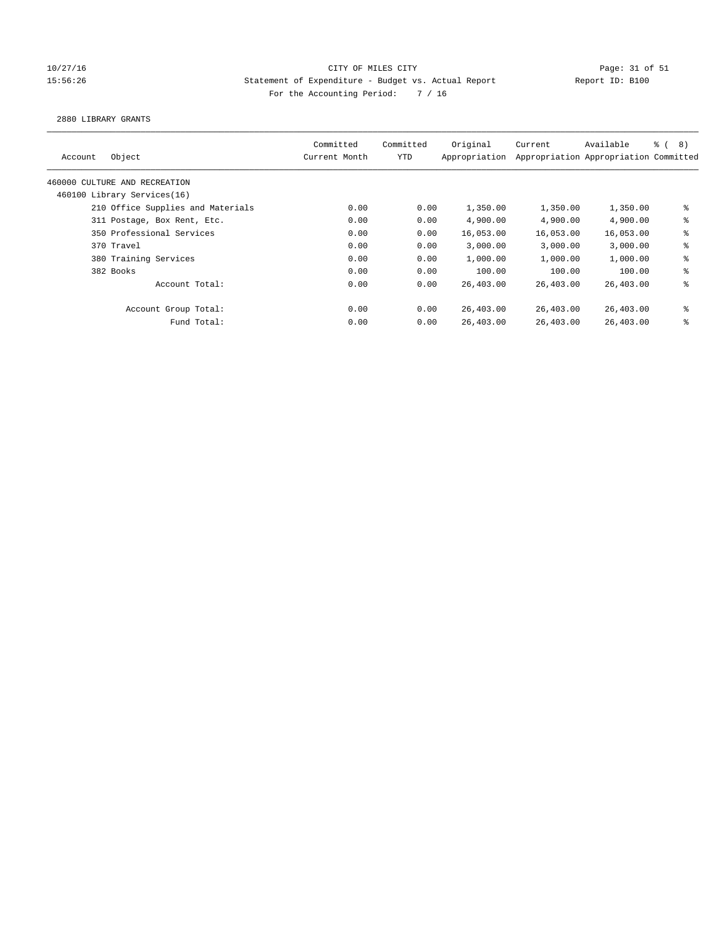## 10/27/16 CITY OF MILES CITY Page: 31 of 51 15:56:26 Statement of Expenditure - Budget vs. Actual Report Report ID: B100 For the Accounting Period: 7 / 16

2880 LIBRARY GRANTS

| Object<br>Account                 | Committed<br>Current Month | Committed<br>YTD | Original<br>Appropriation | Current   | Available<br>Appropriation Appropriation Committed | $\frac{6}{3}$ ( 8) |
|-----------------------------------|----------------------------|------------------|---------------------------|-----------|----------------------------------------------------|--------------------|
| 460000 CULTURE AND RECREATION     |                            |                  |                           |           |                                                    |                    |
| 460100 Library Services(16)       |                            |                  |                           |           |                                                    |                    |
| 210 Office Supplies and Materials | 0.00                       | 0.00             | 1,350.00                  | 1,350.00  | 1,350.00                                           | ៖                  |
| 311 Postage, Box Rent, Etc.       | 0.00                       | 0.00             | 4,900.00                  | 4,900.00  | 4,900.00                                           | ి                  |
| 350 Professional Services         | 0.00                       | 0.00             | 16,053.00                 | 16,053.00 | 16,053.00                                          | ి                  |
| 370 Travel                        | 0.00                       | 0.00             | 3,000.00                  | 3,000.00  | 3,000.00                                           | ್ಠಿ                |
| 380 Training Services             | 0.00                       | 0.00             | 1,000.00                  | 1,000.00  | 1,000.00                                           | ి                  |
| 382 Books                         | 0.00                       | 0.00             | 100.00                    | 100.00    | 100.00                                             | နွ                 |
| Account Total:                    | 0.00                       | 0.00             | 26,403.00                 | 26,403.00 | 26,403.00                                          | ి                  |
| Account Group Total:              | 0.00                       | 0.00             | 26,403.00                 | 26,403.00 | 26,403.00                                          | ៖                  |
| Fund Total:                       | 0.00                       | 0.00             | 26,403.00                 | 26,403.00 | 26,403.00                                          | ి                  |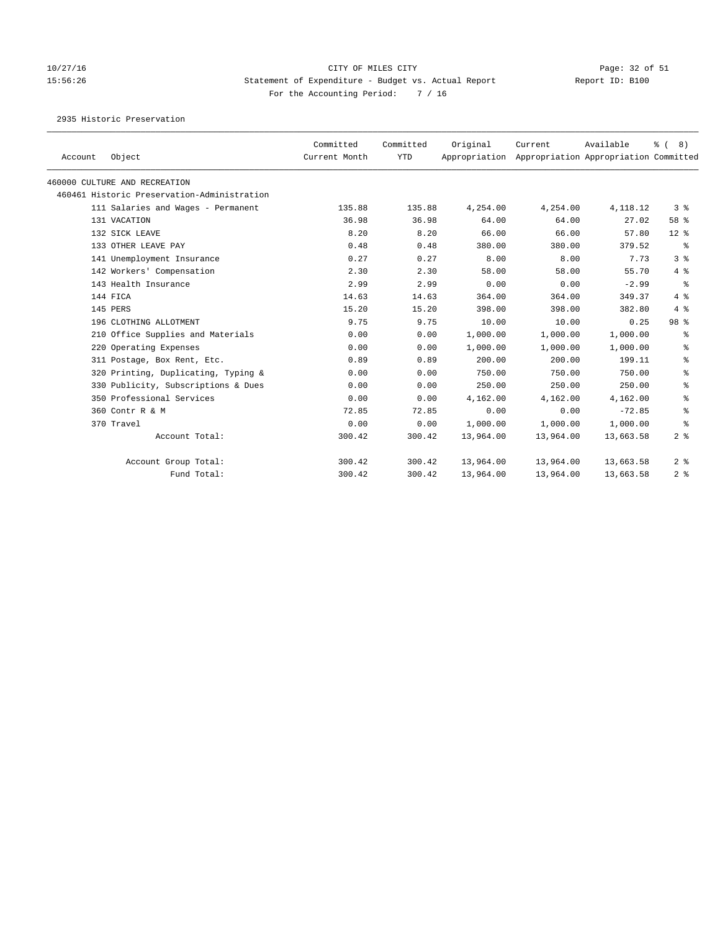# 10/27/16 Page: 32 of 51 15:56:26 Statement of Expenditure - Budget vs. Actual Report Report ID: B100 For the Accounting Period: 7 / 16

2935 Historic Preservation

| Account | Object                                      | Committed<br>Current Month | Committed<br><b>YTD</b> | Original  | Current<br>Appropriation Appropriation Appropriation Committed | Available  | % (8)           |
|---------|---------------------------------------------|----------------------------|-------------------------|-----------|----------------------------------------------------------------|------------|-----------------|
|         | 460000 CULTURE AND RECREATION               |                            |                         |           |                                                                |            |                 |
|         | 460461 Historic Preservation-Administration |                            |                         |           |                                                                |            |                 |
|         | 111 Salaries and Wages - Permanent          | 135.88                     | 135.88                  | 4,254.00  | 4,254.00                                                       | 4, 118. 12 | 3 <sup>8</sup>  |
|         | 131 VACATION                                | 36.98                      | 36.98                   | 64.00     | 64.00                                                          | 27.02      | 58 %            |
|         | 132 SICK LEAVE                              | 8.20                       | 8.20                    | 66.00     | 66.00                                                          | 57.80      | $12*$           |
|         | 133 OTHER LEAVE PAY                         | 0.48                       | 0.48                    | 380.00    | 380.00                                                         | 379.52     | ႜ               |
|         | 141 Unemployment Insurance                  | 0.27                       | 0.27                    | 8.00      | 8.00                                                           | 7.73       | 3 <sup>8</sup>  |
|         | 142 Workers' Compensation                   | 2.30                       | 2.30                    | 58.00     | 58.00                                                          | 55.70      | 4%              |
|         | 143 Health Insurance                        | 2.99                       | 2.99                    | 0.00      | 0.00                                                           | $-2.99$    | နွ              |
|         | 144 FICA                                    | 14.63                      | 14.63                   | 364.00    | 364.00                                                         | 349.37     | $4 \text{ }$    |
|         | 145 PERS                                    | 15.20                      | 15.20                   | 398.00    | 398.00                                                         | 382.80     | 4%              |
|         | 196 CLOTHING ALLOTMENT                      | 9.75                       | 9.75                    | 10.00     | 10.00                                                          | 0.25       | 98 <sup>8</sup> |
|         | 210 Office Supplies and Materials           | 0.00                       | 0.00                    | 1,000.00  | 1,000.00                                                       | 1,000.00   | နွ              |
|         | 220 Operating Expenses                      | 0.00                       | 0.00                    | 1,000.00  | 1,000.00                                                       | 1,000.00   | နွ              |
|         | 311 Postage, Box Rent, Etc.                 | 0.89                       | 0.89                    | 200.00    | 200.00                                                         | 199.11     | နွ              |
|         | 320 Printing, Duplicating, Typing &         | 0.00                       | 0.00                    | 750.00    | 750.00                                                         | 750.00     | နွ              |
|         | 330 Publicity, Subscriptions & Dues         | 0.00                       | 0.00                    | 250.00    | 250.00                                                         | 250.00     | နွ              |
|         | 350 Professional Services                   | 0.00                       | 0.00                    | 4,162.00  | 4,162.00                                                       | 4,162.00   | န့              |
|         | 360 Contr R & M                             | 72.85                      | 72.85                   | 0.00      | 0.00                                                           | $-72.85$   | နွ              |
|         | 370 Travel                                  | 0.00                       | 0.00                    | 1,000.00  | 1,000.00                                                       | 1,000.00   | နွ              |
|         | Account Total:                              | 300.42                     | 300.42                  | 13,964.00 | 13,964.00                                                      | 13,663.58  | 2 <sup>8</sup>  |
|         | Account Group Total:                        | 300.42                     | 300.42                  | 13,964.00 | 13,964.00                                                      | 13,663.58  | 2 <sup>8</sup>  |
|         | Fund Total:                                 | 300.42                     | 300.42                  | 13,964.00 | 13,964.00                                                      | 13,663.58  | 2 <sup>8</sup>  |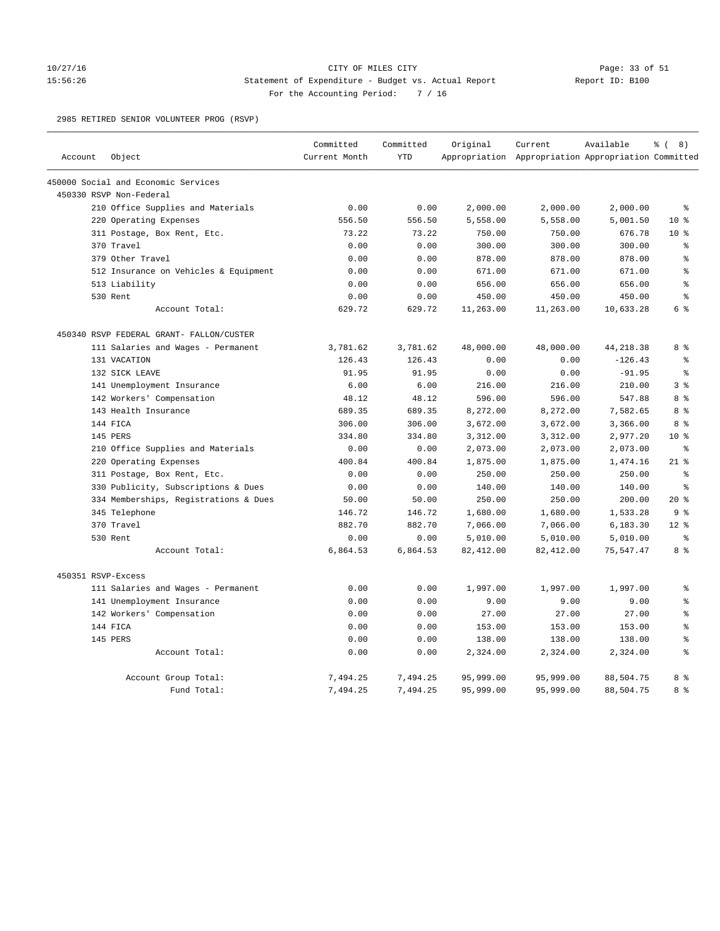# 10/27/16 CITY OF MILES CITY<br>15:56:26 Statement of Expenditure - Budget vs. Actual Report Report ID: B100 15:56:26 Statement of Expenditure - Budget vs. Actual Report For the Accounting Period: 7 / 16

2985 RETIRED SENIOR VOLUNTEER PROG (RSVP)

|                    |                                          | Committed     | Committed  | Original  | Current                                             | Available  | <sub>රී</sub> (<br>8) |
|--------------------|------------------------------------------|---------------|------------|-----------|-----------------------------------------------------|------------|-----------------------|
| Account            | Object                                   | Current Month | <b>YTD</b> |           | Appropriation Appropriation Appropriation Committed |            |                       |
|                    | 450000 Social and Economic Services      |               |            |           |                                                     |            |                       |
|                    | 450330 RSVP Non-Federal                  |               |            |           |                                                     |            |                       |
|                    | 210 Office Supplies and Materials        | 0.00          | 0.00       | 2,000.00  | 2,000.00                                            | 2,000.00   | နွ                    |
|                    | 220 Operating Expenses                   | 556.50        | 556.50     | 5,558.00  | 5,558.00                                            | 5,001.50   | $10*$                 |
|                    | 311 Postage, Box Rent, Etc.              | 73.22         | 73.22      | 750.00    | 750.00                                              | 676.78     | $10*$                 |
|                    | 370 Travel                               | 0.00          | 0.00       | 300.00    | 300.00                                              | 300.00     | နွ                    |
|                    | 379 Other Travel                         | 0.00          | 0.00       | 878.00    | 878.00                                              | 878.00     | နွ                    |
|                    | 512 Insurance on Vehicles & Equipment    | 0.00          | 0.00       | 671.00    | 671.00                                              | 671.00     | နွ                    |
|                    | 513 Liability                            | 0.00          | 0.00       | 656.00    | 656.00                                              | 656.00     | $\epsilon$            |
|                    | 530 Rent                                 | 0.00          | 0.00       | 450.00    | 450.00                                              | 450.00     | နွ                    |
|                    | Account Total:                           | 629.72        | 629.72     | 11,263.00 | 11,263.00                                           | 10,633.28  | 6 <sup>8</sup>        |
|                    | 450340 RSVP FEDERAL GRANT- FALLON/CUSTER |               |            |           |                                                     |            |                       |
|                    | 111 Salaries and Wages - Permanent       | 3,781.62      | 3,781.62   | 48,000.00 | 48,000.00                                           | 44, 218.38 | 8 %                   |
|                    | 131 VACATION                             | 126.43        | 126.43     | 0.00      | 0.00                                                | $-126.43$  | g.                    |
|                    | 132 SICK LEAVE                           | 91.95         | 91.95      | 0.00      | 0.00                                                | $-91.95$   | ి                     |
|                    | 141 Unemployment Insurance               | 6.00          | 6.00       | 216.00    | 216.00                                              | 210.00     | 3 <sup>8</sup>        |
|                    | 142 Workers' Compensation                | 48.12         | 48.12      | 596.00    | 596.00                                              | 547.88     | 8 %                   |
|                    | 143 Health Insurance                     | 689.35        | 689.35     | 8,272.00  | 8,272.00                                            | 7,582.65   | 8 %                   |
|                    | 144 FICA                                 | 306.00        | 306.00     | 3,672.00  | 3,672.00                                            | 3,366.00   | 8 <sup>8</sup>        |
|                    | 145 PERS                                 | 334.80        | 334.80     | 3,312.00  | 3,312.00                                            | 2,977.20   | 10 <sup>8</sup>       |
|                    | 210 Office Supplies and Materials        | 0.00          | 0.00       | 2,073.00  | 2,073.00                                            | 2,073.00   | နွ                    |
|                    | 220 Operating Expenses                   | 400.84        | 400.84     | 1,875.00  | 1,875.00                                            | 1,474.16   | $21*$                 |
|                    | 311 Postage, Box Rent, Etc.              | 0.00          | 0.00       | 250.00    | 250.00                                              | 250.00     | $\epsilon$            |
|                    | 330 Publicity, Subscriptions & Dues      | 0.00          | 0.00       | 140.00    | 140.00                                              | 140.00     | $\approx$             |
|                    | 334 Memberships, Registrations & Dues    | 50.00         | 50.00      | 250.00    | 250.00                                              | 200.00     | $20*$                 |
|                    | 345 Telephone                            | 146.72        | 146.72     | 1,680.00  | 1,680.00                                            | 1,533.28   | 9 <sub>8</sub>        |
|                    | 370 Travel                               | 882.70        | 882.70     | 7,066.00  | 7,066.00                                            | 6,183.30   | $12*$                 |
|                    | 530 Rent                                 | 0.00          | 0.00       | 5,010.00  | 5,010.00                                            | 5,010.00   | $\epsilon$            |
|                    | Account Total:                           | 6,864.53      | 6,864.53   | 82,412.00 | 82, 412.00                                          | 75,547.47  | 8%                    |
| 450351 RSVP-Excess |                                          |               |            |           |                                                     |            |                       |
|                    | 111 Salaries and Wages - Permanent       | 0.00          | 0.00       | 1,997.00  | 1,997.00                                            | 1,997.00   | ႜ                     |
|                    | 141 Unemployment Insurance               | 0.00          | 0.00       | 9.00      | 9.00                                                | 9.00       | နွ                    |
|                    | 142 Workers' Compensation                | 0.00          | 0.00       | 27.00     | 27.00                                               | 27.00      | g                     |
|                    | 144 FICA                                 | 0.00          | 0.00       | 153.00    | 153.00                                              | 153.00     | g                     |
|                    | 145 PERS                                 | 0.00          | 0.00       | 138.00    | 138.00                                              | 138.00     | နွ                    |
|                    | Account Total:                           | 0.00          | 0.00       | 2,324.00  | 2,324.00                                            | 2,324.00   | $\approx$             |
|                    | Account Group Total:                     | 7,494.25      | 7,494.25   | 95,999.00 | 95,999.00                                           | 88,504.75  | 8 %                   |
|                    | Fund Total:                              | 7,494.25      | 7,494.25   | 95,999.00 | 95,999.00                                           | 88,504.75  | 8 %                   |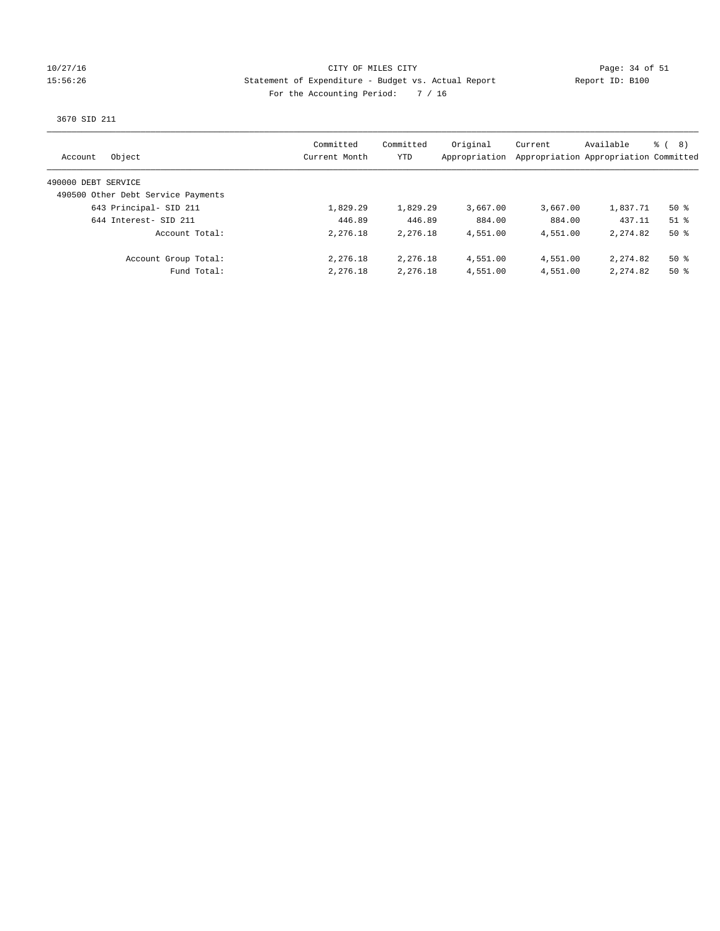#### 10/27/16 CITY OF MILES CITY Page: 34 of 51 15:56:26 Statement of Expenditure - Budget vs. Actual Report Report ID: B100 For the Accounting Period: 7 / 16

3670 SID 211

| Object<br>Account                  | Committed<br>Current Month | Committed<br>YTD | Original<br>Appropriation | Current  | Available<br>Appropriation Appropriation Committed | $\frac{6}{6}$ ( 8) |
|------------------------------------|----------------------------|------------------|---------------------------|----------|----------------------------------------------------|--------------------|
| 490000 DEBT SERVICE                |                            |                  |                           |          |                                                    |                    |
| 490500 Other Debt Service Payments |                            |                  |                           |          |                                                    |                    |
| 643 Principal- SID 211             | 1,829.29                   | 1,829.29         | 3,667.00                  | 3,667.00 | 1,837.71                                           | $50*$              |
| 644 Interest- SID 211              | 446.89                     | 446.89           | 884.00                    | 884.00   | 437.11                                             | $51$ %             |
| Account Total:                     | 2,276.18                   | 2,276.18         | 4,551.00                  | 4,551.00 | 2, 274, 82                                         | $50*$              |
| Account Group Total:               | 2,276.18                   | 2,276.18         | 4,551.00                  | 4,551.00 | 2, 274, 82                                         | $50*$              |
| Fund Total:                        | 2,276.18                   | 2,276.18         | 4,551.00                  | 4,551.00 | 2, 274, 82                                         | $50*$              |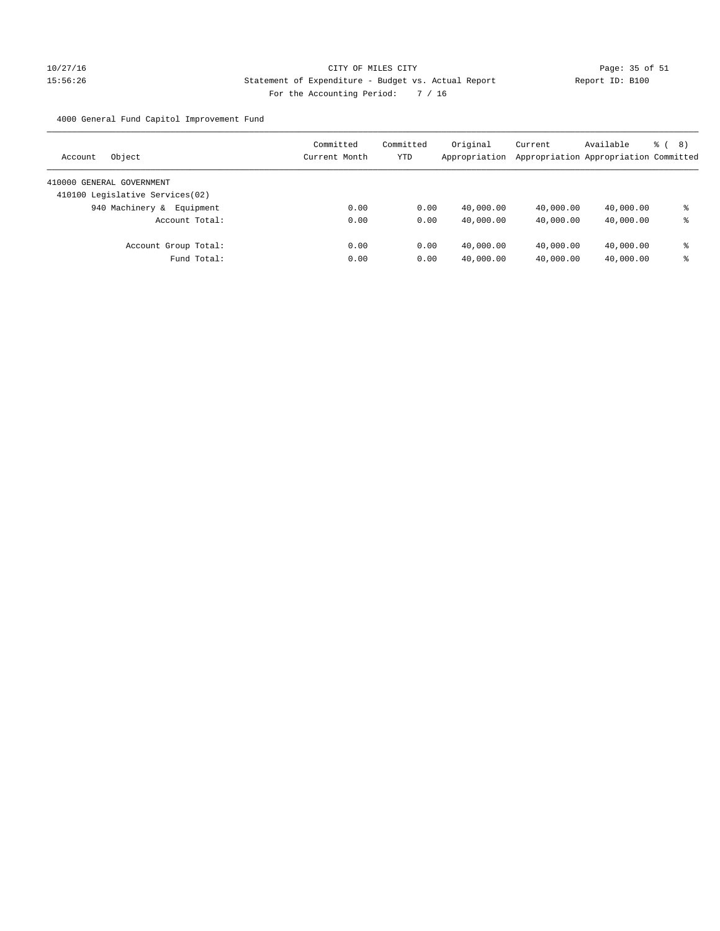# 10/27/16 Page: 35 of 51 15:56:26 Statement of Expenditure - Budget vs. Actual Report Changer Report ID: B100 For the Accounting Period: 7 / 16

4000 General Fund Capitol Improvement Fund

| Object<br>Account               | Committed<br>Current Month | Committed<br>YTD | Original<br>Appropriation | Current<br>Appropriation Appropriation Committed | Available | $\frac{6}{5}$ ( 8) |
|---------------------------------|----------------------------|------------------|---------------------------|--------------------------------------------------|-----------|--------------------|
| 410000 GENERAL GOVERNMENT       |                            |                  |                           |                                                  |           |                    |
| 410100 Legislative Services(02) |                            |                  |                           |                                                  |           |                    |
| 940 Machinery &<br>Equipment    | 0.00                       | 0.00             | 40,000.00                 | 40,000.00                                        | 40,000.00 | ⊱                  |
| Account Total:                  | 0.00                       | 0.00             | 40,000.00                 | 40,000.00                                        | 40,000.00 | နွ                 |
| Account Group Total:            | 0.00                       | 0.00             | 40,000.00                 | 40,000.00                                        | 40,000.00 | နွ                 |
| Fund Total:                     | 0.00                       | 0.00             | 40,000.00                 | 40,000.00                                        | 40,000.00 | နွ                 |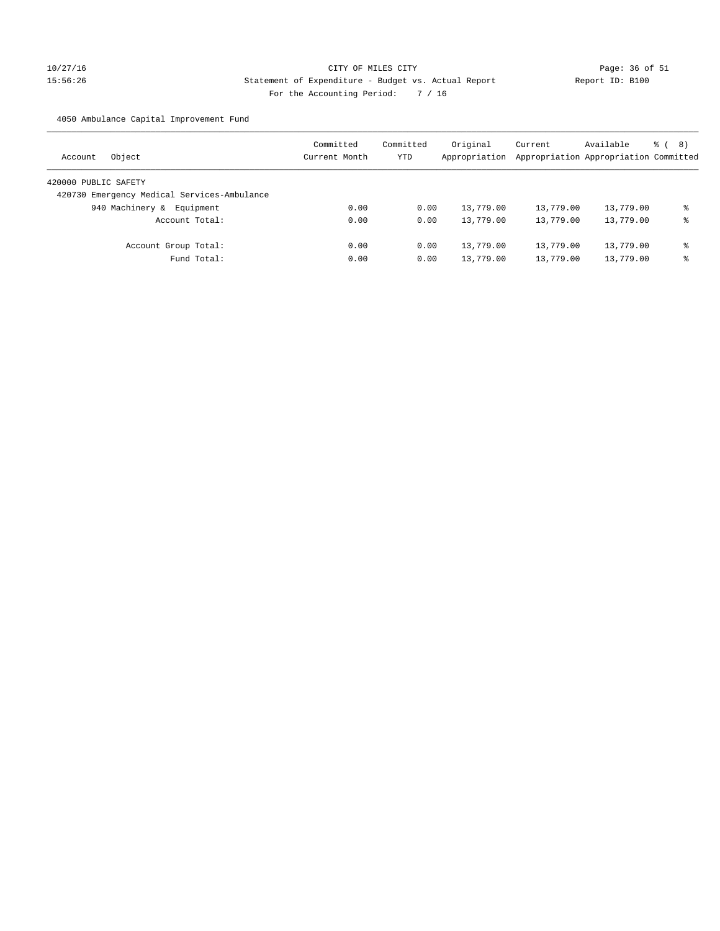# 10/27/16 Page: 36 of 51 15:56:26 Statement of Expenditure - Budget vs. Actual Report Changer Report ID: B100 For the Accounting Period: 7 / 16

4050 Ambulance Capital Improvement Fund

| Object<br>Account                           | Committed<br>Current Month | Committed<br>YTD | Original<br>Appropriation | Current<br>Appropriation Appropriation Committed | Available | <u> ද</u> ි ( 8 ) |
|---------------------------------------------|----------------------------|------------------|---------------------------|--------------------------------------------------|-----------|-------------------|
| 420000 PUBLIC SAFETY                        |                            |                  |                           |                                                  |           |                   |
| 420730 Emergency Medical Services-Ambulance |                            |                  |                           |                                                  |           |                   |
| 940 Machinery &<br>Equipment                | 0.00                       | 0.00             | 13,779.00                 | 13,779.00                                        | 13,779.00 | နွ                |
| Account Total:                              | 0.00                       | 0.00             | 13,779.00                 | 13,779.00                                        | 13,779.00 | နွ                |
| Account Group Total:                        | 0.00                       | 0.00             | 13,779.00                 | 13,779.00                                        | 13,779.00 | နွ                |
| Fund Total:                                 | 0.00                       | 0.00             | 13,779.00                 | 13,779.00                                        | 13,779.00 | နွ                |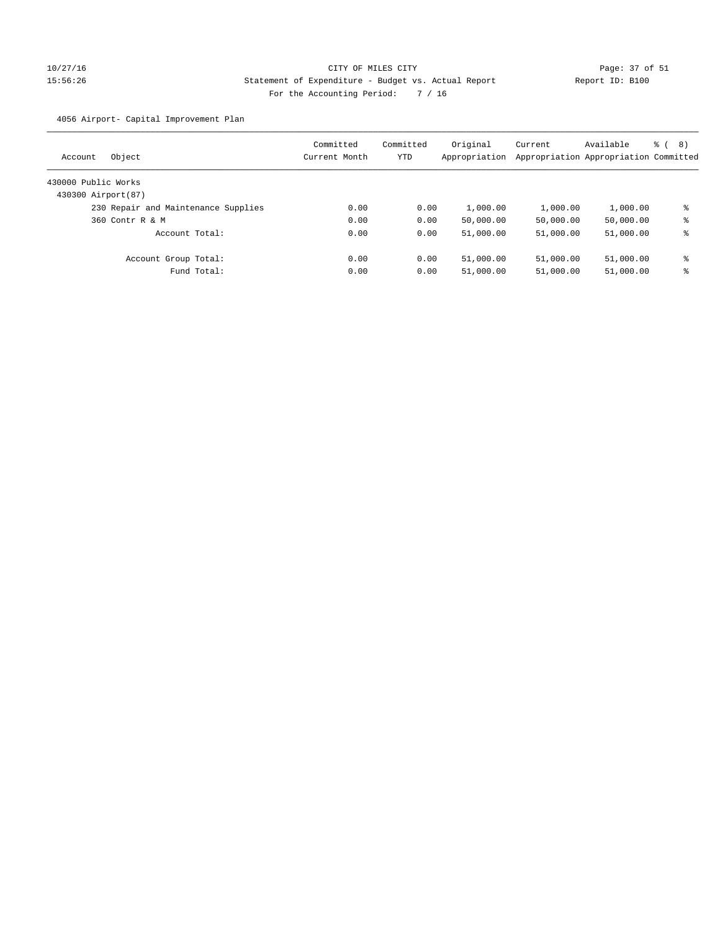# 10/27/16 Page: 37 of 51 15:56:26 Statement of Expenditure - Budget vs. Actual Report Changer Report ID: B100 For the Accounting Period: 7 / 16

4056 Airport- Capital Improvement Plan

| Account             | Object                              | Committed<br>Current Month | Committed<br>YTD | Original<br>Appropriation | Current   | Available<br>Appropriation Appropriation Committed | <sub>රි</sub> ( 8 ) |
|---------------------|-------------------------------------|----------------------------|------------------|---------------------------|-----------|----------------------------------------------------|---------------------|
| 430000 Public Works |                                     |                            |                  |                           |           |                                                    |                     |
| 430300 Airport (87) |                                     |                            |                  |                           |           |                                                    |                     |
|                     | 230 Repair and Maintenance Supplies | 0.00                       | 0.00             | 1,000.00                  | 1,000.00  | 1,000.00                                           | နွ                  |
|                     | 360 Contr R & M                     | 0.00                       | 0.00             | 50,000.00                 | 50,000.00 | 50,000.00                                          | နွ                  |
|                     | Account Total:                      | 0.00                       | 0.00             | 51,000.00                 | 51,000.00 | 51,000.00                                          | နွ                  |
|                     | Account Group Total:                | 0.00                       | 0.00             | 51,000.00                 | 51,000.00 | 51,000.00                                          | နွ                  |
|                     | Fund Total:                         | 0.00                       | 0.00             | 51,000.00                 | 51,000.00 | 51,000.00                                          | နွ                  |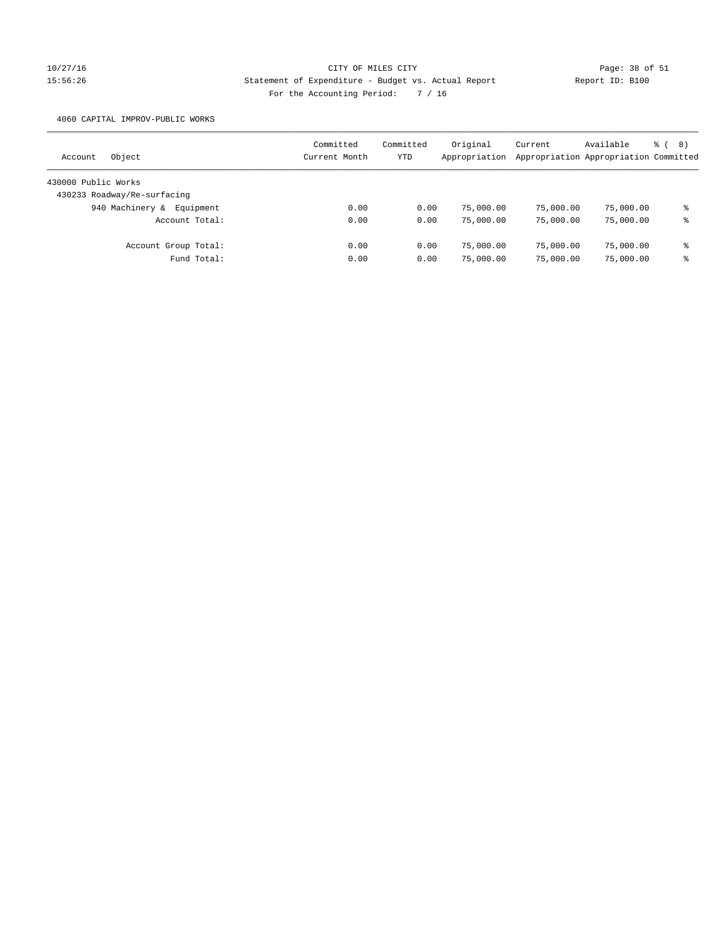# 10/27/16 CITY OF MILES CITY Page: 38 of 51 15:56:26 Statement of Expenditure - Budget vs. Actual Report Report ID: B100 For the Accounting Period: 7 / 16

4060 CAPITAL IMPROV-PUBLIC WORKS

| Object<br>Account            | Committed<br>Current Month | Committed<br>YTD | Original<br>Appropriation | Current   | Available<br>Appropriation Appropriation Committed | ී ( 8 ) |
|------------------------------|----------------------------|------------------|---------------------------|-----------|----------------------------------------------------|---------|
| 430000 Public Works          |                            |                  |                           |           |                                                    |         |
| 430233 Roadway/Re-surfacing  |                            |                  |                           |           |                                                    |         |
| 940 Machinery &<br>Equipment | 0.00                       | 0.00             | 75,000.00                 | 75,000.00 | 75,000.00                                          | ఄ       |
| Account Total:               | 0.00                       | 0.00             | 75,000.00                 | 75,000.00 | 75,000.00                                          | ႜ       |
| Account Group Total:         | 0.00                       | 0.00             | 75,000.00                 | 75,000.00 | 75,000.00                                          | နွ      |
| Fund Total:                  | 0.00                       | 0.00             | 75,000.00                 | 75,000.00 | 75,000.00                                          | ఄ       |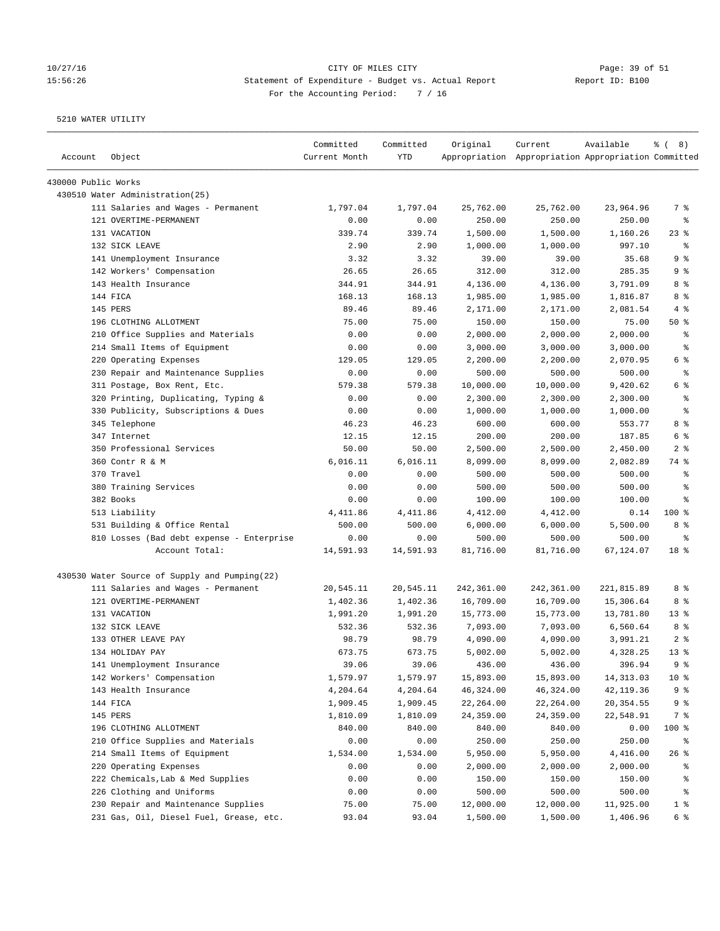# 10/27/16 Page: 39 of 51 15:56:26 Statement of Expenditure - Budget vs. Actual Report Report ID: B100 For the Accounting Period: 7 / 16

| Account             | Object                                        | Committed<br>Current Month | Committed<br>YTD | Original   | Current<br>Appropriation Appropriation Appropriation Committed | Available  | $\frac{6}{6}$ ( 8) |
|---------------------|-----------------------------------------------|----------------------------|------------------|------------|----------------------------------------------------------------|------------|--------------------|
| 430000 Public Works |                                               |                            |                  |            |                                                                |            |                    |
|                     | 430510 Water Administration (25)              |                            |                  |            |                                                                |            |                    |
|                     | 111 Salaries and Wages - Permanent            | 1,797.04                   | 1,797.04         | 25,762.00  | 25,762.00                                                      | 23,964.96  | 7 %                |
|                     | 121 OVERTIME-PERMANENT                        | 0.00                       | 0.00             | 250.00     | 250.00                                                         | 250.00     | ႜ                  |
|                     | 131 VACATION                                  | 339.74                     | 339.74           | 1,500.00   | 1,500.00                                                       | 1,160.26   | $23$ %             |
|                     | 132 SICK LEAVE                                | 2.90                       | 2.90             | 1,000.00   | 1,000.00                                                       | 997.10     | နွ                 |
|                     | 141 Unemployment Insurance                    | 3.32                       | 3.32             | 39.00      | 39.00                                                          | 35.68      | 9 %                |
|                     | 142 Workers' Compensation                     | 26.65                      | 26.65            | 312.00     | 312.00                                                         | 285.35     | 9 %                |
|                     | 143 Health Insurance                          | 344.91                     | 344.91           | 4,136.00   | 4,136.00                                                       | 3,791.09   | 8 %                |
|                     | 144 FICA                                      | 168.13                     | 168.13           | 1,985.00   | 1,985.00                                                       | 1,816.87   | 8 %                |
|                     | 145 PERS                                      | 89.46                      | 89.46            | 2,171.00   | 2,171.00                                                       | 2,081.54   | 4%                 |
|                     | 196 CLOTHING ALLOTMENT                        | 75.00                      | 75.00            | 150.00     | 150.00                                                         | 75.00      | 50%                |
|                     | 210 Office Supplies and Materials             | 0.00                       | 0.00             | 2,000.00   | 2,000.00                                                       | 2,000.00   | ႜ                  |
|                     | 214 Small Items of Equipment                  | 0.00                       | 0.00             | 3,000.00   | 3,000.00                                                       | 3,000.00   | နွ                 |
|                     | 220 Operating Expenses                        | 129.05                     | 129.05           | 2,200.00   | 2,200.00                                                       | 2,070.95   | 6 %                |
|                     | 230 Repair and Maintenance Supplies           | 0.00                       | 0.00             | 500.00     | 500.00                                                         | 500.00     | နွ                 |
|                     | 311 Postage, Box Rent, Etc.                   | 579.38                     | 579.38           | 10,000.00  | 10,000.00                                                      | 9,420.62   | 6 %                |
|                     | 320 Printing, Duplicating, Typing &           | 0.00                       | 0.00             | 2,300.00   | 2,300.00                                                       | 2,300.00   | ႜ                  |
|                     | 330 Publicity, Subscriptions & Dues           | 0.00                       | 0.00             | 1,000.00   | 1,000.00                                                       | 1,000.00   | နွ                 |
|                     | 345 Telephone                                 | 46.23                      | 46.23            | 600.00     | 600.00                                                         | 553.77     | 8 %                |
|                     | 347 Internet                                  | 12.15                      | 12.15            | 200.00     | 200.00                                                         | 187.85     | 6 %                |
|                     | 350 Professional Services                     | 50.00                      | 50.00            | 2,500.00   | 2,500.00                                                       | 2,450.00   | 2%                 |
|                     | 360 Contr R & M                               | 6,016.11                   | 6,016.11         | 8,099.00   | 8,099.00                                                       | 2,082.89   | 74 %               |
|                     | 370 Travel                                    | 0.00                       | 0.00             | 500.00     | 500.00                                                         | 500.00     | နွ                 |
|                     | 380 Training Services                         | 0.00                       | 0.00             | 500.00     | 500.00                                                         | 500.00     | ್ಠಿ                |
|                     | 382 Books                                     | 0.00                       | 0.00             | 100.00     | 100.00                                                         | 100.00     | ి                  |
|                     | 513 Liability                                 | 4, 411.86                  | 4,411.86         | 4,412.00   | 4,412.00                                                       | 0.14       | $100$ %            |
|                     | 531 Building & Office Rental                  | 500.00                     | 500.00           | 6,000.00   | 6,000.00                                                       | 5,500.00   | 8 %                |
|                     | 810 Losses (Bad debt expense - Enterprise     | 0.00                       | 0.00             | 500.00     | 500.00                                                         | 500.00     | ႜ                  |
|                     | Account Total:                                | 14,591.93                  | 14,591.93        | 81,716.00  | 81,716.00                                                      | 67,124.07  | 18 <sup>°</sup>    |
|                     | 430530 Water Source of Supply and Pumping(22) |                            |                  |            |                                                                |            |                    |
|                     | 111 Salaries and Wages - Permanent            | 20,545.11                  | 20,545.11        | 242,361.00 | 242,361.00                                                     | 221,815.89 | 8 %                |
|                     | 121 OVERTIME-PERMANENT                        | 1,402.36                   | 1,402.36         | 16,709.00  | 16,709.00                                                      | 15,306.64  | 8 %                |
|                     | 131 VACATION                                  | 1,991.20                   | 1,991.20         | 15,773.00  | 15,773.00                                                      | 13,781.80  | $13*$              |
|                     | 132 SICK LEAVE                                | 532.36                     | 532.36           | 7,093.00   | 7,093.00                                                       | 6,560.64   | 8%                 |
|                     | 133 OTHER LEAVE PAY                           | 98.79                      | 98.79            | 4,090.00   | 4,090.00                                                       | 3,991.21   | 2%                 |
|                     | 134 HOLIDAY PAY                               | 673.75                     | 673.75           | 5,002.00   | 5,002.00                                                       | 4,328.25   | $13*$              |
|                     | 141 Unemployment Insurance                    | 39.06                      | 39.06            | 436.00     | 436.00                                                         | 396.94     | 9%                 |
|                     | 142 Workers' Compensation                     | 1,579.97                   | 1,579.97         | 15,893.00  | 15,893.00                                                      | 14, 313.03 | 10 <sup>°</sup>    |
|                     | 143 Health Insurance                          | 4,204.64                   | 4,204.64         | 46,324.00  | 46,324.00                                                      | 42,119.36  | 9%                 |
|                     | 144 FICA                                      | 1,909.45                   | 1,909.45         | 22,264.00  | 22,264.00                                                      | 20,354.55  | 9%                 |
|                     | 145 PERS                                      | 1,810.09                   | 1,810.09         | 24,359.00  | 24,359.00                                                      | 22,548.91  | 7 %                |
|                     | 196 CLOTHING ALLOTMENT                        | 840.00                     | 840.00           | 840.00     | 840.00                                                         | 0.00       | 100 %              |
|                     | 210 Office Supplies and Materials             | 0.00                       | 0.00             | 250.00     | 250.00                                                         | 250.00     | ፟፟፟                |
|                     | 214 Small Items of Equipment                  | 1,534.00                   | 1,534.00         | 5,950.00   | 5,950.00                                                       | 4,416.00   | 26%                |
|                     | 220 Operating Expenses                        | 0.00                       | 0.00             | 2,000.00   | 2,000.00                                                       | 2,000.00   | ႜ                  |
|                     | 222 Chemicals, Lab & Med Supplies             | 0.00                       | 0.00             | 150.00     | 150.00                                                         | 150.00     | ိစ                 |
|                     | 226 Clothing and Uniforms                     | 0.00                       | 0.00             | 500.00     | 500.00                                                         | 500.00     | ိစ                 |
|                     | 230 Repair and Maintenance Supplies           | 75.00                      | 75.00            | 12,000.00  | 12,000.00                                                      | 11,925.00  | $1$ %              |
|                     | 231 Gas, Oil, Diesel Fuel, Grease, etc.       | 93.04                      | 93.04            | 1,500.00   | 1,500.00                                                       | 1,406.96   | 6 %                |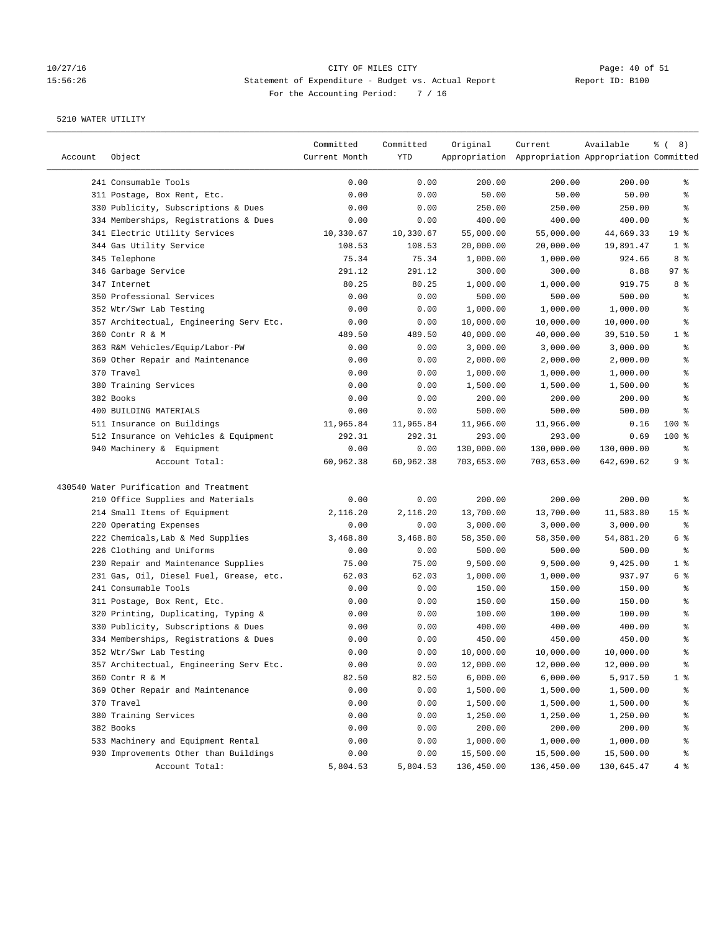# 10/27/16 Page: 40 of 51 15:56:26 Statement of Expenditure - Budget vs. Actual Report Changer Report ID: B100 For the Accounting Period: 7 / 16

| Account | Object                                  | Committed<br>Current Month | Committed<br>YTD | Original   | Current<br>Appropriation Appropriation Appropriation Committed | Available  | <sub>ර</sub> 8) |
|---------|-----------------------------------------|----------------------------|------------------|------------|----------------------------------------------------------------|------------|-----------------|
|         | 241 Consumable Tools                    | 0.00                       | 0.00             | 200.00     | 200.00                                                         | 200.00     | ႜ               |
|         | 311 Postage, Box Rent, Etc.             | 0.00                       | 0.00             | 50.00      | 50.00                                                          | 50.00      | ి               |
|         | 330 Publicity, Subscriptions & Dues     | 0.00                       | 0.00             | 250.00     | 250.00                                                         | 250.00     | နွ              |
|         | 334 Memberships, Registrations & Dues   | 0.00                       | 0.00             | 400.00     | 400.00                                                         | 400.00     | ್ಠಿ             |
|         | 341 Electric Utility Services           | 10,330.67                  | 10,330.67        | 55,000.00  | 55,000.00                                                      | 44,669.33  | 19 <sup>°</sup> |
|         | 344 Gas Utility Service                 | 108.53                     | 108.53           | 20,000.00  | 20,000.00                                                      | 19,891.47  | 1 <sup>8</sup>  |
|         | 345 Telephone                           | 75.34                      | 75.34            | 1,000.00   | 1,000.00                                                       | 924.66     | 8 %             |
|         | 346 Garbage Service                     | 291.12                     | 291.12           | 300.00     | 300.00                                                         | 8.88       | 97%             |
|         | 347 Internet                            | 80.25                      | 80.25            | 1,000.00   | 1,000.00                                                       | 919.75     | 8 %             |
|         | 350 Professional Services               | 0.00                       | 0.00             | 500.00     | 500.00                                                         | 500.00     | ್ಠಿ             |
|         | 352 Wtr/Swr Lab Testing                 | 0.00                       | 0.00             | 1,000.00   | 1,000.00                                                       | 1,000.00   | ್ಠಿ             |
|         | 357 Architectual, Engineering Serv Etc. | 0.00                       | 0.00             | 10,000.00  | 10,000.00                                                      | 10,000.00  | ್ಠಿ             |
|         | 360 Contr R & M                         | 489.50                     | 489.50           | 40,000.00  | 40,000.00                                                      | 39,510.50  | 1 <sup>8</sup>  |
|         | 363 R&M Vehicles/Equip/Labor-PW         | 0.00                       | 0.00             | 3,000.00   | 3,000.00                                                       | 3,000.00   | ್ಠಿ             |
|         | 369 Other Repair and Maintenance        | 0.00                       | 0.00             | 2,000.00   | 2,000.00                                                       | 2,000.00   | ್ಠಿ             |
|         | 370 Travel                              | 0.00                       | 0.00             | 1,000.00   | 1,000.00                                                       | 1,000.00   | ್ಠಿ             |
|         | 380 Training Services                   | 0.00                       | 0.00             | 1,500.00   | 1,500.00                                                       | 1,500.00   | ್ಠಿ             |
|         | 382 Books                               | 0.00                       | 0.00             | 200.00     | 200.00                                                         | 200.00     | ್ಠಿ             |
|         | 400 BUILDING MATERIALS                  | 0.00                       | 0.00             | 500.00     | 500.00                                                         | 500.00     | ి               |
|         | 511 Insurance on Buildings              | 11,965.84                  | 11,965.84        | 11,966.00  | 11,966.00                                                      | 0.16       | $100*$          |
|         | 512 Insurance on Vehicles & Equipment   | 292.31                     | 292.31           | 293.00     | 293.00                                                         | 0.69       | $100$ %         |
|         | 940 Machinery & Equipment               | 0.00                       | 0.00             | 130,000.00 | 130,000.00                                                     | 130,000.00 | နွ              |
|         | Account Total:                          | 60,962.38                  | 60,962.38        | 703,653.00 | 703,653.00                                                     | 642,690.62 | 9 %             |
|         | 430540 Water Purification and Treatment |                            |                  |            |                                                                |            |                 |
|         | 210 Office Supplies and Materials       | 0.00                       | 0.00             | 200.00     | 200.00                                                         | 200.00     | နွ              |
|         | 214 Small Items of Equipment            | 2,116.20                   | 2,116.20         | 13,700.00  | 13,700.00                                                      | 11,583.80  | 15 <sup>°</sup> |
|         | 220 Operating Expenses                  | 0.00                       | 0.00             | 3,000.00   | 3,000.00                                                       | 3,000.00   | နွ              |
|         | 222 Chemicals, Lab & Med Supplies       | 3,468.80                   | 3,468.80         | 58,350.00  | 58,350.00                                                      | 54,881.20  | 6 %             |
|         | 226 Clothing and Uniforms               | 0.00                       | 0.00             | 500.00     | 500.00                                                         | 500.00     | ್ಠಿ             |
|         | 230 Repair and Maintenance Supplies     | 75.00                      | 75.00            | 9,500.00   | 9,500.00                                                       | 9,425.00   | 1 <sub>8</sub>  |
|         | 231 Gas, Oil, Diesel Fuel, Grease, etc. | 62.03                      | 62.03            | 1,000.00   | 1,000.00                                                       | 937.97     | 6 %             |
|         | 241 Consumable Tools                    | 0.00                       | 0.00             | 150.00     | 150.00                                                         | 150.00     | ႜ               |
|         | 311 Postage, Box Rent, Etc.             | 0.00                       | 0.00             | 150.00     | 150.00                                                         | 150.00     | ್ಠಿ             |
|         | 320 Printing, Duplicating, Typing &     | 0.00                       | 0.00             | 100.00     | 100.00                                                         | 100.00     | ್ಠಿ             |
|         | 330 Publicity, Subscriptions & Dues     | 0.00                       | 0.00             | 400.00     | 400.00                                                         | 400.00     | ್ಠಿ             |
|         | 334 Memberships, Registrations & Dues   | 0.00                       | 0.00             | 450.00     | 450.00                                                         | 450.00     | $\,$ $\,$ $\,$  |
|         | 352 Wtr/Swr Lab Testing                 | 0.00                       | 0.00             | 10,000.00  | 10,000.00                                                      | 10,000.00  | ి               |
|         | 357 Architectual, Engineering Serv Etc. | 0.00                       | 0.00             | 12,000.00  | 12,000.00                                                      | 12,000.00  | ိစ              |
|         | 360 Contr R & M                         | 82.50                      | 82.50            | 6,000.00   | 6,000.00                                                       | 5,917.50   | 1 <sup>8</sup>  |
|         | 369 Other Repair and Maintenance        | 0.00                       | 0.00             | 1,500.00   | 1,500.00                                                       | 1,500.00   | န့              |
|         | 370 Travel                              | 0.00                       | 0.00             | 1,500.00   | 1,500.00                                                       | 1,500.00   | န့              |
|         | 380 Training Services                   | 0.00                       | 0.00             | 1,250.00   | 1,250.00                                                       | 1,250.00   | ိစ              |
|         | 382 Books                               | 0.00                       | 0.00             | 200.00     | 200.00                                                         | 200.00     | ိစ              |
|         | 533 Machinery and Equipment Rental      | 0.00                       | 0.00             | 1,000.00   | 1,000.00                                                       | 1,000.00   | ိစ              |
|         | 930 Improvements Other than Buildings   | 0.00                       | 0.00             | 15,500.00  | 15,500.00                                                      | 15,500.00  | ိစ              |
|         | Account Total:                          | 5,804.53                   | 5,804.53         | 136,450.00 | 136,450.00                                                     | 130,645.47 | 4 %             |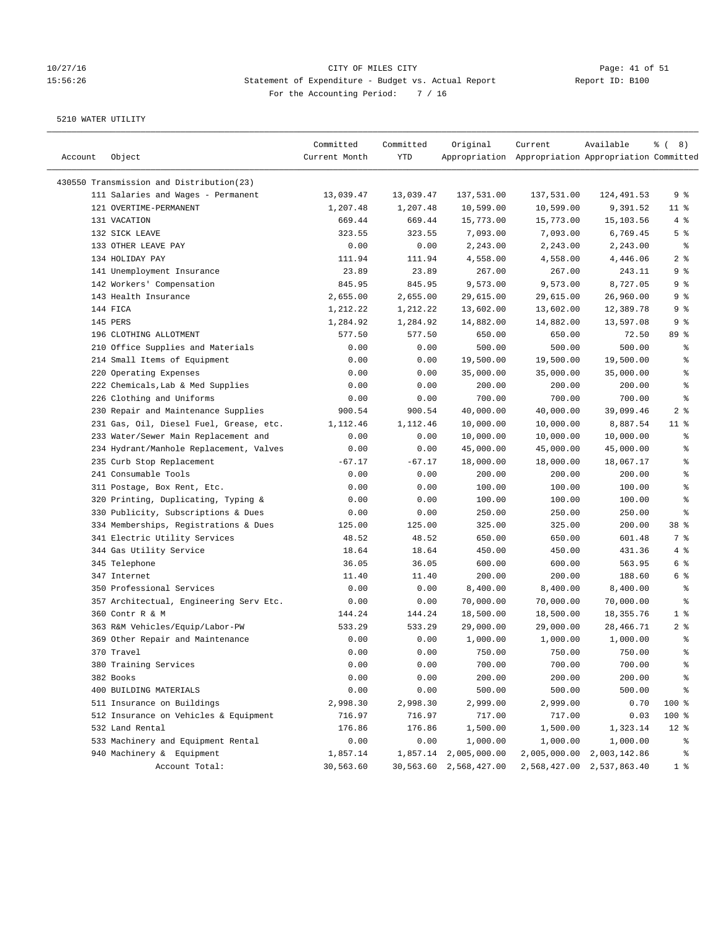# 10/27/16 Page: 41 of 51 15:56:26 Statement of Expenditure - Budget vs. Actual Report Report ID: B100 For the Accounting Period: 7 / 16

| Account | Object                                   | Committed<br>Current Month | Committed<br>YTD | Original               | Current<br>Appropriation Appropriation Appropriation Committed | Available                 | $\frac{6}{6}$ ( 8) |
|---------|------------------------------------------|----------------------------|------------------|------------------------|----------------------------------------------------------------|---------------------------|--------------------|
|         | 430550 Transmission and Distribution(23) |                            |                  |                        |                                                                |                           |                    |
|         | 111 Salaries and Wages - Permanent       | 13,039.47                  | 13,039.47        | 137,531.00             | 137,531.00                                                     | 124,491.53                | 9 %                |
|         | 121 OVERTIME-PERMANENT                   | 1,207.48                   | 1,207.48         | 10,599.00              | 10,599.00                                                      | 9,391.52                  | $11$ %             |
|         | 131 VACATION                             | 669.44                     | 669.44           | 15,773.00              | 15,773.00                                                      | 15,103.56                 | 4%                 |
|         | 132 SICK LEAVE                           | 323.55                     | 323.55           | 7,093.00               | 7,093.00                                                       | 6,769.45                  | 5 <sup>8</sup>     |
|         | 133 OTHER LEAVE PAY                      | 0.00                       | 0.00             | 2,243.00               | 2,243.00                                                       | 2,243.00                  | ್ಠಿ                |
|         | 134 HOLIDAY PAY                          | 111.94                     | 111.94           | 4,558.00               | 4,558.00                                                       | 4,446.06                  | 2 <sub>8</sub>     |
|         | 141 Unemployment Insurance               | 23.89                      | 23.89            | 267.00                 | 267.00                                                         | 243.11                    | 9 %                |
|         | 142 Workers' Compensation                | 845.95                     | 845.95           | 9,573.00               | 9,573.00                                                       | 8,727.05                  | 9%                 |
|         | 143 Health Insurance                     | 2,655.00                   | 2,655.00         | 29,615.00              | 29,615.00                                                      | 26,960.00                 | 9 %                |
|         | 144 FICA                                 | 1,212.22                   | 1,212.22         | 13,602.00              | 13,602.00                                                      | 12,389.78                 | 9 %                |
|         | 145 PERS                                 | 1,284.92                   | 1,284.92         |                        | 14,882.00                                                      |                           | 9 %                |
|         | 196 CLOTHING ALLOTMENT                   |                            |                  | 14,882.00              |                                                                | 13,597.08                 | 89 %               |
|         |                                          | 577.50                     | 577.50           | 650.00                 | 650.00                                                         | 72.50                     |                    |
|         | 210 Office Supplies and Materials        | 0.00                       | 0.00             | 500.00<br>19,500.00    | 500.00                                                         | 500.00<br>19,500.00       | ್ಠಿ                |
|         | 214 Small Items of Equipment             | 0.00                       | 0.00             |                        | 19,500.00                                                      |                           | န့                 |
|         | 220 Operating Expenses                   | 0.00                       | 0.00             | 35,000.00              | 35,000.00                                                      | 35,000.00                 | နွ                 |
|         | 222 Chemicals, Lab & Med Supplies        | 0.00                       | 0.00             | 200.00                 | 200.00                                                         | 200.00                    | ి                  |
|         | 226 Clothing and Uniforms                | 0.00                       | 0.00             | 700.00                 | 700.00                                                         | 700.00                    | ి                  |
|         | 230 Repair and Maintenance Supplies      | 900.54                     | 900.54           | 40,000.00              | 40,000.00                                                      | 39,099.46                 | 2 <sub>8</sub>     |
|         | 231 Gas, Oil, Diesel Fuel, Grease, etc.  | 1,112.46                   | 1,112.46         | 10,000.00              | 10,000.00                                                      | 8,887.54                  | $11$ %             |
|         | 233 Water/Sewer Main Replacement and     | 0.00                       | 0.00             | 10,000.00              | 10,000.00                                                      | 10,000.00                 | န့                 |
|         | 234 Hydrant/Manhole Replacement, Valves  | 0.00                       | 0.00             | 45,000.00              | 45,000.00                                                      | 45,000.00                 | နွ                 |
|         | 235 Curb Stop Replacement                | $-67.17$                   | $-67.17$         | 18,000.00              | 18,000.00                                                      | 18,067.17                 | နွ                 |
|         | 241 Consumable Tools                     | 0.00                       | 0.00             | 200.00                 | 200.00                                                         | 200.00                    | န့                 |
|         | 311 Postage, Box Rent, Etc.              | 0.00                       | 0.00             | 100.00                 | 100.00                                                         | 100.00                    | န့                 |
|         | 320 Printing, Duplicating, Typing &      | 0.00                       | 0.00             | 100.00                 | 100.00                                                         | 100.00                    | နွ                 |
|         | 330 Publicity, Subscriptions & Dues      | 0.00                       | 0.00             | 250.00                 | 250.00                                                         | 250.00                    | ి                  |
|         | 334 Memberships, Registrations & Dues    | 125.00                     | 125.00           | 325.00                 | 325.00                                                         | 200.00                    | 38 <sup>8</sup>    |
|         | 341 Electric Utility Services            | 48.52                      | 48.52            | 650.00                 | 650.00                                                         | 601.48                    | 7 %                |
|         | 344 Gas Utility Service                  | 18.64                      | 18.64            | 450.00                 | 450.00                                                         | 431.36                    | 4 %                |
|         | 345 Telephone                            | 36.05                      | 36.05            | 600.00                 | 600.00                                                         | 563.95                    | 6 %                |
|         | 347 Internet                             | 11.40                      | 11.40            | 200.00                 | 200.00                                                         | 188.60                    | 6 %                |
|         | 350 Professional Services                | 0.00                       | 0.00             | 8,400.00               | 8,400.00                                                       | 8,400.00                  | ್ಠಿ                |
|         | 357 Architectual, Engineering Serv Etc.  | 0.00                       | 0.00             | 70,000.00              | 70,000.00                                                      | 70,000.00                 | ್ಠಿ                |
|         | 360 Contr R & M                          | 144.24                     | 144.24           | 18,500.00              | 18,500.00                                                      | 18, 355. 76               | 1 <sup>8</sup>     |
|         | 363 R&M Vehicles/Equip/Labor-PW          | 533.29                     | 533.29           | 29,000.00              | 29,000.00                                                      | 28,466.71                 | 2 <sup>8</sup>     |
|         | 369 Other Repair and Maintenance         | 0.00                       | 0.00             | 1,000.00               | 1,000.00                                                       | 1,000.00                  | ್ಠಿ                |
|         | 370 Travel                               | 0.00                       | 0.00             | 750.00                 | 750.00                                                         | 750.00                    | နွ                 |
|         | 380 Training Services                    | 0.00                       | 0.00             | 700.00                 | 700.00                                                         | 700.00                    | န့                 |
|         | 382 Books                                | 0.00                       | 0.00             | 200.00                 | 200.00                                                         | 200.00                    | ್ಠಿ                |
|         | 400 BUILDING MATERIALS                   | 0.00                       | 0.00             | 500.00                 | 500.00                                                         | 500.00                    | ್ಠಿ                |
|         | 511 Insurance on Buildings               | 2,998.30                   | 2,998.30         | 2,999.00               | 2,999.00                                                       | 0.70                      | 100 %              |
|         | 512 Insurance on Vehicles & Equipment    | 716.97                     | 716.97           | 717.00                 | 717.00                                                         | 0.03                      | 100 %              |
|         | 532 Land Rental                          | 176.86                     | 176.86           | 1,500.00               | 1,500.00                                                       | 1,323.14                  | $12*$              |
|         | 533 Machinery and Equipment Rental       | 0.00                       | 0.00             | 1,000.00               | 1,000.00                                                       | 1,000.00                  | ್ಠಿ                |
|         | 940 Machinery & Equipment                | 1,857.14                   | 1,857.14         | 2,005,000.00           | 2,005,000.00                                                   | 2,003,142.86              | ိစ                 |
|         | Account Total:                           | 30,563.60                  |                  | 30,563.60 2,568,427.00 |                                                                | 2,568,427.00 2,537,863.40 | $1$ %              |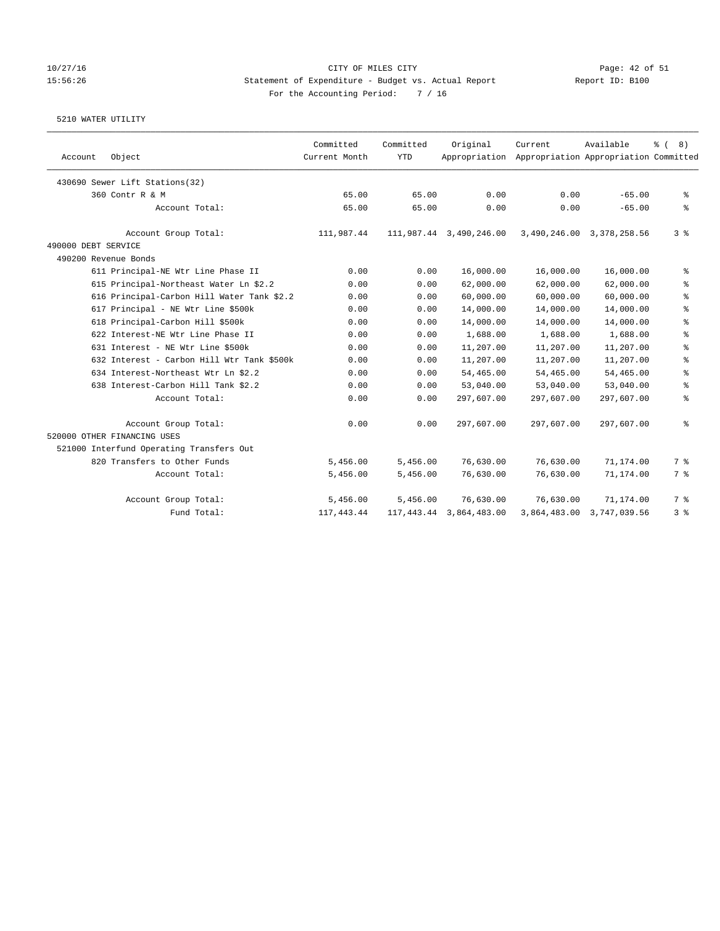### 10/27/16 CITY OF MILES CITY Page: 42 of 51 15:56:26 Statement of Expenditure - Budget vs. Actual Report Report ID: B100 For the Accounting Period: 7 / 16

| Account             | Object                                     | Committed<br>Current Month | Committed<br><b>YTD</b> | Original                | Current<br>Appropriation Appropriation Appropriation Committed | Available                 | ී (<br>8)      |
|---------------------|--------------------------------------------|----------------------------|-------------------------|-------------------------|----------------------------------------------------------------|---------------------------|----------------|
|                     | 430690 Sewer Lift Stations(32)             |                            |                         |                         |                                                                |                           |                |
|                     | 360 Contr R & M                            | 65.00                      | 65.00                   | 0.00                    | 0.00                                                           | $-65.00$                  | °              |
|                     | Account Total:                             | 65.00                      | 65.00                   | 0.00                    | 0.00                                                           | $-65.00$                  | る              |
|                     | Account Group Total:                       | 111,987.44                 |                         | 111,987.44 3,490,246.00 |                                                                | 3,490,246.00 3,378,258.56 | 3 <sup>8</sup> |
| 490000 DEBT SERVICE |                                            |                            |                         |                         |                                                                |                           |                |
|                     | 490200 Revenue Bonds                       |                            |                         |                         |                                                                |                           |                |
|                     | 611 Principal-NE Wtr Line Phase II         | 0.00                       | 0.00                    | 16,000.00               | 16,000.00                                                      | 16,000.00                 | နွ             |
|                     | 615 Principal-Northeast Water Ln \$2.2     | 0.00                       | 0.00                    | 62,000.00               | 62,000.00                                                      | 62,000.00                 | ್ಠಿ            |
|                     | 616 Principal-Carbon Hill Water Tank \$2.2 | 0.00                       | 0.00                    | 60,000.00               | 60,000.00                                                      | 60,000.00                 | နွ             |
|                     | 617 Principal - NE Wtr Line \$500k         | 0.00                       | 0.00                    | 14,000.00               | 14,000.00                                                      | 14,000.00                 | ి              |
|                     | 618 Principal-Carbon Hill \$500k           | 0.00                       | 0.00                    | 14,000.00               | 14,000.00                                                      | 14,000.00                 | る              |
|                     | 622 Interest-NE Wtr Line Phase II          | 0.00                       | 0.00                    | 1,688.00                | 1,688.00                                                       | 1,688.00                  | ್ಠಿ            |
|                     | 631 Interest - NE Wtr Line \$500k          | 0.00                       | 0.00                    | 11,207.00               | 11,207.00                                                      | 11,207.00                 | る              |
|                     | 632 Interest - Carbon Hill Wtr Tank \$500k | 0.00                       | 0.00                    | 11,207.00               | 11,207.00                                                      | 11,207.00                 | る              |
|                     | 634 Interest-Northeast Wtr Ln \$2.2        | 0.00                       | 0.00                    | 54,465.00               | 54,465.00                                                      | 54,465.00                 | る              |
|                     | 638 Interest-Carbon Hill Tank \$2.2        | 0.00                       | 0.00                    | 53,040.00               | 53,040.00                                                      | 53,040.00                 | နွ             |
|                     | Account Total:                             | 0.00                       | 0.00                    | 297,607.00              | 297,607.00                                                     | 297,607.00                | る              |
|                     | Account Group Total:                       | 0.00                       | 0.00                    | 297,607.00              | 297,607.00                                                     | 297,607.00                | ి              |
|                     | 520000 OTHER FINANCING USES                |                            |                         |                         |                                                                |                           |                |
|                     | 521000 Interfund Operating Transfers Out   |                            |                         |                         |                                                                |                           |                |
|                     | 820 Transfers to Other Funds               | 5,456.00                   | 5,456.00                | 76,630.00               | 76,630.00                                                      | 71,174.00                 | 7 %            |
|                     | Account Total:                             | 5,456.00                   | 5,456.00                | 76,630.00               | 76,630.00                                                      | 71,174.00                 | 7 %            |
|                     | Account Group Total:                       | 5,456.00                   | 5,456.00                | 76,630.00               | 76,630.00                                                      | 71,174.00                 | 7 %            |
|                     | Fund Total:                                | 117, 443.44                | 117,443.44              | 3,864,483.00            | 3,864,483.00                                                   | 3,747,039.56              | 3%             |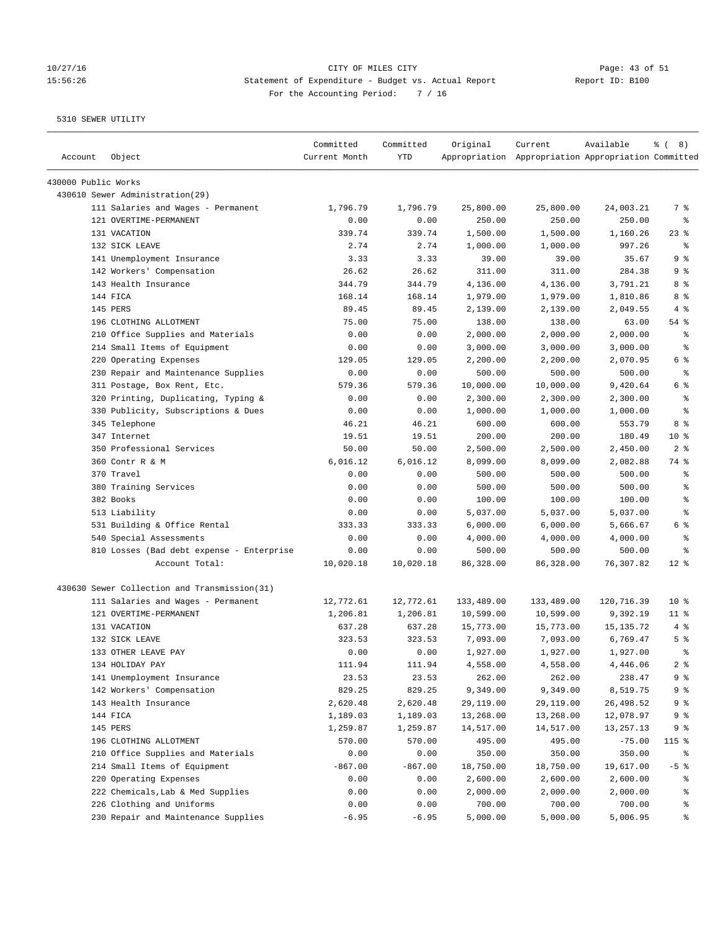# 10/27/16 Page: 43 of 51 15:56:26 Statement of Expenditure - Budget vs. Actual Report Changer Report ID: B100 For the Accounting Period: 7 / 16

————————————————————————————————————————————————————————————————————————————————————————————————————————————————————————————————————

|                     |                                              | Committed     | Committed | Original   | Current                                             | Available  | ී (<br>8)                |
|---------------------|----------------------------------------------|---------------|-----------|------------|-----------------------------------------------------|------------|--------------------------|
| Account             | Object                                       | Current Month | YTD       |            | Appropriation Appropriation Appropriation Committed |            |                          |
| 430000 Public Works |                                              |               |           |            |                                                     |            |                          |
|                     | 430610 Sewer Administration(29)              |               |           |            |                                                     |            |                          |
|                     | 111 Salaries and Wages - Permanent           | 1,796.79      | 1,796.79  | 25,800.00  | 25,800.00                                           | 24,003.21  | 7 %                      |
|                     | 121 OVERTIME-PERMANENT                       | 0.00          | 0.00      | 250.00     | 250.00                                              | 250.00     | ႜ                        |
|                     | 131 VACATION                                 | 339.74        | 339.74    | 1,500.00   | 1,500.00                                            | 1,160.26   | $23$ $%$                 |
|                     | 132 SICK LEAVE                               | 2.74          | 2.74      | 1,000.00   | 1,000.00                                            | 997.26     | ႜ                        |
|                     | 141 Unemployment Insurance                   | 3.33          | 3.33      | 39.00      | 39.00                                               | 35.67      | 9 <sub>8</sub>           |
|                     | 142 Workers' Compensation                    | 26.62         | 26.62     | 311.00     | 311.00                                              | 284.38     | 9 <sup>8</sup>           |
|                     | 143 Health Insurance                         | 344.79        | 344.79    | 4,136.00   | 4,136.00                                            | 3,791.21   | 8 %                      |
|                     | 144 FICA                                     | 168.14        | 168.14    | 1,979.00   | 1,979.00                                            | 1,810.86   | 8 %                      |
|                     | 145 PERS                                     | 89.45         | 89.45     | 2,139.00   | 2,139.00                                            | 2,049.55   | 4%                       |
|                     | 196 CLOTHING ALLOTMENT                       | 75.00         | 75.00     | 138.00     | 138.00                                              | 63.00      | 54 %                     |
|                     | 210 Office Supplies and Materials            | 0.00          | 0.00      | 2,000.00   | 2,000.00                                            | 2,000.00   | ႜ                        |
|                     | 214 Small Items of Equipment                 | 0.00          | 0.00      | 3,000.00   | 3,000.00                                            | 3,000.00   | $\epsilon$               |
|                     | 220 Operating Expenses                       | 129.05        | 129.05    | 2,200.00   | 2,200.00                                            | 2,070.95   | 6 %                      |
|                     | 230 Repair and Maintenance Supplies          | 0.00          | 0.00      | 500.00     | 500.00                                              | 500.00     | ႜ                        |
|                     | 311 Postage, Box Rent, Etc.                  | 579.36        | 579.36    | 10,000.00  | 10,000.00                                           | 9,420.64   | 6 %                      |
|                     | 320 Printing, Duplicating, Typing &          | 0.00          | 0.00      | 2,300.00   | 2,300.00                                            | 2,300.00   | $\,{}^{\circ}\!\!\delta$ |
|                     | 330 Publicity, Subscriptions & Dues          | 0.00          | 0.00      | 1,000.00   | 1,000.00                                            | 1,000.00   | $\epsilon$               |
|                     | 345 Telephone                                | 46.21         | 46.21     | 600.00     | 600.00                                              | 553.79     | 8 %                      |
|                     | 347 Internet                                 | 19.51         | 19.51     | 200.00     | 200.00                                              | 180.49     | $10*$                    |
|                     | 350 Professional Services                    | 50.00         | 50.00     | 2,500.00   | 2,500.00                                            | 2,450.00   | 2 <sup>8</sup>           |
|                     | 360 Contr R & M                              | 6,016.12      | 6,016.12  | 8,099.00   | 8,099.00                                            | 2,082.88   | 74 %                     |
|                     | 370 Travel                                   | 0.00          | 0.00      | 500.00     | 500.00                                              | 500.00     | နွ                       |
|                     | 380 Training Services                        | 0.00          | 0.00      | 500.00     | 500.00                                              | 500.00     | နွ                       |
|                     | 382 Books                                    | 0.00          | 0.00      | 100.00     | 100.00                                              | 100.00     | $\epsilon$               |
|                     | 513 Liability                                | 0.00          | 0.00      | 5,037.00   | 5,037.00                                            | 5,037.00   | နွ                       |
|                     | 531 Building & Office Rental                 | 333.33        | 333.33    | 6,000.00   | 6,000.00                                            | 5,666.67   | 6 %                      |
|                     | 540 Special Assessments                      | 0.00          | 0.00      | 4,000.00   | 4,000.00                                            | 4,000.00   | $\,{}^{\circ}\!\!\delta$ |
|                     | 810 Losses (Bad debt expense - Enterprise    | 0.00          | 0.00      | 500.00     | 500.00                                              | 500.00     | နွ                       |
|                     | Account Total:                               | 10,020.18     | 10,020.18 | 86,328.00  | 86,328.00                                           | 76,307.82  | $12*$                    |
|                     | 430630 Sewer Collection and Transmission(31) |               |           |            |                                                     |            |                          |
|                     | 111 Salaries and Wages - Permanent           | 12,772.61     | 12,772.61 | 133,489.00 | 133,489.00                                          | 120,716.39 | 10 <sub>8</sub>          |
|                     | 121 OVERTIME-PERMANENT                       | 1,206.81      | 1,206.81  | 10,599.00  | 10,599.00                                           | 9,392.19   | $11$ %                   |
|                     | 131 VACATION                                 | 637.28        | 637.28    | 15,773.00  | 15,773.00                                           | 15,135.72  | 4%                       |
|                     | 132 SICK LEAVE                               | 323.53        | 323.53    | 7,093.00   | 7,093.00                                            | 6,769.47   | 5 <sup>8</sup>           |
|                     | 133 OTHER LEAVE PAY                          | 0.00          | 0.00      | 1,927.00   | 1,927.00                                            | 1,927.00   | ႜ                        |
|                     | 134 HOLIDAY PAY                              | 111.94        | 111.94    | 4,558.00   | 4,558.00                                            | 4,446.06   | 2 <sup>°</sup>           |
|                     | 141 Unemployment Insurance                   | 23.53         | 23.53     | 262.00     | 262.00                                              | 238.47     | 9%                       |
|                     | 142 Workers' Compensation                    | 829.25        | 829.25    | 9,349.00   | 9,349.00                                            | 8,519.75   | 9%                       |
|                     | 143 Health Insurance                         | 2,620.48      | 2,620.48  | 29,119.00  | 29,119.00                                           | 26,498.52  | 9 %                      |
|                     | 144 FICA                                     | 1,189.03      | 1,189.03  | 13,268.00  | 13,268.00                                           | 12,078.97  | 9 %                      |
|                     | 145 PERS                                     | 1,259.87      | 1,259.87  | 14,517.00  | 14,517.00                                           | 13,257.13  | 9 %                      |
|                     | 196 CLOTHING ALLOTMENT                       | 570.00        | 570.00    | 495.00     | 495.00                                              | $-75.00$   | 115 %                    |
|                     | 210 Office Supplies and Materials            | 0.00          | 0.00      | 350.00     | 350.00                                              | 350.00     | ိစ                       |
|                     | 214 Small Items of Equipment                 | $-867.00$     | $-867.00$ | 18,750.00  | 18,750.00                                           | 19,617.00  | $-5$ %                   |
|                     | 220 Operating Expenses                       | 0.00          | 0.00      | 2,600.00   | 2,600.00                                            | 2,600.00   | နွ                       |
|                     | 222 Chemicals, Lab & Med Supplies            | 0.00          | 0.00      | 2,000.00   | 2,000.00                                            | 2,000.00   | ್ಠಿ                      |
|                     | 226 Clothing and Uniforms                    | 0.00          | 0.00      | 700.00     | 700.00                                              | 700.00     | ိစ                       |
|                     | 230 Repair and Maintenance Supplies          | $-6.95$       | $-6.95$   | 5,000.00   | 5,000.00                                            | 5,006.95   | ႜ                        |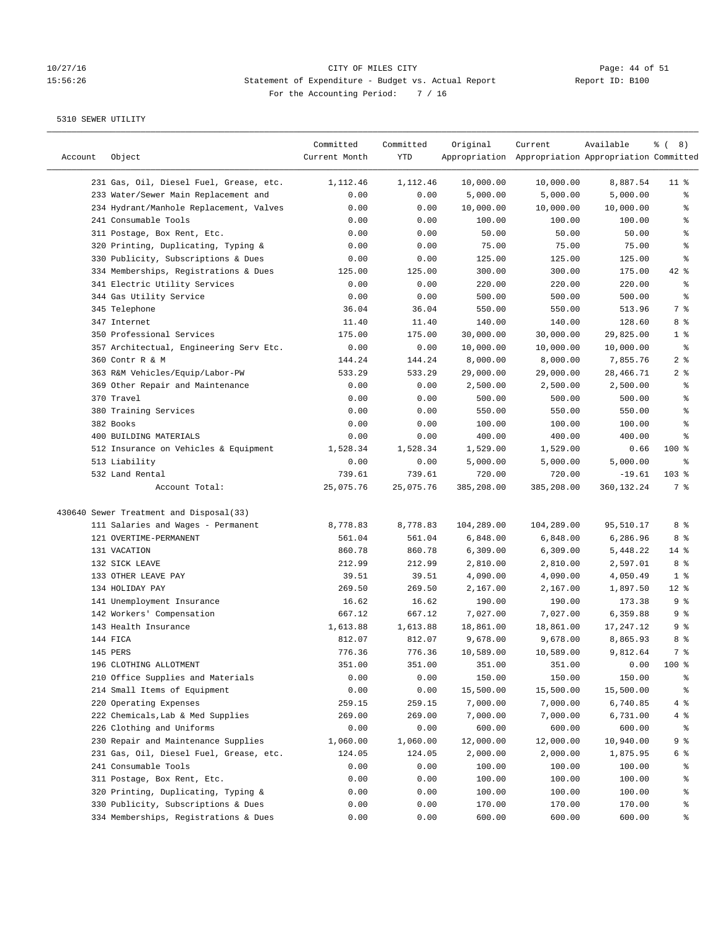# 10/27/16 <br>15:56:26 Page: 44 of 51 CITY OF MILES CITY<br>15:56:26 Statement of Expenditure - Budget vs. Actual Report (Report ID: B100 15:56:26 Statement of Expenditure - Budget vs. Actual Report For the Accounting Period: 7 / 16

| Account | Object                                  | Committed<br>Current Month | Committed<br>YTD | Original   | Current<br>Appropriation Appropriation Appropriation Committed | Available  | $\frac{6}{6}$ ( 8) |
|---------|-----------------------------------------|----------------------------|------------------|------------|----------------------------------------------------------------|------------|--------------------|
|         | 231 Gas, Oil, Diesel Fuel, Grease, etc. | 1,112.46                   | 1,112.46         | 10,000.00  | 10,000.00                                                      | 8,887.54   | $11$ %             |
|         | 233 Water/Sewer Main Replacement and    | 0.00                       | 0.00             | 5,000.00   | 5,000.00                                                       | 5,000.00   | ႜ                  |
|         | 234 Hydrant/Manhole Replacement, Valves | 0.00                       | 0.00             | 10,000.00  | 10,000.00                                                      | 10,000.00  | နွ                 |
|         | 241 Consumable Tools                    | 0.00                       | 0.00             | 100.00     | 100.00                                                         | 100.00     | ್ಠಿ                |
|         | 311 Postage, Box Rent, Etc.             | 0.00                       | 0.00             | 50.00      | 50.00                                                          | 50.00      | $\,$ $\,$ $\,$     |
|         | 320 Printing, Duplicating, Typing &     | 0.00                       | 0.00             | 75.00      | 75.00                                                          | 75.00      | ి                  |
|         | 330 Publicity, Subscriptions & Dues     | 0.00                       | 0.00             | 125.00     | 125.00                                                         | 125.00     | ి                  |
|         | 334 Memberships, Registrations & Dues   | 125.00                     | 125.00           | 300.00     | 300.00                                                         | 175.00     | $42$ %             |
|         | 341 Electric Utility Services           | 0.00                       | 0.00             | 220.00     | 220.00                                                         | 220.00     | ್ಠಿ                |
|         | 344 Gas Utility Service                 | 0.00                       | 0.00             | 500.00     | 500.00                                                         | 500.00     | ್ಠಿ                |
|         | 345 Telephone                           | 36.04                      | 36.04            | 550.00     | 550.00                                                         | 513.96     | 7 %                |
|         | 347 Internet                            | 11.40                      | 11.40            | 140.00     | 140.00                                                         | 128.60     | 8 %                |
|         | 350 Professional Services               | 175.00                     | 175.00           | 30,000.00  | 30,000.00                                                      | 29,825.00  | 1 <sup>8</sup>     |
|         | 357 Architectual, Engineering Serv Etc. | 0.00                       | 0.00             | 10,000.00  | 10,000.00                                                      | 10,000.00  | $\epsilon$         |
|         | 360 Contr R & M                         | 144.24                     | 144.24           | 8,000.00   | 8,000.00                                                       | 7,855.76   | 2%                 |
|         | 363 R&M Vehicles/Equip/Labor-PW         | 533.29                     | 533.29           | 29,000.00  | 29,000.00                                                      | 28,466.71  | 2%                 |
|         | 369 Other Repair and Maintenance        | 0.00                       | 0.00             | 2,500.00   | 2,500.00                                                       | 2,500.00   | ್ಠಿ                |
|         | 370 Travel                              | 0.00                       | 0.00             | 500.00     | 500.00                                                         | 500.00     | ి                  |
|         | 380 Training Services                   | 0.00                       | 0.00             | 550.00     | 550.00                                                         | 550.00     | ್ಠಿ                |
|         | 382 Books                               | 0.00                       | 0.00             | 100.00     | 100.00                                                         | 100.00     | ್ಠಿ                |
|         | 400 BUILDING MATERIALS                  | 0.00                       | 0.00             | 400.00     | 400.00                                                         | 400.00     | နွ                 |
|         | 512 Insurance on Vehicles & Equipment   | 1,528.34                   | 1,528.34         | 1,529.00   | 1,529.00                                                       | 0.66       | $100$ %            |
|         | 513 Liability                           | 0.00                       | 0.00             | 5,000.00   | 5,000.00                                                       | 5,000.00   | နွ                 |
|         | 532 Land Rental                         | 739.61                     | 739.61           | 720.00     | 720.00                                                         | $-19.61$   | 103 %              |
|         | Account Total:                          | 25,075.76                  | 25,075.76        | 385,208.00 | 385,208.00                                                     | 360,132.24 | 7 %                |
|         | 430640 Sewer Treatment and Disposal(33) |                            |                  |            |                                                                |            |                    |
|         | 111 Salaries and Wages - Permanent      | 8,778.83                   | 8,778.83         | 104,289.00 | 104,289.00                                                     | 95,510.17  | 8 %                |
|         | 121 OVERTIME-PERMANENT                  | 561.04                     | 561.04           | 6,848.00   | 6,848.00                                                       | 6,286.96   | 8 %                |
|         | 131 VACATION                            | 860.78                     | 860.78           | 6,309.00   | 6,309.00                                                       | 5,448.22   | $14$ %             |
|         | 132 SICK LEAVE                          | 212.99                     | 212.99           | 2,810.00   | 2,810.00                                                       | 2,597.01   | 8 %                |
|         | 133 OTHER LEAVE PAY                     | 39.51                      | 39.51            | 4,090.00   | 4,090.00                                                       | 4,050.49   | 1 <sup>8</sup>     |
|         | 134 HOLIDAY PAY                         | 269.50                     | 269.50           | 2,167.00   | 2,167.00                                                       | 1,897.50   | $12*$              |
|         | 141 Unemployment Insurance              | 16.62                      | 16.62            | 190.00     | 190.00                                                         | 173.38     | 9%                 |
|         | 142 Workers' Compensation               | 667.12                     | 667.12           | 7,027.00   | 7,027.00                                                       | 6,359.88   | 9%                 |
|         | 143 Health Insurance                    | 1,613.88                   | 1,613.88         | 18,861.00  | 18,861.00                                                      | 17,247.12  | 9%                 |
|         | 144 FICA                                | 812.07                     | 812.07           | 9,678.00   | 9,678.00                                                       | 8,865.93   | 8 %                |
|         | 145 PERS                                | 776.36                     | 776.36           | 10,589.00  | 10,589.00                                                      | 9,812.64   | 7 %                |
|         | 196 CLOTHING ALLOTMENT                  | 351.00                     | 351.00           | 351.00     | 351.00                                                         | 0.00       | 100 %              |
|         | 210 Office Supplies and Materials       | 0.00                       | 0.00             | 150.00     | 150.00                                                         | 150.00     | ိစ                 |
|         | 214 Small Items of Equipment            | 0.00                       | 0.00             | 15,500.00  | 15,500.00                                                      | 15,500.00  | ိစ                 |
|         | 220 Operating Expenses                  | 259.15                     | 259.15           | 7,000.00   | 7,000.00                                                       | 6,740.85   | 4 %                |
|         | 222 Chemicals, Lab & Med Supplies       | 269.00                     | 269.00           | 7,000.00   | 7,000.00                                                       | 6,731.00   | 4 %                |
|         | 226 Clothing and Uniforms               | 0.00                       | 0.00             | 600.00     | 600.00                                                         | 600.00     | ್ಠಿ                |
|         | 230 Repair and Maintenance Supplies     | 1,060.00                   | 1,060.00         | 12,000.00  | 12,000.00                                                      | 10,940.00  | 9 %                |
|         | 231 Gas, Oil, Diesel Fuel, Grease, etc. | 124.05                     | 124.05           | 2,000.00   | 2,000.00                                                       | 1,875.95   | 6 %                |
|         | 241 Consumable Tools                    | 0.00                       | 0.00             | 100.00     | 100.00                                                         | 100.00     | ိစ                 |
|         | 311 Postage, Box Rent, Etc.             | 0.00                       | 0.00             | 100.00     | 100.00                                                         | 100.00     | ႜ                  |
|         | 320 Printing, Duplicating, Typing &     | 0.00                       | 0.00             | 100.00     | 100.00                                                         | 100.00     | ႜ                  |
|         | 330 Publicity, Subscriptions & Dues     | 0.00                       | 0.00             | 170.00     | 170.00                                                         | 170.00     | ွေ                 |
|         | 334 Memberships, Registrations & Dues   | 0.00                       | 0.00             | 600.00     | 600.00                                                         | 600.00     | နွ                 |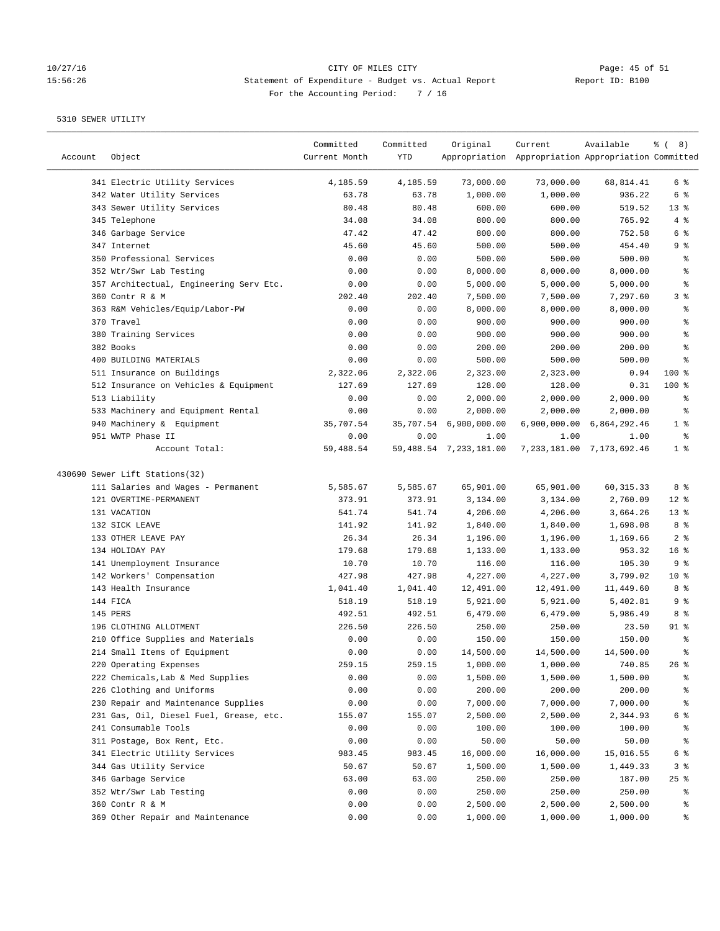# 10/27/16 CITY OF MILES CITY<br>15:56:26 Statement of Expenditure - Budget vs. Actual Report Report ID: B100 15:56:26 Statement of Expenditure - Budget vs. Actual Report For the Accounting Period: 7 / 16

| 341 Electric Utility Services<br>4,185.59<br>4,185.59<br>73,000.00<br>73,000.00<br>68,814.41<br>6 %<br>6 %<br>342 Water Utility Services<br>63.78<br>63.78<br>936.22<br>1,000.00<br>1,000.00<br>343 Sewer Utility Services<br>80.48<br>80.48<br>600.00<br>600.00<br>519.52<br>$13*$<br>345 Telephone<br>34.08<br>34.08<br>800.00<br>800.00<br>765.92<br>4%<br>346 Garbage Service<br>47.42<br>47.42<br>800.00<br>800.00<br>752.58<br>6 %<br>9%<br>347 Internet<br>45.60<br>45.60<br>500.00<br>500.00<br>454.40<br>350 Professional Services<br>0.00<br>0.00<br>500.00<br>500.00<br>500.00<br>್ಠಿ<br>352 Wtr/Swr Lab Testing<br>0.00<br>0.00<br>8,000.00<br>8,000.00<br>8,000.00<br>နွ<br>357 Architectual, Engineering Serv Etc.<br>0.00<br>0.00<br>5,000.00<br>5,000.00<br>5,000.00<br>್ಠಿ<br>360 Contr R & M<br>202.40<br>202.40<br>7,500.00<br>7,500.00<br>7,297.60<br>3 %<br>363 R&M Vehicles/Equip/Labor-PW<br>0.00<br>0.00<br>8,000.00<br>8,000.00<br>8,000.00<br>ႜ<br>370 Travel<br>0.00<br>0.00<br>900.00<br>900.00<br>ి<br>900.00<br>380 Training Services<br>0.00<br>0.00<br>900.00<br>900.00<br>900.00<br>နွ<br>382 Books<br>0.00<br>0.00<br>200.00<br>200.00<br>200.00<br>್ಠಿ<br>400 BUILDING MATERIALS<br>0.00<br>0.00<br>500.00<br>500.00<br>500.00<br>နွ<br>511 Insurance on Buildings<br>2,322.06<br>2,322.06<br>2,323.00<br>2,323.00<br>0.94<br>$100$ %<br>512 Insurance on Vehicles & Equipment<br>127.69<br>127.69<br>128.00<br>128.00<br>0.31<br>$100$ %<br>513 Liability<br>0.00<br>0.00<br>2,000.00<br>2,000.00<br>2,000.00<br>နွ<br>533 Machinery and Equipment Rental<br>0.00<br>0.00<br>2,000.00<br>2,000.00<br>2,000.00<br>್ಠಿ<br>940 Machinery & Equipment<br>35,707.54<br>35,707.54 6,900,000.00<br>6,900,000.00 6,864,292.46<br>1 <sup>8</sup><br>951 WWTP Phase II<br>0.00<br>್ಠಿ<br>0.00<br>1.00<br>1.00<br>1.00<br>Account Total:<br>59,488.54<br>59,488.54 7,233,181.00<br>7, 233, 181.00 7, 173, 692.46<br>1 <sup>8</sup><br>430690 Sewer Lift Stations(32)<br>111 Salaries and Wages - Permanent<br>5,585.67<br>5,585.67<br>65,901.00<br>65,901.00<br>60, 315.33<br>8 %<br>121 OVERTIME-PERMANENT<br>373.91<br>373.91<br>3,134.00<br>3,134.00<br>2,760.09<br>$12*$<br>131 VACATION<br>541.74<br>541.74<br>4,206.00<br>4,206.00<br>$13*$<br>3,664.26<br>132 SICK LEAVE<br>141.92<br>141.92<br>1,840.00<br>1,840.00<br>1,698.08<br>8 %<br>2 <sup>8</sup><br>133 OTHER LEAVE PAY<br>26.34<br>26.34<br>1,196.00<br>1,196.00<br>1,169.66<br>134 HOLIDAY PAY<br>179.68<br>179.68<br>16 <sup>8</sup><br>1,133.00<br>1,133.00<br>953.32<br>9%<br>141 Unemployment Insurance<br>10.70<br>10.70<br>116.00<br>116.00<br>105.30<br>142 Workers' Compensation<br>427.98<br>427.98<br>4,227.00<br>4,227.00<br>$10*$<br>3,799.02<br>143 Health Insurance<br>1,041.40<br>1,041.40<br>12,491.00<br>12,491.00<br>11,449.60<br>8 %<br>9%<br>144 FICA<br>518.19<br>518.19<br>5,921.00<br>5,921.00<br>5,402.81<br>8 %<br>145 PERS<br>492.51<br>492.51<br>6,479.00<br>6,479.00<br>5,986.49<br>$91$ %<br>196 CLOTHING ALLOTMENT<br>226.50<br>226.50<br>250.00<br>250.00<br>23.50<br>210 Office Supplies and Materials<br>0.00<br>0.00<br>150.00<br>150.00<br>150.00<br>್ಠಿ<br>214 Small Items of Equipment<br>0.00<br>0.00<br>14,500.00<br>14,500.00<br>14,500.00<br>နွ<br>220 Operating Expenses<br>259.15<br>259.15<br>1,000.00<br>1,000.00<br>740.85<br>26%<br>222 Chemicals, Lab & Med Supplies<br>0.00<br>0.00<br>1,500.00<br>1,500.00<br>1,500.00<br>ိစ<br>226 Clothing and Uniforms<br>0.00<br>0.00<br>200.00<br>200.00<br>200.00<br>ိစ<br>230 Repair and Maintenance Supplies<br>7,000.00<br>0.00<br>0.00<br>7,000.00<br>7,000.00<br>ိစ<br>231 Gas, Oil, Diesel Fuel, Grease, etc.<br>6 %<br>155.07<br>155.07<br>2,500.00<br>2,500.00<br>2,344.93<br>241 Consumable Tools<br>100.00<br>0.00<br>0.00<br>100.00<br>100.00<br>್ಠಿ<br>0.00<br>50.00<br>್ಠಿ<br>311 Postage, Box Rent, Etc.<br>0.00<br>50.00<br>50.00<br>341 Electric Utility Services<br>983.45<br>983.45<br>16,000.00<br>16,000.00<br>15,016.55<br>6 %<br>344 Gas Utility Service<br>50.67<br>50.67<br>1,500.00<br>1,500.00<br>1,449.33<br>3 %<br>346 Garbage Service<br>63.00<br>63.00<br>25%<br>250.00<br>250.00<br>187.00<br>352 Wtr/Swr Lab Testing<br>0.00<br>0.00<br>250.00<br>250.00<br>250.00<br>ွေ<br>0.00<br>0.00<br>2,500.00<br>2,500.00<br>2,500.00<br>360 Contr R & M<br>ွေ<br>369 Other Repair and Maintenance<br>0.00<br>1,000.00<br>1,000.00<br>1,000.00<br>0.00<br>နွ | Account | Object | Committed<br>Current Month | Committed<br>YTD | Original | Current<br>Appropriation Appropriation Appropriation Committed | Available | $\frac{6}{6}$ ( 8) |
|------------------------------------------------------------------------------------------------------------------------------------------------------------------------------------------------------------------------------------------------------------------------------------------------------------------------------------------------------------------------------------------------------------------------------------------------------------------------------------------------------------------------------------------------------------------------------------------------------------------------------------------------------------------------------------------------------------------------------------------------------------------------------------------------------------------------------------------------------------------------------------------------------------------------------------------------------------------------------------------------------------------------------------------------------------------------------------------------------------------------------------------------------------------------------------------------------------------------------------------------------------------------------------------------------------------------------------------------------------------------------------------------------------------------------------------------------------------------------------------------------------------------------------------------------------------------------------------------------------------------------------------------------------------------------------------------------------------------------------------------------------------------------------------------------------------------------------------------------------------------------------------------------------------------------------------------------------------------------------------------------------------------------------------------------------------------------------------------------------------------------------------------------------------------------------------------------------------------------------------------------------------------------------------------------------------------------------------------------------------------------------------------------------------------------------------------------------------------------------------------------------------------------------------------------------------------------------------------------------------------------------------------------------------------------------------------------------------------------------------------------------------------------------------------------------------------------------------------------------------------------------------------------------------------------------------------------------------------------------------------------------------------------------------------------------------------------------------------------------------------------------------------------------------------------------------------------------------------------------------------------------------------------------------------------------------------------------------------------------------------------------------------------------------------------------------------------------------------------------------------------------------------------------------------------------------------------------------------------------------------------------------------------------------------------------------------------------------------------------------------------------------------------------------------------------------------------------------------------------------------------------------------------------------------------------------------------------------------------------------------------------------------------------------------------------------------------------------------------------------------------------------------------------------------------------------------------------------------------------------------------------------------------------------------------------------------------------------------------------------------------------------------------------------------------------------------------------------------|---------|--------|----------------------------|------------------|----------|----------------------------------------------------------------|-----------|--------------------|
|                                                                                                                                                                                                                                                                                                                                                                                                                                                                                                                                                                                                                                                                                                                                                                                                                                                                                                                                                                                                                                                                                                                                                                                                                                                                                                                                                                                                                                                                                                                                                                                                                                                                                                                                                                                                                                                                                                                                                                                                                                                                                                                                                                                                                                                                                                                                                                                                                                                                                                                                                                                                                                                                                                                                                                                                                                                                                                                                                                                                                                                                                                                                                                                                                                                                                                                                                                                                                                                                                                                                                                                                                                                                                                                                                                                                                                                                                                                                                                                                                                                                                                                                                                                                                                                                                                                                                                                                                                                                        |         |        |                            |                  |          |                                                                |           |                    |
|                                                                                                                                                                                                                                                                                                                                                                                                                                                                                                                                                                                                                                                                                                                                                                                                                                                                                                                                                                                                                                                                                                                                                                                                                                                                                                                                                                                                                                                                                                                                                                                                                                                                                                                                                                                                                                                                                                                                                                                                                                                                                                                                                                                                                                                                                                                                                                                                                                                                                                                                                                                                                                                                                                                                                                                                                                                                                                                                                                                                                                                                                                                                                                                                                                                                                                                                                                                                                                                                                                                                                                                                                                                                                                                                                                                                                                                                                                                                                                                                                                                                                                                                                                                                                                                                                                                                                                                                                                                                        |         |        |                            |                  |          |                                                                |           |                    |
|                                                                                                                                                                                                                                                                                                                                                                                                                                                                                                                                                                                                                                                                                                                                                                                                                                                                                                                                                                                                                                                                                                                                                                                                                                                                                                                                                                                                                                                                                                                                                                                                                                                                                                                                                                                                                                                                                                                                                                                                                                                                                                                                                                                                                                                                                                                                                                                                                                                                                                                                                                                                                                                                                                                                                                                                                                                                                                                                                                                                                                                                                                                                                                                                                                                                                                                                                                                                                                                                                                                                                                                                                                                                                                                                                                                                                                                                                                                                                                                                                                                                                                                                                                                                                                                                                                                                                                                                                                                                        |         |        |                            |                  |          |                                                                |           |                    |
|                                                                                                                                                                                                                                                                                                                                                                                                                                                                                                                                                                                                                                                                                                                                                                                                                                                                                                                                                                                                                                                                                                                                                                                                                                                                                                                                                                                                                                                                                                                                                                                                                                                                                                                                                                                                                                                                                                                                                                                                                                                                                                                                                                                                                                                                                                                                                                                                                                                                                                                                                                                                                                                                                                                                                                                                                                                                                                                                                                                                                                                                                                                                                                                                                                                                                                                                                                                                                                                                                                                                                                                                                                                                                                                                                                                                                                                                                                                                                                                                                                                                                                                                                                                                                                                                                                                                                                                                                                                                        |         |        |                            |                  |          |                                                                |           |                    |
|                                                                                                                                                                                                                                                                                                                                                                                                                                                                                                                                                                                                                                                                                                                                                                                                                                                                                                                                                                                                                                                                                                                                                                                                                                                                                                                                                                                                                                                                                                                                                                                                                                                                                                                                                                                                                                                                                                                                                                                                                                                                                                                                                                                                                                                                                                                                                                                                                                                                                                                                                                                                                                                                                                                                                                                                                                                                                                                                                                                                                                                                                                                                                                                                                                                                                                                                                                                                                                                                                                                                                                                                                                                                                                                                                                                                                                                                                                                                                                                                                                                                                                                                                                                                                                                                                                                                                                                                                                                                        |         |        |                            |                  |          |                                                                |           |                    |
|                                                                                                                                                                                                                                                                                                                                                                                                                                                                                                                                                                                                                                                                                                                                                                                                                                                                                                                                                                                                                                                                                                                                                                                                                                                                                                                                                                                                                                                                                                                                                                                                                                                                                                                                                                                                                                                                                                                                                                                                                                                                                                                                                                                                                                                                                                                                                                                                                                                                                                                                                                                                                                                                                                                                                                                                                                                                                                                                                                                                                                                                                                                                                                                                                                                                                                                                                                                                                                                                                                                                                                                                                                                                                                                                                                                                                                                                                                                                                                                                                                                                                                                                                                                                                                                                                                                                                                                                                                                                        |         |        |                            |                  |          |                                                                |           |                    |
|                                                                                                                                                                                                                                                                                                                                                                                                                                                                                                                                                                                                                                                                                                                                                                                                                                                                                                                                                                                                                                                                                                                                                                                                                                                                                                                                                                                                                                                                                                                                                                                                                                                                                                                                                                                                                                                                                                                                                                                                                                                                                                                                                                                                                                                                                                                                                                                                                                                                                                                                                                                                                                                                                                                                                                                                                                                                                                                                                                                                                                                                                                                                                                                                                                                                                                                                                                                                                                                                                                                                                                                                                                                                                                                                                                                                                                                                                                                                                                                                                                                                                                                                                                                                                                                                                                                                                                                                                                                                        |         |        |                            |                  |          |                                                                |           |                    |
|                                                                                                                                                                                                                                                                                                                                                                                                                                                                                                                                                                                                                                                                                                                                                                                                                                                                                                                                                                                                                                                                                                                                                                                                                                                                                                                                                                                                                                                                                                                                                                                                                                                                                                                                                                                                                                                                                                                                                                                                                                                                                                                                                                                                                                                                                                                                                                                                                                                                                                                                                                                                                                                                                                                                                                                                                                                                                                                                                                                                                                                                                                                                                                                                                                                                                                                                                                                                                                                                                                                                                                                                                                                                                                                                                                                                                                                                                                                                                                                                                                                                                                                                                                                                                                                                                                                                                                                                                                                                        |         |        |                            |                  |          |                                                                |           |                    |
|                                                                                                                                                                                                                                                                                                                                                                                                                                                                                                                                                                                                                                                                                                                                                                                                                                                                                                                                                                                                                                                                                                                                                                                                                                                                                                                                                                                                                                                                                                                                                                                                                                                                                                                                                                                                                                                                                                                                                                                                                                                                                                                                                                                                                                                                                                                                                                                                                                                                                                                                                                                                                                                                                                                                                                                                                                                                                                                                                                                                                                                                                                                                                                                                                                                                                                                                                                                                                                                                                                                                                                                                                                                                                                                                                                                                                                                                                                                                                                                                                                                                                                                                                                                                                                                                                                                                                                                                                                                                        |         |        |                            |                  |          |                                                                |           |                    |
|                                                                                                                                                                                                                                                                                                                                                                                                                                                                                                                                                                                                                                                                                                                                                                                                                                                                                                                                                                                                                                                                                                                                                                                                                                                                                                                                                                                                                                                                                                                                                                                                                                                                                                                                                                                                                                                                                                                                                                                                                                                                                                                                                                                                                                                                                                                                                                                                                                                                                                                                                                                                                                                                                                                                                                                                                                                                                                                                                                                                                                                                                                                                                                                                                                                                                                                                                                                                                                                                                                                                                                                                                                                                                                                                                                                                                                                                                                                                                                                                                                                                                                                                                                                                                                                                                                                                                                                                                                                                        |         |        |                            |                  |          |                                                                |           |                    |
|                                                                                                                                                                                                                                                                                                                                                                                                                                                                                                                                                                                                                                                                                                                                                                                                                                                                                                                                                                                                                                                                                                                                                                                                                                                                                                                                                                                                                                                                                                                                                                                                                                                                                                                                                                                                                                                                                                                                                                                                                                                                                                                                                                                                                                                                                                                                                                                                                                                                                                                                                                                                                                                                                                                                                                                                                                                                                                                                                                                                                                                                                                                                                                                                                                                                                                                                                                                                                                                                                                                                                                                                                                                                                                                                                                                                                                                                                                                                                                                                                                                                                                                                                                                                                                                                                                                                                                                                                                                                        |         |        |                            |                  |          |                                                                |           |                    |
|                                                                                                                                                                                                                                                                                                                                                                                                                                                                                                                                                                                                                                                                                                                                                                                                                                                                                                                                                                                                                                                                                                                                                                                                                                                                                                                                                                                                                                                                                                                                                                                                                                                                                                                                                                                                                                                                                                                                                                                                                                                                                                                                                                                                                                                                                                                                                                                                                                                                                                                                                                                                                                                                                                                                                                                                                                                                                                                                                                                                                                                                                                                                                                                                                                                                                                                                                                                                                                                                                                                                                                                                                                                                                                                                                                                                                                                                                                                                                                                                                                                                                                                                                                                                                                                                                                                                                                                                                                                                        |         |        |                            |                  |          |                                                                |           |                    |
|                                                                                                                                                                                                                                                                                                                                                                                                                                                                                                                                                                                                                                                                                                                                                                                                                                                                                                                                                                                                                                                                                                                                                                                                                                                                                                                                                                                                                                                                                                                                                                                                                                                                                                                                                                                                                                                                                                                                                                                                                                                                                                                                                                                                                                                                                                                                                                                                                                                                                                                                                                                                                                                                                                                                                                                                                                                                                                                                                                                                                                                                                                                                                                                                                                                                                                                                                                                                                                                                                                                                                                                                                                                                                                                                                                                                                                                                                                                                                                                                                                                                                                                                                                                                                                                                                                                                                                                                                                                                        |         |        |                            |                  |          |                                                                |           |                    |
|                                                                                                                                                                                                                                                                                                                                                                                                                                                                                                                                                                                                                                                                                                                                                                                                                                                                                                                                                                                                                                                                                                                                                                                                                                                                                                                                                                                                                                                                                                                                                                                                                                                                                                                                                                                                                                                                                                                                                                                                                                                                                                                                                                                                                                                                                                                                                                                                                                                                                                                                                                                                                                                                                                                                                                                                                                                                                                                                                                                                                                                                                                                                                                                                                                                                                                                                                                                                                                                                                                                                                                                                                                                                                                                                                                                                                                                                                                                                                                                                                                                                                                                                                                                                                                                                                                                                                                                                                                                                        |         |        |                            |                  |          |                                                                |           |                    |
|                                                                                                                                                                                                                                                                                                                                                                                                                                                                                                                                                                                                                                                                                                                                                                                                                                                                                                                                                                                                                                                                                                                                                                                                                                                                                                                                                                                                                                                                                                                                                                                                                                                                                                                                                                                                                                                                                                                                                                                                                                                                                                                                                                                                                                                                                                                                                                                                                                                                                                                                                                                                                                                                                                                                                                                                                                                                                                                                                                                                                                                                                                                                                                                                                                                                                                                                                                                                                                                                                                                                                                                                                                                                                                                                                                                                                                                                                                                                                                                                                                                                                                                                                                                                                                                                                                                                                                                                                                                                        |         |        |                            |                  |          |                                                                |           |                    |
|                                                                                                                                                                                                                                                                                                                                                                                                                                                                                                                                                                                                                                                                                                                                                                                                                                                                                                                                                                                                                                                                                                                                                                                                                                                                                                                                                                                                                                                                                                                                                                                                                                                                                                                                                                                                                                                                                                                                                                                                                                                                                                                                                                                                                                                                                                                                                                                                                                                                                                                                                                                                                                                                                                                                                                                                                                                                                                                                                                                                                                                                                                                                                                                                                                                                                                                                                                                                                                                                                                                                                                                                                                                                                                                                                                                                                                                                                                                                                                                                                                                                                                                                                                                                                                                                                                                                                                                                                                                                        |         |        |                            |                  |          |                                                                |           |                    |
|                                                                                                                                                                                                                                                                                                                                                                                                                                                                                                                                                                                                                                                                                                                                                                                                                                                                                                                                                                                                                                                                                                                                                                                                                                                                                                                                                                                                                                                                                                                                                                                                                                                                                                                                                                                                                                                                                                                                                                                                                                                                                                                                                                                                                                                                                                                                                                                                                                                                                                                                                                                                                                                                                                                                                                                                                                                                                                                                                                                                                                                                                                                                                                                                                                                                                                                                                                                                                                                                                                                                                                                                                                                                                                                                                                                                                                                                                                                                                                                                                                                                                                                                                                                                                                                                                                                                                                                                                                                                        |         |        |                            |                  |          |                                                                |           |                    |
|                                                                                                                                                                                                                                                                                                                                                                                                                                                                                                                                                                                                                                                                                                                                                                                                                                                                                                                                                                                                                                                                                                                                                                                                                                                                                                                                                                                                                                                                                                                                                                                                                                                                                                                                                                                                                                                                                                                                                                                                                                                                                                                                                                                                                                                                                                                                                                                                                                                                                                                                                                                                                                                                                                                                                                                                                                                                                                                                                                                                                                                                                                                                                                                                                                                                                                                                                                                                                                                                                                                                                                                                                                                                                                                                                                                                                                                                                                                                                                                                                                                                                                                                                                                                                                                                                                                                                                                                                                                                        |         |        |                            |                  |          |                                                                |           |                    |
|                                                                                                                                                                                                                                                                                                                                                                                                                                                                                                                                                                                                                                                                                                                                                                                                                                                                                                                                                                                                                                                                                                                                                                                                                                                                                                                                                                                                                                                                                                                                                                                                                                                                                                                                                                                                                                                                                                                                                                                                                                                                                                                                                                                                                                                                                                                                                                                                                                                                                                                                                                                                                                                                                                                                                                                                                                                                                                                                                                                                                                                                                                                                                                                                                                                                                                                                                                                                                                                                                                                                                                                                                                                                                                                                                                                                                                                                                                                                                                                                                                                                                                                                                                                                                                                                                                                                                                                                                                                                        |         |        |                            |                  |          |                                                                |           |                    |
|                                                                                                                                                                                                                                                                                                                                                                                                                                                                                                                                                                                                                                                                                                                                                                                                                                                                                                                                                                                                                                                                                                                                                                                                                                                                                                                                                                                                                                                                                                                                                                                                                                                                                                                                                                                                                                                                                                                                                                                                                                                                                                                                                                                                                                                                                                                                                                                                                                                                                                                                                                                                                                                                                                                                                                                                                                                                                                                                                                                                                                                                                                                                                                                                                                                                                                                                                                                                                                                                                                                                                                                                                                                                                                                                                                                                                                                                                                                                                                                                                                                                                                                                                                                                                                                                                                                                                                                                                                                                        |         |        |                            |                  |          |                                                                |           |                    |
|                                                                                                                                                                                                                                                                                                                                                                                                                                                                                                                                                                                                                                                                                                                                                                                                                                                                                                                                                                                                                                                                                                                                                                                                                                                                                                                                                                                                                                                                                                                                                                                                                                                                                                                                                                                                                                                                                                                                                                                                                                                                                                                                                                                                                                                                                                                                                                                                                                                                                                                                                                                                                                                                                                                                                                                                                                                                                                                                                                                                                                                                                                                                                                                                                                                                                                                                                                                                                                                                                                                                                                                                                                                                                                                                                                                                                                                                                                                                                                                                                                                                                                                                                                                                                                                                                                                                                                                                                                                                        |         |        |                            |                  |          |                                                                |           |                    |
|                                                                                                                                                                                                                                                                                                                                                                                                                                                                                                                                                                                                                                                                                                                                                                                                                                                                                                                                                                                                                                                                                                                                                                                                                                                                                                                                                                                                                                                                                                                                                                                                                                                                                                                                                                                                                                                                                                                                                                                                                                                                                                                                                                                                                                                                                                                                                                                                                                                                                                                                                                                                                                                                                                                                                                                                                                                                                                                                                                                                                                                                                                                                                                                                                                                                                                                                                                                                                                                                                                                                                                                                                                                                                                                                                                                                                                                                                                                                                                                                                                                                                                                                                                                                                                                                                                                                                                                                                                                                        |         |        |                            |                  |          |                                                                |           |                    |
|                                                                                                                                                                                                                                                                                                                                                                                                                                                                                                                                                                                                                                                                                                                                                                                                                                                                                                                                                                                                                                                                                                                                                                                                                                                                                                                                                                                                                                                                                                                                                                                                                                                                                                                                                                                                                                                                                                                                                                                                                                                                                                                                                                                                                                                                                                                                                                                                                                                                                                                                                                                                                                                                                                                                                                                                                                                                                                                                                                                                                                                                                                                                                                                                                                                                                                                                                                                                                                                                                                                                                                                                                                                                                                                                                                                                                                                                                                                                                                                                                                                                                                                                                                                                                                                                                                                                                                                                                                                                        |         |        |                            |                  |          |                                                                |           |                    |
|                                                                                                                                                                                                                                                                                                                                                                                                                                                                                                                                                                                                                                                                                                                                                                                                                                                                                                                                                                                                                                                                                                                                                                                                                                                                                                                                                                                                                                                                                                                                                                                                                                                                                                                                                                                                                                                                                                                                                                                                                                                                                                                                                                                                                                                                                                                                                                                                                                                                                                                                                                                                                                                                                                                                                                                                                                                                                                                                                                                                                                                                                                                                                                                                                                                                                                                                                                                                                                                                                                                                                                                                                                                                                                                                                                                                                                                                                                                                                                                                                                                                                                                                                                                                                                                                                                                                                                                                                                                                        |         |        |                            |                  |          |                                                                |           |                    |
|                                                                                                                                                                                                                                                                                                                                                                                                                                                                                                                                                                                                                                                                                                                                                                                                                                                                                                                                                                                                                                                                                                                                                                                                                                                                                                                                                                                                                                                                                                                                                                                                                                                                                                                                                                                                                                                                                                                                                                                                                                                                                                                                                                                                                                                                                                                                                                                                                                                                                                                                                                                                                                                                                                                                                                                                                                                                                                                                                                                                                                                                                                                                                                                                                                                                                                                                                                                                                                                                                                                                                                                                                                                                                                                                                                                                                                                                                                                                                                                                                                                                                                                                                                                                                                                                                                                                                                                                                                                                        |         |        |                            |                  |          |                                                                |           |                    |
|                                                                                                                                                                                                                                                                                                                                                                                                                                                                                                                                                                                                                                                                                                                                                                                                                                                                                                                                                                                                                                                                                                                                                                                                                                                                                                                                                                                                                                                                                                                                                                                                                                                                                                                                                                                                                                                                                                                                                                                                                                                                                                                                                                                                                                                                                                                                                                                                                                                                                                                                                                                                                                                                                                                                                                                                                                                                                                                                                                                                                                                                                                                                                                                                                                                                                                                                                                                                                                                                                                                                                                                                                                                                                                                                                                                                                                                                                                                                                                                                                                                                                                                                                                                                                                                                                                                                                                                                                                                                        |         |        |                            |                  |          |                                                                |           |                    |
|                                                                                                                                                                                                                                                                                                                                                                                                                                                                                                                                                                                                                                                                                                                                                                                                                                                                                                                                                                                                                                                                                                                                                                                                                                                                                                                                                                                                                                                                                                                                                                                                                                                                                                                                                                                                                                                                                                                                                                                                                                                                                                                                                                                                                                                                                                                                                                                                                                                                                                                                                                                                                                                                                                                                                                                                                                                                                                                                                                                                                                                                                                                                                                                                                                                                                                                                                                                                                                                                                                                                                                                                                                                                                                                                                                                                                                                                                                                                                                                                                                                                                                                                                                                                                                                                                                                                                                                                                                                                        |         |        |                            |                  |          |                                                                |           |                    |
|                                                                                                                                                                                                                                                                                                                                                                                                                                                                                                                                                                                                                                                                                                                                                                                                                                                                                                                                                                                                                                                                                                                                                                                                                                                                                                                                                                                                                                                                                                                                                                                                                                                                                                                                                                                                                                                                                                                                                                                                                                                                                                                                                                                                                                                                                                                                                                                                                                                                                                                                                                                                                                                                                                                                                                                                                                                                                                                                                                                                                                                                                                                                                                                                                                                                                                                                                                                                                                                                                                                                                                                                                                                                                                                                                                                                                                                                                                                                                                                                                                                                                                                                                                                                                                                                                                                                                                                                                                                                        |         |        |                            |                  |          |                                                                |           |                    |
|                                                                                                                                                                                                                                                                                                                                                                                                                                                                                                                                                                                                                                                                                                                                                                                                                                                                                                                                                                                                                                                                                                                                                                                                                                                                                                                                                                                                                                                                                                                                                                                                                                                                                                                                                                                                                                                                                                                                                                                                                                                                                                                                                                                                                                                                                                                                                                                                                                                                                                                                                                                                                                                                                                                                                                                                                                                                                                                                                                                                                                                                                                                                                                                                                                                                                                                                                                                                                                                                                                                                                                                                                                                                                                                                                                                                                                                                                                                                                                                                                                                                                                                                                                                                                                                                                                                                                                                                                                                                        |         |        |                            |                  |          |                                                                |           |                    |
|                                                                                                                                                                                                                                                                                                                                                                                                                                                                                                                                                                                                                                                                                                                                                                                                                                                                                                                                                                                                                                                                                                                                                                                                                                                                                                                                                                                                                                                                                                                                                                                                                                                                                                                                                                                                                                                                                                                                                                                                                                                                                                                                                                                                                                                                                                                                                                                                                                                                                                                                                                                                                                                                                                                                                                                                                                                                                                                                                                                                                                                                                                                                                                                                                                                                                                                                                                                                                                                                                                                                                                                                                                                                                                                                                                                                                                                                                                                                                                                                                                                                                                                                                                                                                                                                                                                                                                                                                                                                        |         |        |                            |                  |          |                                                                |           |                    |
|                                                                                                                                                                                                                                                                                                                                                                                                                                                                                                                                                                                                                                                                                                                                                                                                                                                                                                                                                                                                                                                                                                                                                                                                                                                                                                                                                                                                                                                                                                                                                                                                                                                                                                                                                                                                                                                                                                                                                                                                                                                                                                                                                                                                                                                                                                                                                                                                                                                                                                                                                                                                                                                                                                                                                                                                                                                                                                                                                                                                                                                                                                                                                                                                                                                                                                                                                                                                                                                                                                                                                                                                                                                                                                                                                                                                                                                                                                                                                                                                                                                                                                                                                                                                                                                                                                                                                                                                                                                                        |         |        |                            |                  |          |                                                                |           |                    |
|                                                                                                                                                                                                                                                                                                                                                                                                                                                                                                                                                                                                                                                                                                                                                                                                                                                                                                                                                                                                                                                                                                                                                                                                                                                                                                                                                                                                                                                                                                                                                                                                                                                                                                                                                                                                                                                                                                                                                                                                                                                                                                                                                                                                                                                                                                                                                                                                                                                                                                                                                                                                                                                                                                                                                                                                                                                                                                                                                                                                                                                                                                                                                                                                                                                                                                                                                                                                                                                                                                                                                                                                                                                                                                                                                                                                                                                                                                                                                                                                                                                                                                                                                                                                                                                                                                                                                                                                                                                                        |         |        |                            |                  |          |                                                                |           |                    |
|                                                                                                                                                                                                                                                                                                                                                                                                                                                                                                                                                                                                                                                                                                                                                                                                                                                                                                                                                                                                                                                                                                                                                                                                                                                                                                                                                                                                                                                                                                                                                                                                                                                                                                                                                                                                                                                                                                                                                                                                                                                                                                                                                                                                                                                                                                                                                                                                                                                                                                                                                                                                                                                                                                                                                                                                                                                                                                                                                                                                                                                                                                                                                                                                                                                                                                                                                                                                                                                                                                                                                                                                                                                                                                                                                                                                                                                                                                                                                                                                                                                                                                                                                                                                                                                                                                                                                                                                                                                                        |         |        |                            |                  |          |                                                                |           |                    |
|                                                                                                                                                                                                                                                                                                                                                                                                                                                                                                                                                                                                                                                                                                                                                                                                                                                                                                                                                                                                                                                                                                                                                                                                                                                                                                                                                                                                                                                                                                                                                                                                                                                                                                                                                                                                                                                                                                                                                                                                                                                                                                                                                                                                                                                                                                                                                                                                                                                                                                                                                                                                                                                                                                                                                                                                                                                                                                                                                                                                                                                                                                                                                                                                                                                                                                                                                                                                                                                                                                                                                                                                                                                                                                                                                                                                                                                                                                                                                                                                                                                                                                                                                                                                                                                                                                                                                                                                                                                                        |         |        |                            |                  |          |                                                                |           |                    |
|                                                                                                                                                                                                                                                                                                                                                                                                                                                                                                                                                                                                                                                                                                                                                                                                                                                                                                                                                                                                                                                                                                                                                                                                                                                                                                                                                                                                                                                                                                                                                                                                                                                                                                                                                                                                                                                                                                                                                                                                                                                                                                                                                                                                                                                                                                                                                                                                                                                                                                                                                                                                                                                                                                                                                                                                                                                                                                                                                                                                                                                                                                                                                                                                                                                                                                                                                                                                                                                                                                                                                                                                                                                                                                                                                                                                                                                                                                                                                                                                                                                                                                                                                                                                                                                                                                                                                                                                                                                                        |         |        |                            |                  |          |                                                                |           |                    |
|                                                                                                                                                                                                                                                                                                                                                                                                                                                                                                                                                                                                                                                                                                                                                                                                                                                                                                                                                                                                                                                                                                                                                                                                                                                                                                                                                                                                                                                                                                                                                                                                                                                                                                                                                                                                                                                                                                                                                                                                                                                                                                                                                                                                                                                                                                                                                                                                                                                                                                                                                                                                                                                                                                                                                                                                                                                                                                                                                                                                                                                                                                                                                                                                                                                                                                                                                                                                                                                                                                                                                                                                                                                                                                                                                                                                                                                                                                                                                                                                                                                                                                                                                                                                                                                                                                                                                                                                                                                                        |         |        |                            |                  |          |                                                                |           |                    |
|                                                                                                                                                                                                                                                                                                                                                                                                                                                                                                                                                                                                                                                                                                                                                                                                                                                                                                                                                                                                                                                                                                                                                                                                                                                                                                                                                                                                                                                                                                                                                                                                                                                                                                                                                                                                                                                                                                                                                                                                                                                                                                                                                                                                                                                                                                                                                                                                                                                                                                                                                                                                                                                                                                                                                                                                                                                                                                                                                                                                                                                                                                                                                                                                                                                                                                                                                                                                                                                                                                                                                                                                                                                                                                                                                                                                                                                                                                                                                                                                                                                                                                                                                                                                                                                                                                                                                                                                                                                                        |         |        |                            |                  |          |                                                                |           |                    |
|                                                                                                                                                                                                                                                                                                                                                                                                                                                                                                                                                                                                                                                                                                                                                                                                                                                                                                                                                                                                                                                                                                                                                                                                                                                                                                                                                                                                                                                                                                                                                                                                                                                                                                                                                                                                                                                                                                                                                                                                                                                                                                                                                                                                                                                                                                                                                                                                                                                                                                                                                                                                                                                                                                                                                                                                                                                                                                                                                                                                                                                                                                                                                                                                                                                                                                                                                                                                                                                                                                                                                                                                                                                                                                                                                                                                                                                                                                                                                                                                                                                                                                                                                                                                                                                                                                                                                                                                                                                                        |         |        |                            |                  |          |                                                                |           |                    |
|                                                                                                                                                                                                                                                                                                                                                                                                                                                                                                                                                                                                                                                                                                                                                                                                                                                                                                                                                                                                                                                                                                                                                                                                                                                                                                                                                                                                                                                                                                                                                                                                                                                                                                                                                                                                                                                                                                                                                                                                                                                                                                                                                                                                                                                                                                                                                                                                                                                                                                                                                                                                                                                                                                                                                                                                                                                                                                                                                                                                                                                                                                                                                                                                                                                                                                                                                                                                                                                                                                                                                                                                                                                                                                                                                                                                                                                                                                                                                                                                                                                                                                                                                                                                                                                                                                                                                                                                                                                                        |         |        |                            |                  |          |                                                                |           |                    |
|                                                                                                                                                                                                                                                                                                                                                                                                                                                                                                                                                                                                                                                                                                                                                                                                                                                                                                                                                                                                                                                                                                                                                                                                                                                                                                                                                                                                                                                                                                                                                                                                                                                                                                                                                                                                                                                                                                                                                                                                                                                                                                                                                                                                                                                                                                                                                                                                                                                                                                                                                                                                                                                                                                                                                                                                                                                                                                                                                                                                                                                                                                                                                                                                                                                                                                                                                                                                                                                                                                                                                                                                                                                                                                                                                                                                                                                                                                                                                                                                                                                                                                                                                                                                                                                                                                                                                                                                                                                                        |         |        |                            |                  |          |                                                                |           |                    |
|                                                                                                                                                                                                                                                                                                                                                                                                                                                                                                                                                                                                                                                                                                                                                                                                                                                                                                                                                                                                                                                                                                                                                                                                                                                                                                                                                                                                                                                                                                                                                                                                                                                                                                                                                                                                                                                                                                                                                                                                                                                                                                                                                                                                                                                                                                                                                                                                                                                                                                                                                                                                                                                                                                                                                                                                                                                                                                                                                                                                                                                                                                                                                                                                                                                                                                                                                                                                                                                                                                                                                                                                                                                                                                                                                                                                                                                                                                                                                                                                                                                                                                                                                                                                                                                                                                                                                                                                                                                                        |         |        |                            |                  |          |                                                                |           |                    |
|                                                                                                                                                                                                                                                                                                                                                                                                                                                                                                                                                                                                                                                                                                                                                                                                                                                                                                                                                                                                                                                                                                                                                                                                                                                                                                                                                                                                                                                                                                                                                                                                                                                                                                                                                                                                                                                                                                                                                                                                                                                                                                                                                                                                                                                                                                                                                                                                                                                                                                                                                                                                                                                                                                                                                                                                                                                                                                                                                                                                                                                                                                                                                                                                                                                                                                                                                                                                                                                                                                                                                                                                                                                                                                                                                                                                                                                                                                                                                                                                                                                                                                                                                                                                                                                                                                                                                                                                                                                                        |         |        |                            |                  |          |                                                                |           |                    |
|                                                                                                                                                                                                                                                                                                                                                                                                                                                                                                                                                                                                                                                                                                                                                                                                                                                                                                                                                                                                                                                                                                                                                                                                                                                                                                                                                                                                                                                                                                                                                                                                                                                                                                                                                                                                                                                                                                                                                                                                                                                                                                                                                                                                                                                                                                                                                                                                                                                                                                                                                                                                                                                                                                                                                                                                                                                                                                                                                                                                                                                                                                                                                                                                                                                                                                                                                                                                                                                                                                                                                                                                                                                                                                                                                                                                                                                                                                                                                                                                                                                                                                                                                                                                                                                                                                                                                                                                                                                                        |         |        |                            |                  |          |                                                                |           |                    |
|                                                                                                                                                                                                                                                                                                                                                                                                                                                                                                                                                                                                                                                                                                                                                                                                                                                                                                                                                                                                                                                                                                                                                                                                                                                                                                                                                                                                                                                                                                                                                                                                                                                                                                                                                                                                                                                                                                                                                                                                                                                                                                                                                                                                                                                                                                                                                                                                                                                                                                                                                                                                                                                                                                                                                                                                                                                                                                                                                                                                                                                                                                                                                                                                                                                                                                                                                                                                                                                                                                                                                                                                                                                                                                                                                                                                                                                                                                                                                                                                                                                                                                                                                                                                                                                                                                                                                                                                                                                                        |         |        |                            |                  |          |                                                                |           |                    |
|                                                                                                                                                                                                                                                                                                                                                                                                                                                                                                                                                                                                                                                                                                                                                                                                                                                                                                                                                                                                                                                                                                                                                                                                                                                                                                                                                                                                                                                                                                                                                                                                                                                                                                                                                                                                                                                                                                                                                                                                                                                                                                                                                                                                                                                                                                                                                                                                                                                                                                                                                                                                                                                                                                                                                                                                                                                                                                                                                                                                                                                                                                                                                                                                                                                                                                                                                                                                                                                                                                                                                                                                                                                                                                                                                                                                                                                                                                                                                                                                                                                                                                                                                                                                                                                                                                                                                                                                                                                                        |         |        |                            |                  |          |                                                                |           |                    |
|                                                                                                                                                                                                                                                                                                                                                                                                                                                                                                                                                                                                                                                                                                                                                                                                                                                                                                                                                                                                                                                                                                                                                                                                                                                                                                                                                                                                                                                                                                                                                                                                                                                                                                                                                                                                                                                                                                                                                                                                                                                                                                                                                                                                                                                                                                                                                                                                                                                                                                                                                                                                                                                                                                                                                                                                                                                                                                                                                                                                                                                                                                                                                                                                                                                                                                                                                                                                                                                                                                                                                                                                                                                                                                                                                                                                                                                                                                                                                                                                                                                                                                                                                                                                                                                                                                                                                                                                                                                                        |         |        |                            |                  |          |                                                                |           |                    |
|                                                                                                                                                                                                                                                                                                                                                                                                                                                                                                                                                                                                                                                                                                                                                                                                                                                                                                                                                                                                                                                                                                                                                                                                                                                                                                                                                                                                                                                                                                                                                                                                                                                                                                                                                                                                                                                                                                                                                                                                                                                                                                                                                                                                                                                                                                                                                                                                                                                                                                                                                                                                                                                                                                                                                                                                                                                                                                                                                                                                                                                                                                                                                                                                                                                                                                                                                                                                                                                                                                                                                                                                                                                                                                                                                                                                                                                                                                                                                                                                                                                                                                                                                                                                                                                                                                                                                                                                                                                                        |         |        |                            |                  |          |                                                                |           |                    |
|                                                                                                                                                                                                                                                                                                                                                                                                                                                                                                                                                                                                                                                                                                                                                                                                                                                                                                                                                                                                                                                                                                                                                                                                                                                                                                                                                                                                                                                                                                                                                                                                                                                                                                                                                                                                                                                                                                                                                                                                                                                                                                                                                                                                                                                                                                                                                                                                                                                                                                                                                                                                                                                                                                                                                                                                                                                                                                                                                                                                                                                                                                                                                                                                                                                                                                                                                                                                                                                                                                                                                                                                                                                                                                                                                                                                                                                                                                                                                                                                                                                                                                                                                                                                                                                                                                                                                                                                                                                                        |         |        |                            |                  |          |                                                                |           |                    |
|                                                                                                                                                                                                                                                                                                                                                                                                                                                                                                                                                                                                                                                                                                                                                                                                                                                                                                                                                                                                                                                                                                                                                                                                                                                                                                                                                                                                                                                                                                                                                                                                                                                                                                                                                                                                                                                                                                                                                                                                                                                                                                                                                                                                                                                                                                                                                                                                                                                                                                                                                                                                                                                                                                                                                                                                                                                                                                                                                                                                                                                                                                                                                                                                                                                                                                                                                                                                                                                                                                                                                                                                                                                                                                                                                                                                                                                                                                                                                                                                                                                                                                                                                                                                                                                                                                                                                                                                                                                                        |         |        |                            |                  |          |                                                                |           |                    |
|                                                                                                                                                                                                                                                                                                                                                                                                                                                                                                                                                                                                                                                                                                                                                                                                                                                                                                                                                                                                                                                                                                                                                                                                                                                                                                                                                                                                                                                                                                                                                                                                                                                                                                                                                                                                                                                                                                                                                                                                                                                                                                                                                                                                                                                                                                                                                                                                                                                                                                                                                                                                                                                                                                                                                                                                                                                                                                                                                                                                                                                                                                                                                                                                                                                                                                                                                                                                                                                                                                                                                                                                                                                                                                                                                                                                                                                                                                                                                                                                                                                                                                                                                                                                                                                                                                                                                                                                                                                                        |         |        |                            |                  |          |                                                                |           |                    |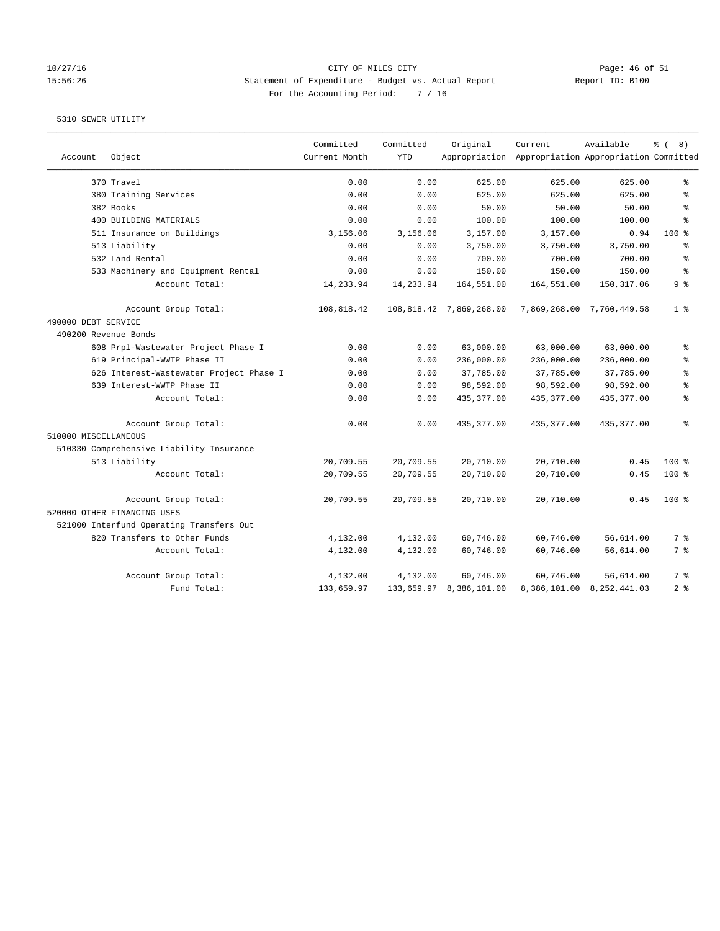# 10/27/16 Page: 46 of 51 15:56:26 Statement of Expenditure - Budget vs. Actual Report Changer Report ID: B100 For the Accounting Period: 7 / 16

|                      |                                          | Committed     | Committed  | Original                | Current                                             | Available                 | % (8)          |
|----------------------|------------------------------------------|---------------|------------|-------------------------|-----------------------------------------------------|---------------------------|----------------|
| Account              | Object                                   | Current Month | <b>YTD</b> |                         | Appropriation Appropriation Appropriation Committed |                           |                |
|                      | 370 Travel                               | 0.00          | 0.00       | 625.00                  | 625.00                                              | 625.00                    | နွ             |
|                      | 380 Training Services                    | 0.00          | 0.00       | 625.00                  | 625.00                                              | 625.00                    | ి              |
|                      | 382 Books                                | 0.00          | 0.00       | 50.00                   | 50.00                                               | 50.00                     | ి              |
|                      | 400 BUILDING MATERIALS                   | 0.00          | 0.00       | 100.00                  | 100.00                                              | 100.00                    | ÷,             |
|                      | 511 Insurance on Buildings               | 3,156.06      | 3,156.06   | 3,157.00                | 3,157.00                                            | 0.94                      | $100*$         |
|                      | 513 Liability                            | 0.00          | 0.00       | 3,750.00                | 3,750.00                                            | 3,750.00                  | ి              |
|                      | 532 Land Rental                          | 0.00          | 0.00       | 700.00                  | 700.00                                              | 700.00                    | န္             |
|                      | 533 Machinery and Equipment Rental       | 0.00          | 0.00       | 150.00                  | 150.00                                              | 150.00                    | န့             |
|                      | Account Total:                           | 14,233.94     | 14,233.94  | 164,551.00              | 164,551.00                                          | 150, 317.06               | 9%             |
|                      | Account Group Total:                     | 108,818.42    |            | 108,818.42 7,869,268.00 |                                                     | 7,869,268.00 7,760,449.58 | 1 <sup>8</sup> |
| 490000 DEBT SERVICE  |                                          |               |            |                         |                                                     |                           |                |
| 490200 Revenue Bonds |                                          |               |            |                         |                                                     |                           |                |
|                      | 608 Prpl-Wastewater Project Phase I      | 0.00          | 0.00       | 63,000.00               | 63,000.00                                           | 63,000.00                 | ÷,             |
|                      | 619 Principal-WWTP Phase II              | 0.00          | 0.00       | 236,000.00              | 236,000.00                                          | 236,000.00                | ۹.             |
|                      | 626 Interest-Wastewater Project Phase I  | 0.00          | 0.00       | 37,785.00               | 37,785.00                                           | 37,785.00                 | $\approx$      |
|                      | 639 Interest-WWTP Phase II               | 0.00          | 0.00       | 98,592.00               | 98,592.00                                           | 98,592.00                 | $\approx$      |
|                      | Account Total:                           | 0.00          | 0.00       | 435, 377.00             | 435, 377.00                                         | 435, 377.00               | နွ             |
|                      | Account Group Total:                     | 0.00          | 0.00       | 435, 377.00             | 435, 377.00                                         | 435, 377.00               | ៖              |
| 510000 MISCELLANEOUS |                                          |               |            |                         |                                                     |                           |                |
|                      | 510330 Comprehensive Liability Insurance |               |            |                         |                                                     |                           |                |
|                      | 513 Liability                            | 20,709.55     | 20,709.55  | 20,710.00               | 20,710.00                                           | 0.45                      | $100$ %        |
|                      | Account Total:                           | 20,709.55     | 20,709.55  | 20,710.00               | 20,710.00                                           | 0.45                      | 100 %          |
|                      | Account Group Total:                     | 20,709.55     | 20,709.55  | 20,710.00               | 20,710.00                                           | 0.45                      | $100*$         |
|                      | 520000 OTHER FINANCING USES              |               |            |                         |                                                     |                           |                |
|                      | 521000 Interfund Operating Transfers Out |               |            |                         |                                                     |                           |                |
|                      | 820 Transfers to Other Funds             | 4,132.00      | 4,132.00   | 60,746.00               | 60,746.00                                           | 56,614.00                 | 7 %            |
|                      | Account Total:                           | 4,132.00      | 4,132.00   | 60,746.00               | 60,746.00                                           | 56,614.00                 | 7 %            |
|                      | Account Group Total:                     | 4,132.00      | 4,132.00   | 60,746.00               | 60,746.00                                           | 56,614.00                 | 7 %            |
|                      | Fund Total:                              | 133,659.97    | 133,659.97 | 8,386,101.00            |                                                     | 8,386,101.00 8,252,441.03 | 2 <sup>8</sup> |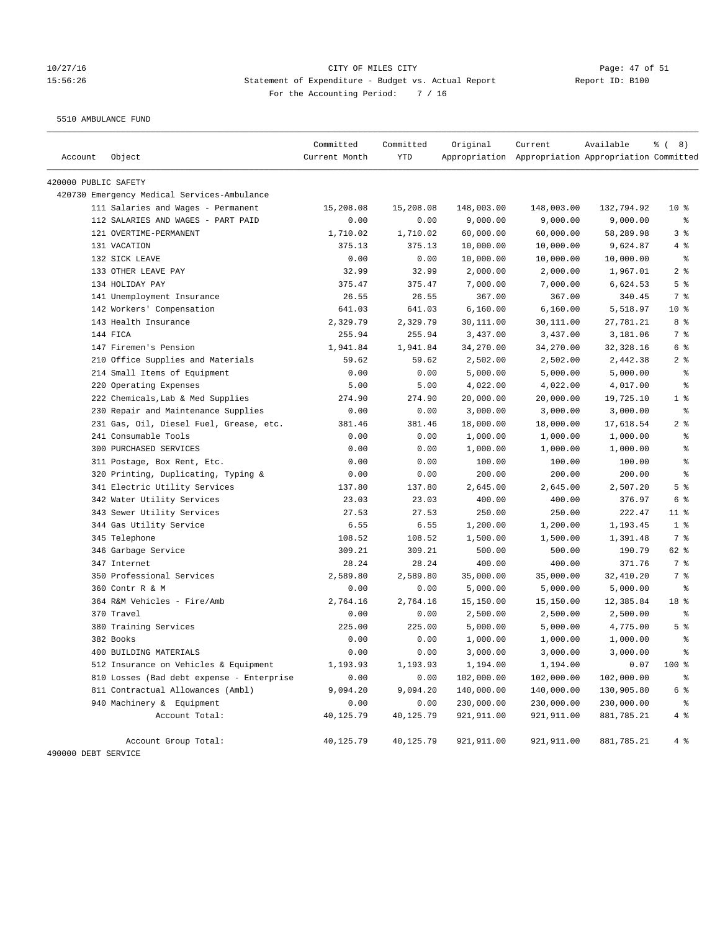## 10/27/16 Page: 47 of 51 15:56:26 Statement of Expenditure - Budget vs. Actual Report Changer Report ID: B100 For the Accounting Period: 7 / 16

5510 AMBULANCE FUND

| Account              | Object                                      | Committed<br>Current Month | Committed<br><b>YTD</b> | Original    | Current<br>Appropriation Appropriation Appropriation Committed | Available  | $\frac{8}{6}$ ( 8)       |
|----------------------|---------------------------------------------|----------------------------|-------------------------|-------------|----------------------------------------------------------------|------------|--------------------------|
|                      |                                             |                            |                         |             |                                                                |            |                          |
| 420000 PUBLIC SAFETY |                                             |                            |                         |             |                                                                |            |                          |
|                      | 420730 Emergency Medical Services-Ambulance |                            |                         |             |                                                                |            |                          |
|                      | 111 Salaries and Wages - Permanent          | 15,208.08                  | 15,208.08               | 148,003.00  | 148,003.00                                                     | 132,794.92 | $10*$                    |
|                      | 112 SALARIES AND WAGES - PART PAID          | 0.00                       | 0.00                    | 9,000.00    | 9,000.00                                                       | 9,000.00   | နွ                       |
|                      | 121 OVERTIME-PERMANENT                      | 1,710.02                   | 1,710.02                | 60,000.00   | 60,000.00                                                      | 58,289.98  | 3%                       |
|                      | 131 VACATION                                | 375.13                     | 375.13                  | 10,000.00   | 10,000.00                                                      | 9,624.87   | 4%                       |
|                      | 132 SICK LEAVE                              | 0.00                       | 0.00                    | 10,000.00   | 10,000.00                                                      | 10,000.00  | $\,{}^{\circ}\!\!\delta$ |
|                      | 133 OTHER LEAVE PAY                         | 32.99                      | 32.99                   | 2,000.00    | 2,000.00                                                       | 1,967.01   | 2 <sup>°</sup>           |
|                      | 134 HOLIDAY PAY                             | 375.47                     | 375.47                  | 7,000.00    | 7,000.00                                                       | 6,624.53   | 5 <sup>°</sup>           |
|                      | 141 Unemployment Insurance                  | 26.55                      | 26.55                   | 367.00      | 367.00                                                         | 340.45     | 7 %                      |
|                      | 142 Workers' Compensation                   | 641.03                     | 641.03                  | 6,160.00    | 6,160.00                                                       | 5,518.97   | $10*$                    |
|                      | 143 Health Insurance                        | 2,329.79                   | 2,329.79                | 30,111.00   | 30,111.00                                                      | 27,781.21  | 8 %                      |
|                      | 144 FICA                                    | 255.94                     | 255.94                  | 3,437.00    | 3,437.00                                                       | 3,181.06   | 7 %                      |
|                      | 147 Firemen's Pension                       | 1,941.84                   | 1,941.84                | 34,270.00   | 34,270.00                                                      | 32, 328.16 | 6 %                      |
|                      | 210 Office Supplies and Materials           | 59.62                      | 59.62                   | 2,502.00    | 2,502.00                                                       | 2,442.38   | 2 <sup>8</sup>           |
|                      | 214 Small Items of Equipment                | 0.00                       | 0.00                    | 5,000.00    | 5,000.00                                                       | 5,000.00   | $\epsilon$               |
|                      | 220 Operating Expenses                      | 5.00                       | 5.00                    | 4,022.00    | 4,022.00                                                       | 4,017.00   | $\epsilon$               |
|                      | 222 Chemicals, Lab & Med Supplies           | 274.90                     | 274.90                  | 20,000.00   | 20,000.00                                                      | 19,725.10  | 1 <sup>8</sup>           |
|                      | 230 Repair and Maintenance Supplies         | 0.00                       | 0.00                    | 3,000.00    | 3,000.00                                                       | 3,000.00   | $\epsilon$               |
|                      | 231 Gas, Oil, Diesel Fuel, Grease, etc.     | 381.46                     | 381.46                  | 18,000.00   | 18,000.00                                                      | 17,618.54  | 2 <sup>8</sup>           |
|                      | 241 Consumable Tools                        | 0.00                       | 0.00                    | 1,000.00    | 1,000.00                                                       | 1,000.00   | ್ಠಿ                      |
|                      | 300 PURCHASED SERVICES                      | 0.00                       | 0.00                    | 1,000.00    | 1,000.00                                                       | 1,000.00   | နွ                       |
|                      | 311 Postage, Box Rent, Etc.                 | 0.00                       | 0.00                    | 100.00      | 100.00                                                         | 100.00     | る                        |
|                      | 320 Printing, Duplicating, Typing &         | 0.00                       | 0.00                    | 200.00      | 200.00                                                         | 200.00     | $\epsilon$               |
|                      | 341 Electric Utility Services               | 137.80                     | 137.80                  | 2,645.00    | 2,645.00                                                       | 2,507.20   | 5 <sup>°</sup>           |
|                      | 342 Water Utility Services                  | 23.03                      | 23.03                   | 400.00      | 400.00                                                         | 376.97     | 6 %                      |
|                      | 343 Sewer Utility Services                  | 27.53                      | 27.53                   | 250.00      | 250.00                                                         | 222.47     | $11$ %                   |
|                      | 344 Gas Utility Service                     | 6.55                       | 6.55                    | 1,200.00    | 1,200.00                                                       | 1,193.45   | 1 <sup>8</sup>           |
|                      | 345 Telephone                               | 108.52                     | 108.52                  | 1,500.00    | 1,500.00                                                       | 1,391.48   | 7 %                      |
|                      | 346 Garbage Service                         | 309.21                     | 309.21                  | 500.00      | 500.00                                                         | 190.79     | 62 %                     |
|                      | 347 Internet                                | 28.24                      | 28.24                   | 400.00      | 400.00                                                         | 371.76     | 7 %                      |
|                      | 350 Professional Services                   | 2,589.80                   | 2,589.80                | 35,000.00   | 35,000.00                                                      | 32,410.20  | 7 %                      |
|                      | 360 Contr R & M                             | 0.00                       | 0.00                    | 5,000.00    | 5,000.00                                                       | 5,000.00   | နွ                       |
|                      | 364 R&M Vehicles - Fire/Amb                 | 2,764.16                   | 2,764.16                | 15,150.00   | 15,150.00                                                      | 12,385.84  | 18 %                     |
|                      | 370 Travel                                  | 0.00                       | 0.00                    | 2,500.00    | 2,500.00                                                       | 2,500.00   | ್ಠಿ                      |
|                      | 380 Training Services                       | 225.00                     | 225.00                  | 5,000.00    | 5,000.00                                                       | 4,775.00   | 5 <sup>°</sup>           |
|                      | 382 Books                                   | 0.00                       | 0.00                    | 1,000.00    | 1,000.00                                                       | 1,000.00   | ್ಠಿ                      |
|                      | 400 BUILDING MATERIALS                      | 0.00                       | 0.00                    | 3,000.00    | 3,000.00                                                       | 3,000.00   | る                        |
|                      | 512 Insurance on Vehicles & Equipment       | 1,193.93                   | 1,193.93                | 1,194.00    | 1,194.00                                                       | 0.07       | 100 %                    |
|                      | 810 Losses (Bad debt expense - Enterprise   | 0.00                       | 0.00                    | 102,000.00  | 102,000.00                                                     | 102,000.00 | $\rm ^{8}$               |
|                      | 811 Contractual Allowances (Ambl)           | 9,094.20                   | 9,094.20                | 140,000.00  | 140,000.00                                                     | 130,905.80 | 6 %                      |
|                      | 940 Machinery & Equipment                   | 0.00                       | 0.00                    | 230,000.00  | 230,000.00                                                     | 230,000.00 | ိစ                       |
|                      | Account Total:                              | 40,125.79                  | 40,125.79               | 921, 911.00 | 921,911.00                                                     | 881,785.21 | 4%                       |
|                      | Account Group Total:                        | 40,125.79                  | 40,125.79               | 921,911.00  | 921,911.00                                                     | 881,785.21 | $4\degree$               |
| 490000 DEBT SERVICE  |                                             |                            |                         |             |                                                                |            |                          |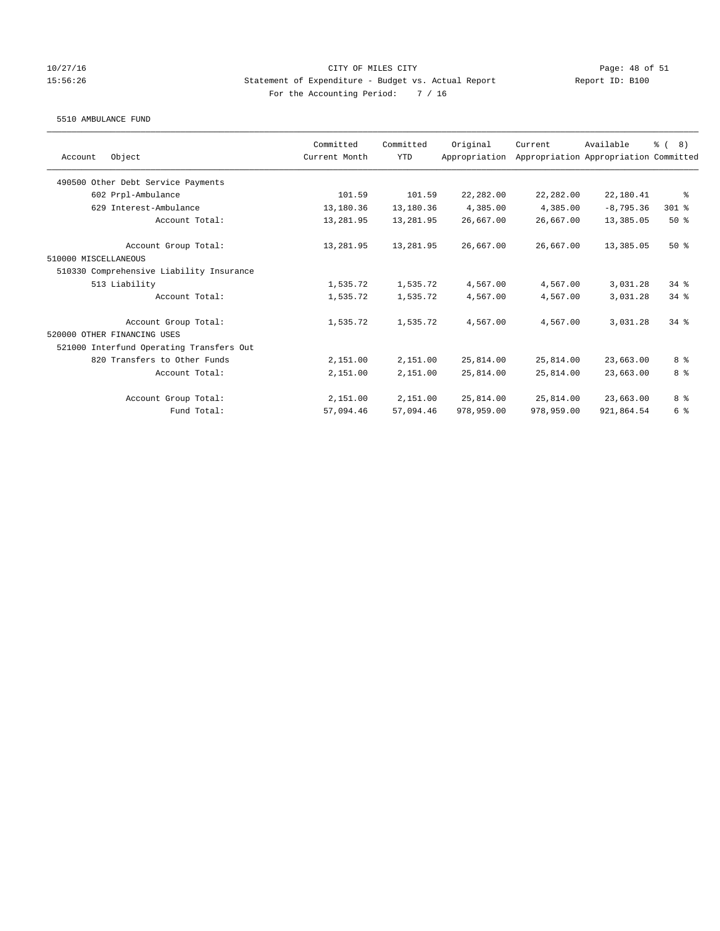#### 10/27/16 CITY OF MILES CITY Page: 48 of 51 15:56:26 Statement of Expenditure - Budget vs. Actual Report Report ID: B100 For the Accounting Period: 7 / 16

#### 5510 AMBULANCE FUND

|                                          | Committed     | Committed  | Original      | Current    | Available                             | $\frac{6}{3}$ ( 8) |
|------------------------------------------|---------------|------------|---------------|------------|---------------------------------------|--------------------|
| Object<br>Account                        | Current Month | <b>YTD</b> | Appropriation |            | Appropriation Appropriation Committed |                    |
| 490500 Other Debt Service Payments       |               |            |               |            |                                       |                    |
| 602 Prpl-Ambulance                       | 101.59        | 101.59     | 22,282.00     | 22,282.00  | 22,180.41                             | နွ                 |
| 629 Interest-Ambulance                   | 13,180.36     | 13,180.36  | 4,385.00      | 4,385.00   | $-8,795.36$                           | 301 %              |
| Account Total:                           | 13,281.95     | 13,281.95  | 26,667.00     | 26,667.00  | 13,385.05                             | 50%                |
| Account Group Total:                     | 13,281.95     | 13,281.95  | 26,667.00     | 26,667.00  | 13,385.05                             | 50%                |
| 510000 MISCELLANEOUS                     |               |            |               |            |                                       |                    |
| 510330 Comprehensive Liability Insurance |               |            |               |            |                                       |                    |
| 513 Liability                            | 1,535.72      | 1,535.72   | 4,567.00      | 4,567.00   | 3,031.28                              | $34$ $%$           |
| Account Total:                           | 1,535.72      | 1,535.72   | 4,567.00      | 4,567.00   | 3,031.28                              | 34%                |
| Account Group Total:                     | 1,535.72      | 1,535.72   | 4,567.00      | 4,567.00   | 3,031.28                              | 34.8               |
| 520000 OTHER FINANCING USES              |               |            |               |            |                                       |                    |
| 521000 Interfund Operating Transfers Out |               |            |               |            |                                       |                    |
| 820 Transfers to Other Funds             | 2,151.00      | 2,151.00   | 25,814.00     | 25,814.00  | 23,663.00                             | 8 %                |
| Account Total:                           | 2,151.00      | 2,151.00   | 25,814.00     | 25,814.00  | 23,663.00                             | 8 %                |
| Account Group Total:                     | 2,151.00      | 2,151.00   | 25,814.00     | 25,814.00  | 23,663.00                             | 8 %                |
| Fund Total:                              | 57,094.46     | 57,094.46  | 978,959.00    | 978,959.00 | 921,864.54                            | 6 %                |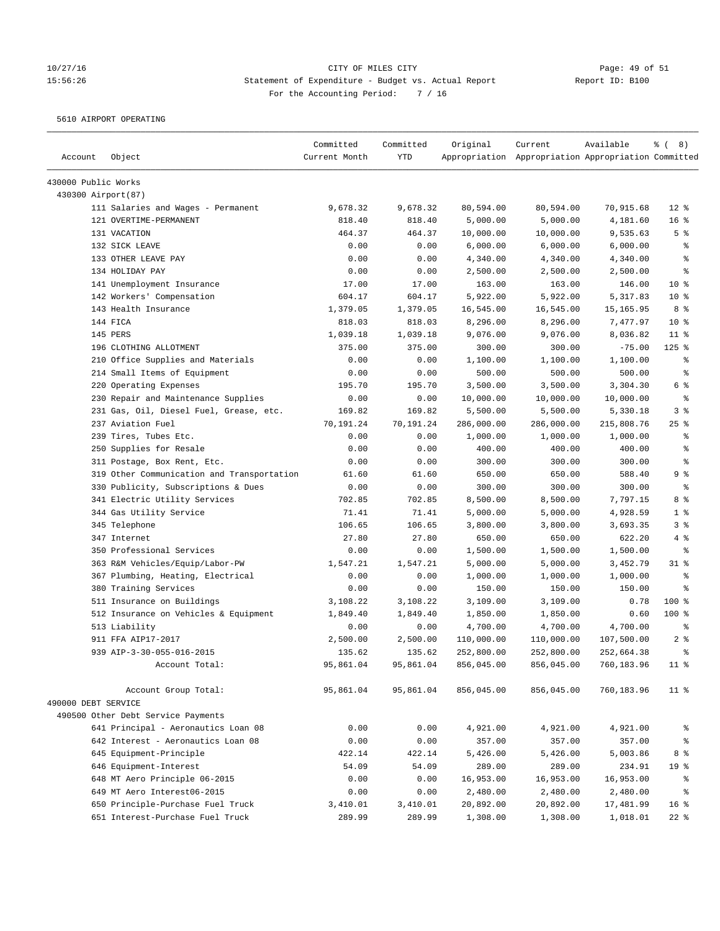# 10/27/16 Page: 49 of 51 15:56:26 Statement of Expenditure - Budget vs. Actual Report Changer Report ID: B100 For the Accounting Period: 7 / 16

5610 AIRPORT OPERATING

| Account             | Object                                     | Committed<br>Current Month | Committed<br>YTD | Original   | Current<br>Appropriation Appropriation Appropriation Committed | Available  | $\frac{6}{6}$ ( 8) |
|---------------------|--------------------------------------------|----------------------------|------------------|------------|----------------------------------------------------------------|------------|--------------------|
| 430000 Public Works |                                            |                            |                  |            |                                                                |            |                    |
| 430300 Airport(87)  |                                            |                            |                  |            |                                                                |            |                    |
|                     | 111 Salaries and Wages - Permanent         | 9,678.32                   | 9,678.32         | 80,594.00  | 80,594.00                                                      | 70,915.68  | $12*$              |
|                     | 121 OVERTIME-PERMANENT                     | 818.40                     | 818.40           | 5,000.00   | 5,000.00                                                       | 4,181.60   | 16%                |
|                     | 131 VACATION                               | 464.37                     | 464.37           | 10,000.00  | 10,000.00                                                      | 9,535.63   | 5 <sup>°</sup>     |
|                     | 132 SICK LEAVE                             | 0.00                       | 0.00             | 6,000.00   | 6,000.00                                                       | 6,000.00   | ್ಠಿ                |
|                     | 133 OTHER LEAVE PAY                        | 0.00                       | 0.00             | 4,340.00   | 4,340.00                                                       | 4,340.00   | နွ                 |
|                     | 134 HOLIDAY PAY                            | 0.00                       | 0.00             | 2,500.00   | 2,500.00                                                       | 2,500.00   | る                  |
|                     | 141 Unemployment Insurance                 | 17.00                      | 17.00            | 163.00     | 163.00                                                         | 146.00     | $10*$              |
|                     | 142 Workers' Compensation                  | 604.17                     | 604.17           | 5,922.00   | 5,922.00                                                       | 5,317.83   | $10*$              |
|                     | 143 Health Insurance                       | 1,379.05                   | 1,379.05         | 16,545.00  | 16,545.00                                                      | 15,165.95  | 8 %                |
|                     | 144 FICA                                   | 818.03                     | 818.03           | 8,296.00   | 8,296.00                                                       | 7,477.97   | $10*$              |
|                     | 145 PERS                                   | 1,039.18                   | 1,039.18         | 9,076.00   | 9,076.00                                                       | 8,036.82   | $11$ %             |
|                     | 196 CLOTHING ALLOTMENT                     | 375.00                     | 375.00           | 300.00     | 300.00                                                         | $-75.00$   | $125$ %            |
|                     | 210 Office Supplies and Materials          | 0.00                       | 0.00             | 1,100.00   | 1,100.00                                                       | 1,100.00   | $\epsilon$         |
|                     | 214 Small Items of Equipment               | 0.00                       | 0.00             | 500.00     | 500.00                                                         | 500.00     | $\epsilon$         |
|                     | 220 Operating Expenses                     | 195.70                     | 195.70           | 3,500.00   | 3,500.00                                                       | 3,304.30   | 6 %                |
|                     | 230 Repair and Maintenance Supplies        | 0.00                       | 0.00             | 10,000.00  | 10,000.00                                                      | 10,000.00  | $\epsilon$         |
|                     | 231 Gas, Oil, Diesel Fuel, Grease, etc.    | 169.82                     | 169.82           | 5,500.00   | 5,500.00                                                       | 5,330.18   | 3%                 |
|                     | 237 Aviation Fuel                          | 70,191.24                  | 70,191.24        | 286,000.00 | 286,000.00                                                     | 215,808.76 | 25%                |
|                     | 239 Tires, Tubes Etc.                      | 0.00                       | 0.00             | 1,000.00   | 1,000.00                                                       | 1,000.00   | ್ಠಿ                |
|                     | 250 Supplies for Resale                    | 0.00                       | 0.00             | 400.00     | 400.00                                                         | 400.00     | နွ                 |
|                     | 311 Postage, Box Rent, Etc.                | 0.00                       | 0.00             | 300.00     | 300.00                                                         | 300.00     | နွ                 |
|                     | 319 Other Communication and Transportation | 61.60                      | 61.60            | 650.00     | 650.00                                                         | 588.40     | 9 <sup>8</sup>     |
|                     | 330 Publicity, Subscriptions & Dues        | 0.00                       | 0.00             | 300.00     | 300.00                                                         | 300.00     | $\epsilon$         |
|                     | 341 Electric Utility Services              | 702.85                     | 702.85           | 8,500.00   | 8,500.00                                                       | 7,797.15   | 8 %                |
|                     | 344 Gas Utility Service                    | 71.41                      | 71.41            | 5,000.00   | 5,000.00                                                       | 4,928.59   | 1 <sup>8</sup>     |
|                     | 345 Telephone                              | 106.65                     | 106.65           | 3,800.00   | 3,800.00                                                       | 3,693.35   | 3%                 |
|                     | 347 Internet                               | 27.80                      | 27.80            | 650.00     | 650.00                                                         | 622.20     | 4%                 |
|                     | 350 Professional Services                  | 0.00                       | 0.00             | 1,500.00   | 1,500.00                                                       | 1,500.00   | $\epsilon$         |
|                     | 363 R&M Vehicles/Equip/Labor-PW            | 1,547.21                   | 1,547.21         | 5,000.00   | 5,000.00                                                       | 3,452.79   | $31$ %             |
|                     | 367 Plumbing, Heating, Electrical          | 0.00                       | 0.00             | 1,000.00   | 1,000.00                                                       | 1,000.00   | နွ                 |
|                     | 380 Training Services                      | 0.00                       | 0.00             | 150.00     | 150.00                                                         | 150.00     | နွ                 |
|                     | 511 Insurance on Buildings                 | 3,108.22                   | 3,108.22         | 3,109.00   | 3,109.00                                                       | 0.78       | $100*$             |
|                     | 512 Insurance on Vehicles & Equipment      | 1,849.40                   | 1,849.40         | 1,850.00   | 1,850.00                                                       | 0.60       | $100$ %            |
|                     | 513 Liability                              | 0.00                       | 0.00             | 4,700.00   | 4,700.00                                                       | 4,700.00   | နွ                 |
|                     | 911 FFA AIP17-2017                         | 2,500.00                   | 2,500.00         | 110,000.00 | 110,000.00                                                     | 107,500.00 | 2 <sup>8</sup>     |
|                     | 939 AIP-3-30-055-016-2015                  | 135.62                     | 135.62           | 252,800.00 | 252,800.00                                                     | 252,664.38 | ま                  |
|                     | Account Total:                             | 95,861.04                  | 95,861.04        | 856,045.00 | 856,045.00                                                     | 760,183.96 | $11$ %             |
|                     | Account Group Total:                       | 95,861.04                  | 95,861.04        | 856,045.00 | 856,045.00                                                     | 760,183.96 | $11$ %             |
| 490000 DEBT SERVICE |                                            |                            |                  |            |                                                                |            |                    |
|                     | 490500 Other Debt Service Payments         |                            |                  |            |                                                                |            |                    |
|                     | 641 Principal - Aeronautics Loan 08        | 0.00                       | 0.00             | 4,921.00   | 4,921.00                                                       | 4,921.00   | နွ                 |
|                     | 642 Interest - Aeronautics Loan 08         | 0.00                       | 0.00             | 357.00     | 357.00                                                         | 357.00     | $\epsilon$         |
|                     | 645 Equipment-Principle                    | 422.14                     | 422.14           | 5,426.00   | 5,426.00                                                       | 5,003.86   | 8 %                |
|                     | 646 Equipment-Interest                     | 54.09                      | 54.09            | 289.00     | 289.00                                                         | 234.91     | 19 <sup>°</sup>    |
|                     | 648 MT Aero Principle 06-2015              | 0.00                       | 0.00             | 16,953.00  | 16,953.00                                                      | 16,953.00  | နွ                 |
|                     | 649 MT Aero Interest06-2015                | 0.00                       | 0.00             | 2,480.00   | 2,480.00                                                       | 2,480.00   | $\epsilon$         |
|                     | 650 Principle-Purchase Fuel Truck          | 3,410.01                   | 3,410.01         | 20,892.00  | 20,892.00                                                      | 17,481.99  | 16 <sup>8</sup>    |
|                     | 651 Interest-Purchase Fuel Truck           | 289.99                     | 289.99           | 1,308.00   | 1,308.00                                                       | 1,018.01   | $22$ %             |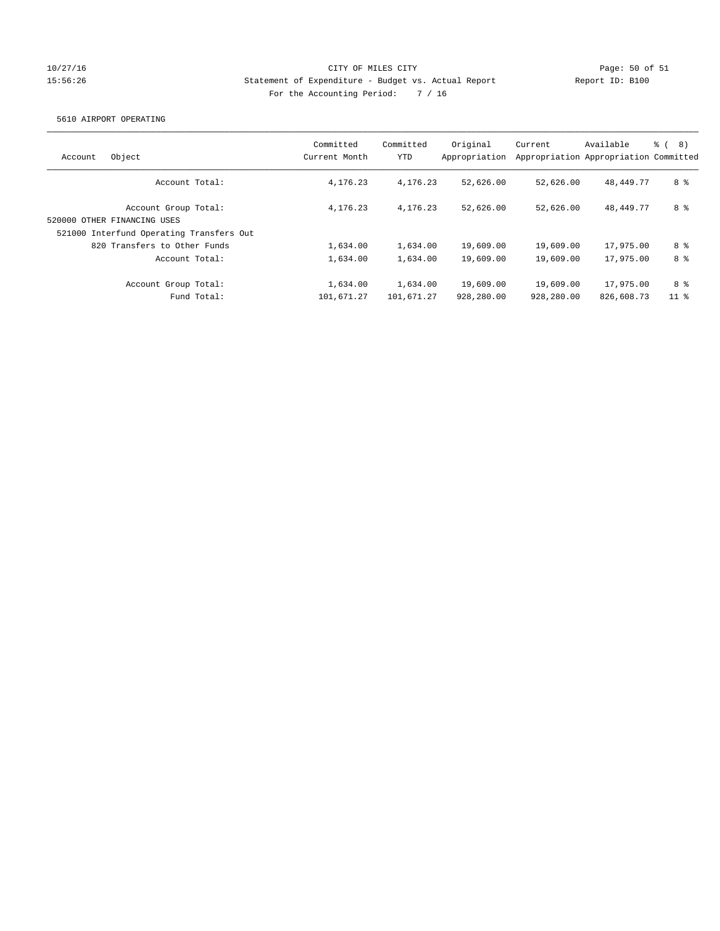## 10/27/16 CITY OF MILES CITY Page: 50 of 51 15:56:26 Statement of Expenditure - Budget vs. Actual Report Report ID: B100 For the Accounting Period: 7 / 16

## 5610 AIRPORT OPERATING

| Object<br>Account                                   | Committed<br>Current Month | Committed<br>YTD | Original<br>Appropriation | Current    | Available<br>Appropriation Appropriation Committed | $\frac{6}{6}$ (<br>8) |
|-----------------------------------------------------|----------------------------|------------------|---------------------------|------------|----------------------------------------------------|-----------------------|
| Account Total:                                      | 4, 176, 23                 | 4,176.23         | 52,626.00                 | 52,626.00  | 48,449.77                                          | 8 %                   |
| Account Group Total:<br>520000 OTHER FINANCING USES | 4, 176, 23                 | 4,176.23         | 52,626.00                 | 52,626.00  | 48,449.77                                          | 8 %                   |
| 521000 Interfund Operating Transfers Out            |                            |                  |                           |            |                                                    |                       |
| 820 Transfers to Other Funds                        | 1,634.00                   | 1,634.00         | 19,609.00                 | 19,609.00  | 17,975.00                                          | 8 %                   |
| Account Total:                                      | 1,634.00                   | 1,634.00         | 19,609.00                 | 19,609.00  | 17,975.00                                          | 8 %                   |
| Account Group Total:                                | 1,634.00                   | 1,634.00         | 19,609.00                 | 19,609.00  | 17,975.00                                          | 8 %                   |
| Fund Total:                                         | 101,671.27                 | 101,671.27       | 928,280.00                | 928,280.00 | 826,608.73                                         | 11 <sup>8</sup>       |